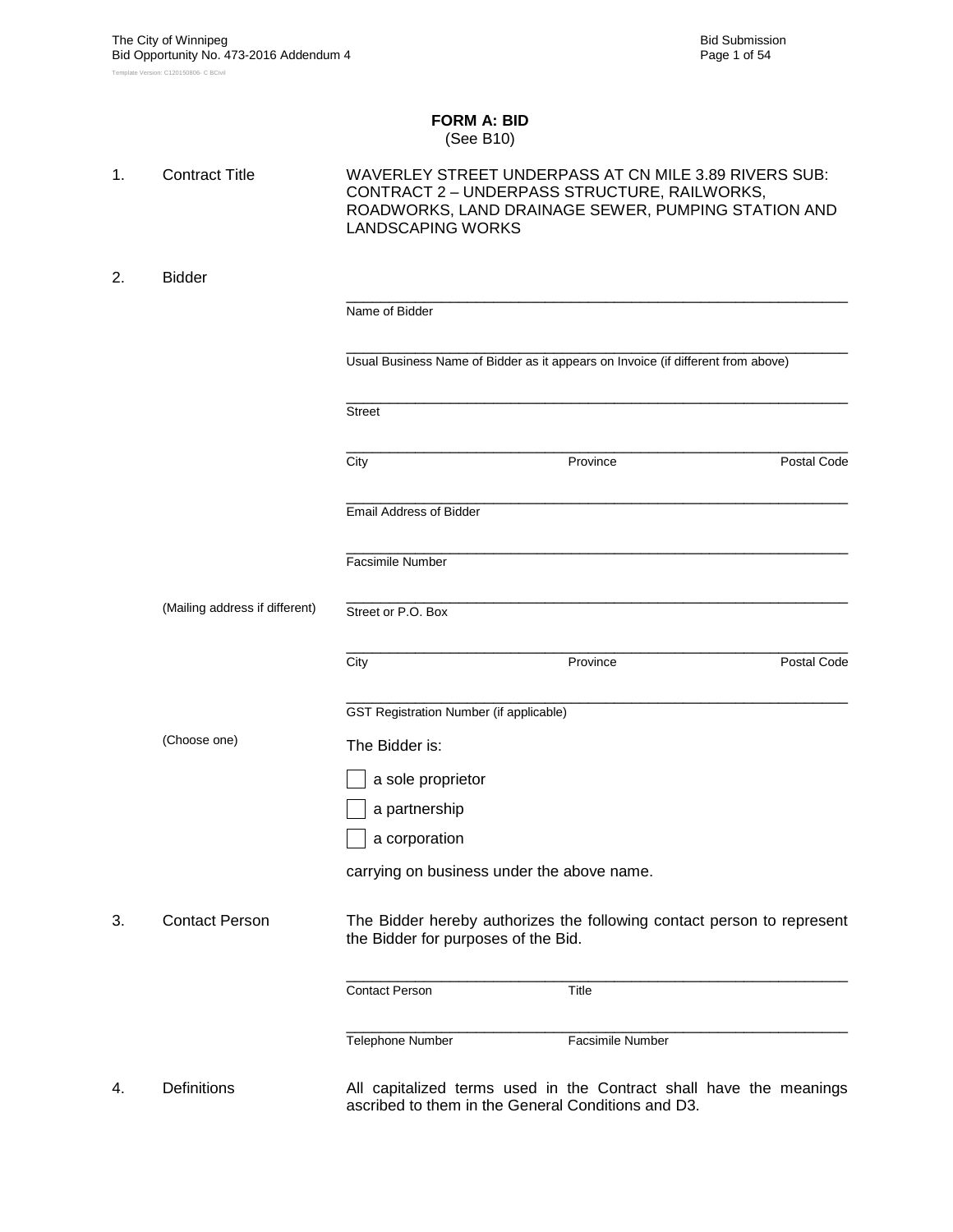### **FORM A: BID** (See B10)

| 1. | <b>Contract Title</b>          | <b>LANDSCAPING WORKS</b>                           | WAVERLEY STREET UNDERPASS AT CN MILE 3.89 RIVERS SUB:<br>CONTRACT 2 - UNDERPASS STRUCTURE, RAILWORKS,<br>ROADWORKS, LAND DRAINAGE SEWER, PUMPING STATION AND |             |
|----|--------------------------------|----------------------------------------------------|--------------------------------------------------------------------------------------------------------------------------------------------------------------|-------------|
| 2. | <b>Bidder</b>                  |                                                    |                                                                                                                                                              |             |
|    |                                | Name of Bidder                                     |                                                                                                                                                              |             |
|    |                                |                                                    | Usual Business Name of Bidder as it appears on Invoice (if different from above)                                                                             |             |
|    |                                | <b>Street</b>                                      |                                                                                                                                                              |             |
|    |                                | City                                               | Province                                                                                                                                                     | Postal Code |
|    |                                | <b>Email Address of Bidder</b>                     |                                                                                                                                                              |             |
|    |                                | <b>Facsimile Number</b>                            |                                                                                                                                                              |             |
|    | (Mailing address if different) | Street or P.O. Box                                 |                                                                                                                                                              |             |
|    |                                | City                                               | Province                                                                                                                                                     | Postal Code |
|    |                                | <b>GST Registration Number (if applicable)</b>     |                                                                                                                                                              |             |
|    | (Choose one)                   | The Bidder is:                                     |                                                                                                                                                              |             |
|    |                                | a sole proprietor                                  |                                                                                                                                                              |             |
|    |                                | a partnership                                      |                                                                                                                                                              |             |
|    |                                | a corporation                                      |                                                                                                                                                              |             |
|    |                                | carrying on business under the above name.         |                                                                                                                                                              |             |
| 3. | <b>Contact Person</b>          | the Bidder for purposes of the Bid.                | The Bidder hereby authorizes the following contact person to represent                                                                                       |             |
|    |                                | <b>Contact Person</b>                              | Title                                                                                                                                                        |             |
|    |                                | Telephone Number                                   | Facsimile Number                                                                                                                                             |             |
| 4. | <b>Definitions</b>             | ascribed to them in the General Conditions and D3. | All capitalized terms used in the Contract shall have the meanings                                                                                           |             |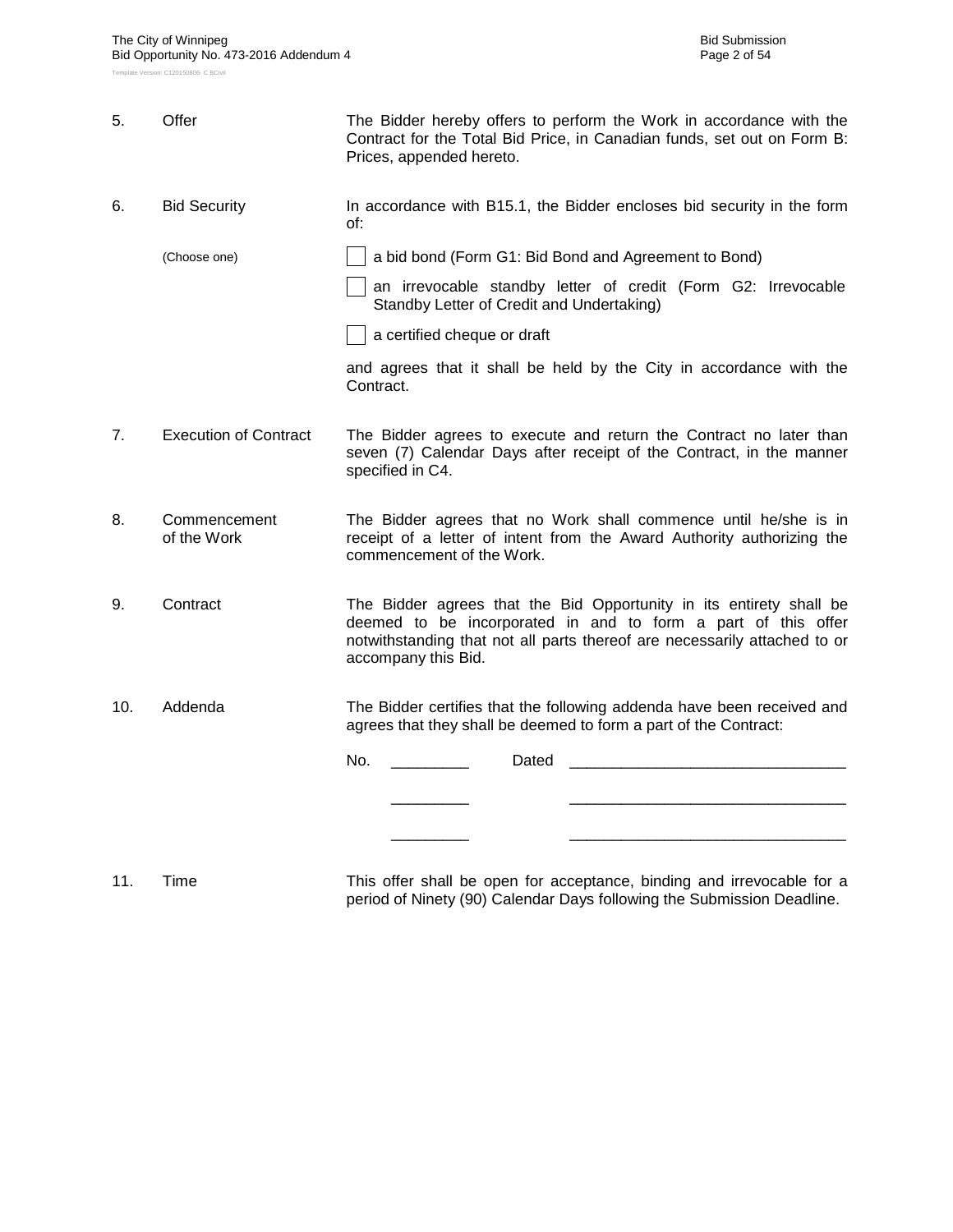| 5.  | Offer                        | The Bidder hereby offers to perform the Work in accordance with the<br>Contract for the Total Bid Price, in Canadian funds, set out on Form B:<br>Prices, appended hereto.                                                               |  |  |  |  |  |  |
|-----|------------------------------|------------------------------------------------------------------------------------------------------------------------------------------------------------------------------------------------------------------------------------------|--|--|--|--|--|--|
| 6.  | <b>Bid Security</b>          | In accordance with B15.1, the Bidder encloses bid security in the form<br>of:                                                                                                                                                            |  |  |  |  |  |  |
|     | (Choose one)                 | a bid bond (Form G1: Bid Bond and Agreement to Bond)                                                                                                                                                                                     |  |  |  |  |  |  |
|     |                              | an irrevocable standby letter of credit (Form G2: Irrevocable<br>Standby Letter of Credit and Undertaking)                                                                                                                               |  |  |  |  |  |  |
|     |                              | a certified cheque or draft                                                                                                                                                                                                              |  |  |  |  |  |  |
|     |                              | and agrees that it shall be held by the City in accordance with the<br>Contract.                                                                                                                                                         |  |  |  |  |  |  |
| 7.  | <b>Execution of Contract</b> | The Bidder agrees to execute and return the Contract no later than<br>seven (7) Calendar Days after receipt of the Contract, in the manner<br>specified in C4.                                                                           |  |  |  |  |  |  |
| 8.  | Commencement<br>of the Work  | The Bidder agrees that no Work shall commence until he/she is in<br>receipt of a letter of intent from the Award Authority authorizing the<br>commencement of the Work.                                                                  |  |  |  |  |  |  |
| 9.  | Contract                     | The Bidder agrees that the Bid Opportunity in its entirety shall be<br>deemed to be incorporated in and to form a part of this offer<br>notwithstanding that not all parts thereof are necessarily attached to or<br>accompany this Bid. |  |  |  |  |  |  |
| 10. | Addenda                      | The Bidder certifies that the following addenda have been received and<br>agrees that they shall be deemed to form a part of the Contract:                                                                                               |  |  |  |  |  |  |
|     |                              | No.<br>Dated                                                                                                                                                                                                                             |  |  |  |  |  |  |
|     |                              |                                                                                                                                                                                                                                          |  |  |  |  |  |  |
|     |                              |                                                                                                                                                                                                                                          |  |  |  |  |  |  |
|     |                              |                                                                                                                                                                                                                                          |  |  |  |  |  |  |

11. Time This offer shall be open for acceptance, binding and irrevocable for a period of Ninety (90) Calendar Days following the Submission Deadline.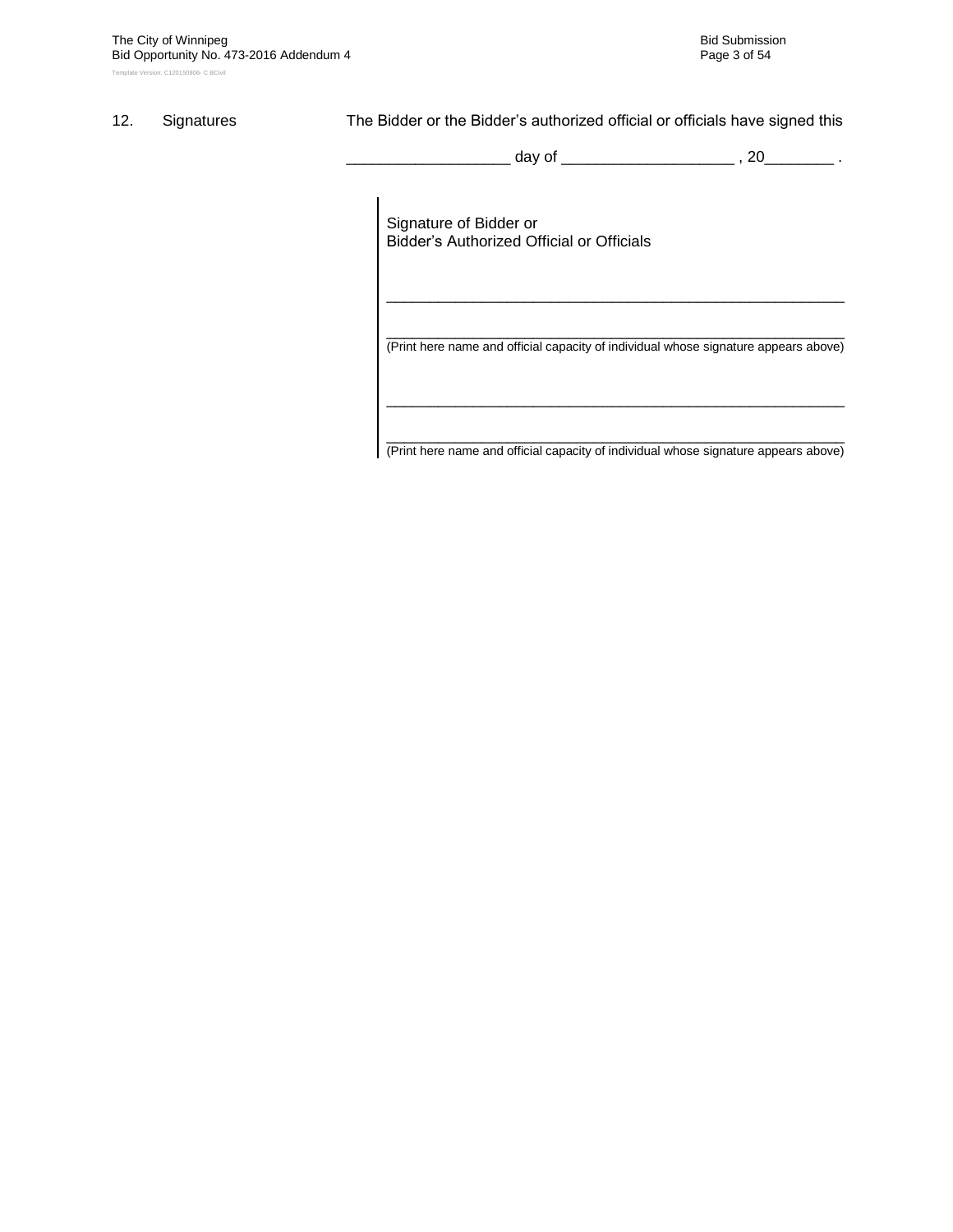## 12. Signatures The Bidder or the Bidder's authorized official or officials have signed this

\_ day of \_\_\_\_\_\_\_\_\_\_\_\_\_\_\_\_\_\_\_\_\_\_ , 20\_\_\_\_\_\_\_\_\_ .

Signature of Bidder or Bidder"s Authorized Official or Officials

\_\_\_\_\_\_\_\_\_\_\_\_\_\_\_\_\_\_\_\_\_\_\_\_\_\_\_\_\_\_\_\_\_\_\_\_\_\_\_\_\_\_\_\_\_\_\_\_\_\_\_\_\_ (Print here name and official capacity of individual whose signature appears above)

\_\_\_\_\_\_\_\_\_\_\_\_\_\_\_\_\_\_\_\_\_\_\_\_\_\_\_\_\_\_\_\_\_\_\_\_\_\_\_\_\_\_\_\_\_\_\_\_\_\_\_\_\_

\_\_\_\_\_\_\_\_\_\_\_\_\_\_\_\_\_\_\_\_\_\_\_\_\_\_\_\_\_\_\_\_\_\_\_\_\_\_\_\_\_\_\_\_\_\_\_\_\_\_\_\_\_ (Print here name and official capacity of individual whose signature appears above)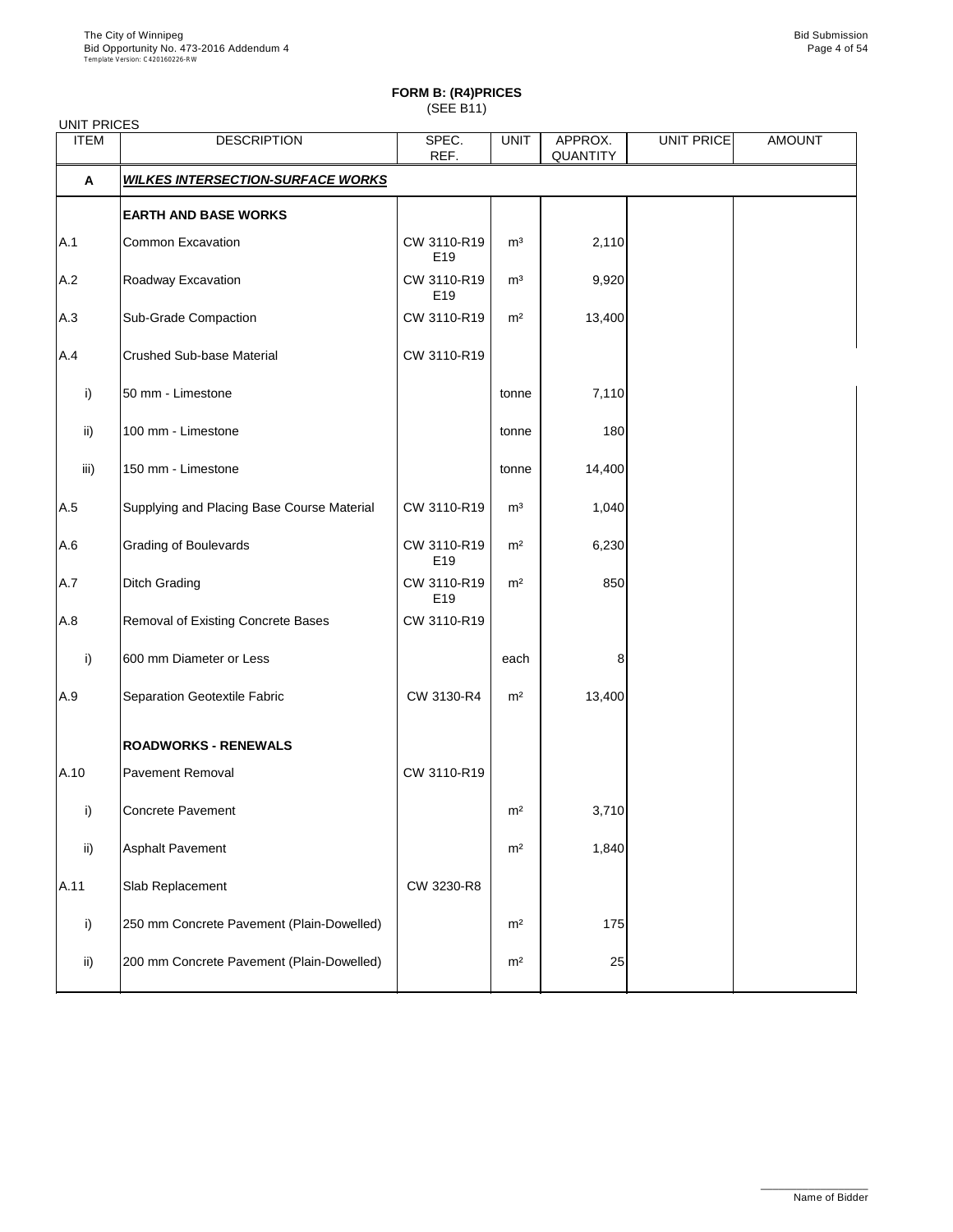| <b>UNIT PRICES</b> |                                            |                                |                |                     |                   |               |
|--------------------|--------------------------------------------|--------------------------------|----------------|---------------------|-------------------|---------------|
| <b>ITEM</b>        | <b>DESCRIPTION</b>                         | SPEC.<br>REF.                  | <b>UNIT</b>    | APPROX.<br>QUANTITY | <b>UNIT PRICE</b> | <b>AMOUNT</b> |
| A                  | <b>WILKES INTERSECTION-SURFACE WORKS</b>   |                                |                |                     |                   |               |
|                    | <b>EARTH AND BASE WORKS</b>                |                                |                |                     |                   |               |
| A.1                | Common Excavation                          | CW 3110-R19<br>E <sub>19</sub> | m <sup>3</sup> | 2,110               |                   |               |
| A.2                | Roadway Excavation                         | CW 3110-R19<br>E <sub>19</sub> | m <sup>3</sup> | 9,920               |                   |               |
| A.3                | Sub-Grade Compaction                       | CW 3110-R19                    | m <sup>2</sup> | 13,400              |                   |               |
| A.4                | Crushed Sub-base Material                  | CW 3110-R19                    |                |                     |                   |               |
| i)                 | 50 mm - Limestone                          |                                | tonne          | 7,110               |                   |               |
| ii)                | 100 mm - Limestone                         |                                | tonne          | 180                 |                   |               |
| iii)               | 150 mm - Limestone                         |                                | tonne          | 14,400              |                   |               |
| A.5                | Supplying and Placing Base Course Material | CW 3110-R19                    | m <sup>3</sup> | 1,040               |                   |               |
| A.6                | Grading of Boulevards                      | CW 3110-R19<br>E <sub>19</sub> | m <sup>2</sup> | 6,230               |                   |               |
| A.7                | Ditch Grading                              | CW 3110-R19<br>E19             | m <sup>2</sup> | 850                 |                   |               |
| A.8                | Removal of Existing Concrete Bases         | CW 3110-R19                    |                |                     |                   |               |
| i)                 | 600 mm Diameter or Less                    |                                | each           | 8                   |                   |               |
| A.9                | Separation Geotextile Fabric               | CW 3130-R4                     | m <sup>2</sup> | 13,400              |                   |               |
|                    | <b>ROADWORKS - RENEWALS</b>                |                                |                |                     |                   |               |
| A.10               | Pavement Removal                           | CW 3110-R19                    |                |                     |                   |               |
| i)                 | Concrete Pavement                          |                                | m <sup>2</sup> | 3,710               |                   |               |
| ii)                | <b>Asphalt Pavement</b>                    |                                | m <sup>2</sup> | 1,840               |                   |               |
| A.11               | Slab Replacement                           | CW 3230-R8                     |                |                     |                   |               |
| i)                 | 250 mm Concrete Pavement (Plain-Dowelled)  |                                | m <sup>2</sup> | 175                 |                   |               |
| ii)                | 200 mm Concrete Pavement (Plain-Dowelled)  |                                | m <sup>2</sup> | 25                  |                   |               |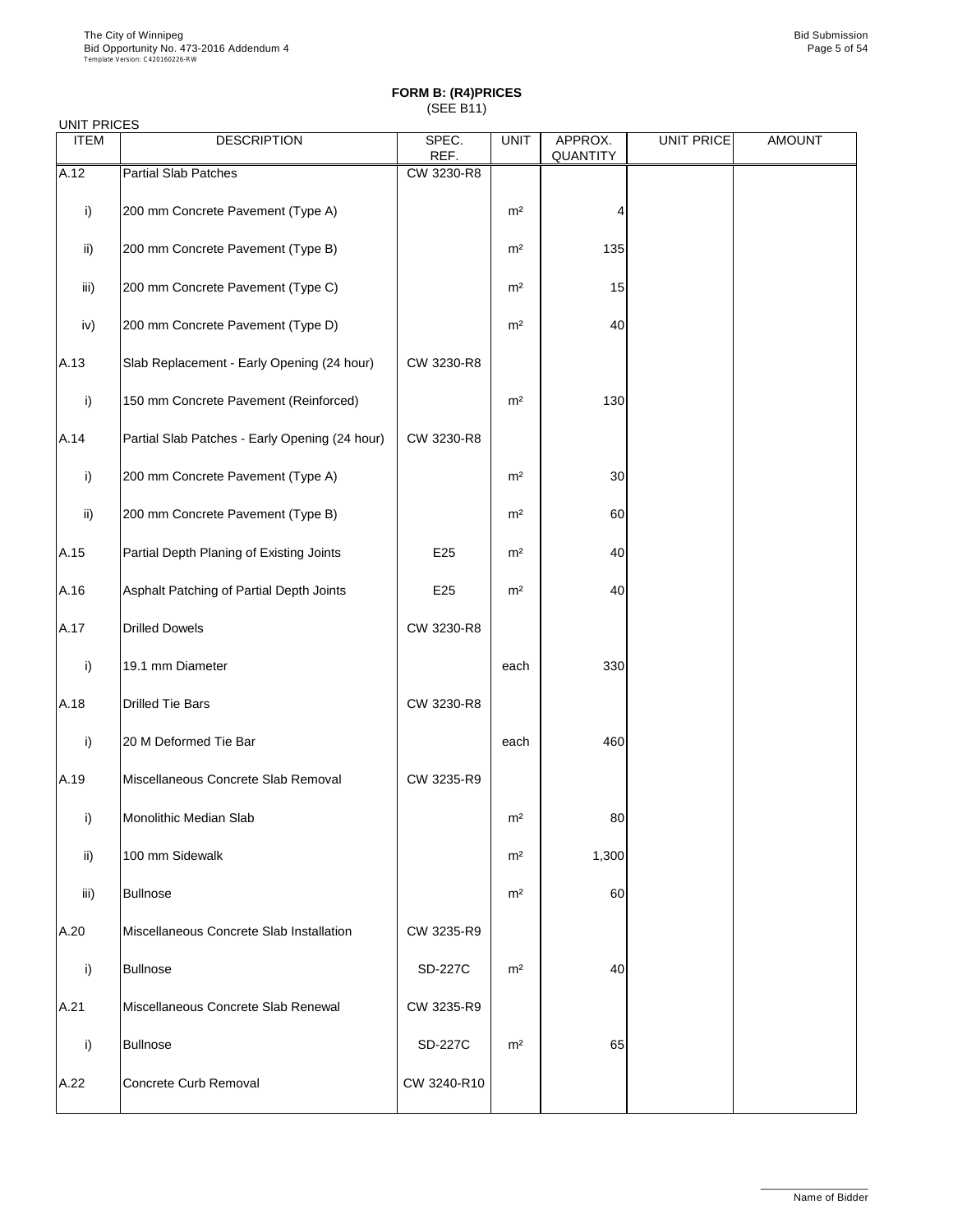| <b>UNIT PRICES</b> |                                                |                |                |                     |                   |               |
|--------------------|------------------------------------------------|----------------|----------------|---------------------|-------------------|---------------|
| <b>ITEM</b>        | <b>DESCRIPTION</b>                             | SPEC.<br>REF.  | <b>UNIT</b>    | APPROX.<br>QUANTITY | <b>UNIT PRICE</b> | <b>AMOUNT</b> |
| A.12               | <b>Partial Slab Patches</b>                    | CW 3230-R8     |                |                     |                   |               |
| i)                 | 200 mm Concrete Pavement (Type A)              |                | m <sup>2</sup> | 4                   |                   |               |
| ii)                | 200 mm Concrete Pavement (Type B)              |                | m <sup>2</sup> | 135                 |                   |               |
| iii)               | 200 mm Concrete Pavement (Type C)              |                | m <sup>2</sup> | 15                  |                   |               |
| iv)                | 200 mm Concrete Pavement (Type D)              |                | m <sup>2</sup> | 40                  |                   |               |
| A.13               | Slab Replacement - Early Opening (24 hour)     | CW 3230-R8     |                |                     |                   |               |
| i)                 | 150 mm Concrete Pavement (Reinforced)          |                | m <sup>2</sup> | 130                 |                   |               |
| A.14               | Partial Slab Patches - Early Opening (24 hour) | CW 3230-R8     |                |                     |                   |               |
| i)                 | 200 mm Concrete Pavement (Type A)              |                | m <sup>2</sup> | 30                  |                   |               |
| ii)                | 200 mm Concrete Pavement (Type B)              |                | m <sup>2</sup> | 60                  |                   |               |
| A.15               | Partial Depth Planing of Existing Joints       | E25            | m <sup>2</sup> | 40                  |                   |               |
| A.16               | Asphalt Patching of Partial Depth Joints       | E25            | m <sup>2</sup> | 40                  |                   |               |
| A.17               | <b>Drilled Dowels</b>                          | CW 3230-R8     |                |                     |                   |               |
| i)                 | 19.1 mm Diameter                               |                | each           | 330                 |                   |               |
| A.18               | <b>Drilled Tie Bars</b>                        | CW 3230-R8     |                |                     |                   |               |
| i)                 | 20 M Deformed Tie Bar                          |                | each           | 460                 |                   |               |
| A.19               | Miscellaneous Concrete Slab Removal            | CW 3235-R9     |                |                     |                   |               |
| i)                 | Monolithic Median Slab                         |                | m <sup>2</sup> | 80                  |                   |               |
| ii)                | 100 mm Sidewalk                                |                | m <sup>2</sup> | 1,300               |                   |               |
| iii)               | <b>Bullnose</b>                                |                | m <sup>2</sup> | 60                  |                   |               |
| A.20               | Miscellaneous Concrete Slab Installation       | CW 3235-R9     |                |                     |                   |               |
| i)                 | <b>Bullnose</b>                                | SD-227C        | m <sup>2</sup> | 40                  |                   |               |
| A.21               | Miscellaneous Concrete Slab Renewal            | CW 3235-R9     |                |                     |                   |               |
| i)                 | <b>Bullnose</b>                                | <b>SD-227C</b> | m <sup>2</sup> | 65                  |                   |               |
| A.22               | Concrete Curb Removal                          | CW 3240-R10    |                |                     |                   |               |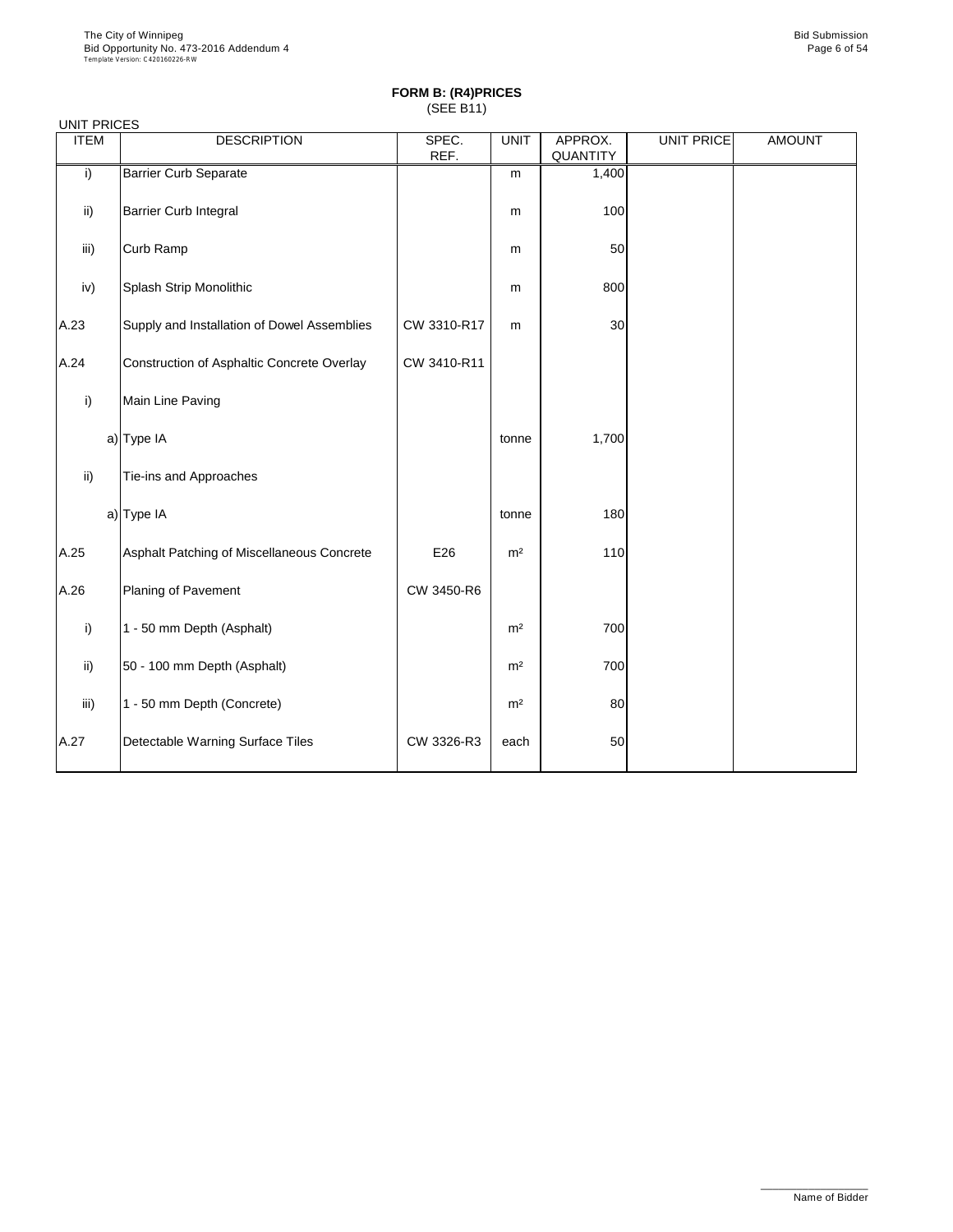| <b>UNIT PRICES</b> |                                             |               |                |                     |                   |               |
|--------------------|---------------------------------------------|---------------|----------------|---------------------|-------------------|---------------|
| <b>ITEM</b>        | <b>DESCRIPTION</b>                          | SPEC.<br>REF. | <b>UNIT</b>    | APPROX.<br>QUANTITY | <b>UNIT PRICE</b> | <b>AMOUNT</b> |
| i)                 | <b>Barrier Curb Separate</b>                |               | m              | 1,400               |                   |               |
| ii)                | Barrier Curb Integral                       |               | m              | 100                 |                   |               |
| iii)               | Curb Ramp                                   |               | m              | 50                  |                   |               |
| iv)                | Splash Strip Monolithic                     |               | m              | 800                 |                   |               |
| A.23               | Supply and Installation of Dowel Assemblies | CW 3310-R17   | m              | 30                  |                   |               |
| A.24               | Construction of Asphaltic Concrete Overlay  | CW 3410-R11   |                |                     |                   |               |
| i)                 | Main Line Paving                            |               |                |                     |                   |               |
|                    | a) Type IA                                  |               | tonne          | 1,700               |                   |               |
| ii)                | Tie-ins and Approaches                      |               |                |                     |                   |               |
|                    | a) Type IA                                  |               | tonne          | 180                 |                   |               |
| A.25               | Asphalt Patching of Miscellaneous Concrete  | E26           | m <sup>2</sup> | 110                 |                   |               |
| A.26               | Planing of Pavement                         | CW 3450-R6    |                |                     |                   |               |
| i)                 | 1 - 50 mm Depth (Asphalt)                   |               | m <sup>2</sup> | 700                 |                   |               |
| $\mathsf{ii}$ )    | 50 - 100 mm Depth (Asphalt)                 |               | m <sup>2</sup> | 700                 |                   |               |
| iii)               | 1 - 50 mm Depth (Concrete)                  |               | m <sup>2</sup> | 80                  |                   |               |
| A.27               | Detectable Warning Surface Tiles            | CW 3326-R3    | each           | 50                  |                   |               |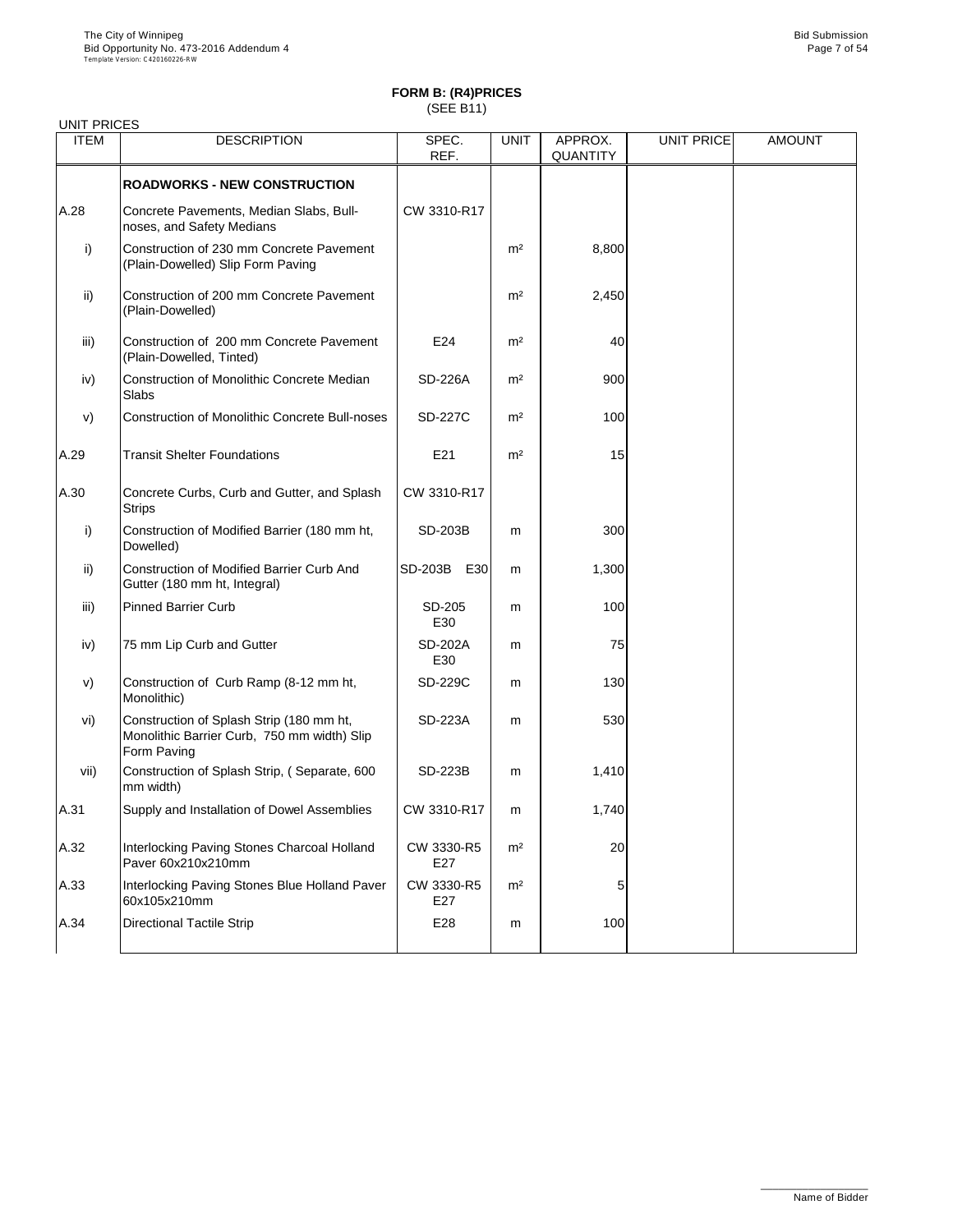| <b>UNIT PRICES</b> |                                                                                                        |                   |                |                            |            |               |
|--------------------|--------------------------------------------------------------------------------------------------------|-------------------|----------------|----------------------------|------------|---------------|
| <b>ITEM</b>        | <b>DESCRIPTION</b>                                                                                     | SPEC.<br>REF.     | <b>UNIT</b>    | APPROX.<br><b>QUANTITY</b> | UNIT PRICE | <b>AMOUNT</b> |
|                    | <b>ROADWORKS - NEW CONSTRUCTION</b>                                                                    |                   |                |                            |            |               |
| A.28               | Concrete Pavements, Median Slabs, Bull-<br>noses, and Safety Medians                                   | CW 3310-R17       |                |                            |            |               |
| i)                 | Construction of 230 mm Concrete Pavement<br>(Plain-Dowelled) Slip Form Paving                          |                   | m <sup>2</sup> | 8,800                      |            |               |
| ii)                | Construction of 200 mm Concrete Pavement<br>(Plain-Dowelled)                                           |                   | m <sup>2</sup> | 2,450                      |            |               |
| iii)               | Construction of 200 mm Concrete Pavement<br>(Plain-Dowelled, Tinted)                                   | E24               | m <sup>2</sup> | 40                         |            |               |
| iv)                | Construction of Monolithic Concrete Median<br>Slabs                                                    | <b>SD-226A</b>    | m <sup>2</sup> | 900                        |            |               |
| V)                 | <b>Construction of Monolithic Concrete Bull-noses</b>                                                  | SD-227C           | m <sup>2</sup> | 100                        |            |               |
| A.29               | <b>Transit Shelter Foundations</b>                                                                     | E21               | m <sup>2</sup> | 15                         |            |               |
| A.30               | Concrete Curbs, Curb and Gutter, and Splash<br><b>Strips</b>                                           | CW 3310-R17       |                |                            |            |               |
| i)                 | Construction of Modified Barrier (180 mm ht,<br>Dowelled)                                              | SD-203B           | m              | 300                        |            |               |
| ii)                | Construction of Modified Barrier Curb And<br>Gutter (180 mm ht, Integral)                              | SD-203B<br>E30    | m              | 1,300                      |            |               |
| iii)               | <b>Pinned Barrier Curb</b>                                                                             | SD-205<br>E30     | m              | 100                        |            |               |
| iv)                | 75 mm Lip Curb and Gutter                                                                              | SD-202A<br>E30    | m              | 75                         |            |               |
| V)                 | Construction of Curb Ramp (8-12 mm ht,<br>Monolithic)                                                  | SD-229C           | m              | 130                        |            |               |
| vi)                | Construction of Splash Strip (180 mm ht,<br>Monolithic Barrier Curb, 750 mm width) Slip<br>Form Paving | SD-223A           | m              | 530                        |            |               |
| vii)               | Construction of Splash Strip, (Separate, 600<br>mm width)                                              | SD-223B           | m              | 1,410                      |            |               |
| A.31               | Supply and Installation of Dowel Assemblies                                                            | CW 3310-R17       | m              | 1,740                      |            |               |
| A.32               | Interlocking Paving Stones Charcoal Holland<br>Paver 60x210x210mm                                      | CW 3330-R5<br>E27 | m <sup>2</sup> | 20                         |            |               |
| A.33               | Interlocking Paving Stones Blue Holland Paver<br>60x105x210mm                                          | CW 3330-R5<br>E27 | m <sup>2</sup> | 5                          |            |               |
| A.34               | <b>Directional Tactile Strip</b>                                                                       | E28               | m              | 100                        |            |               |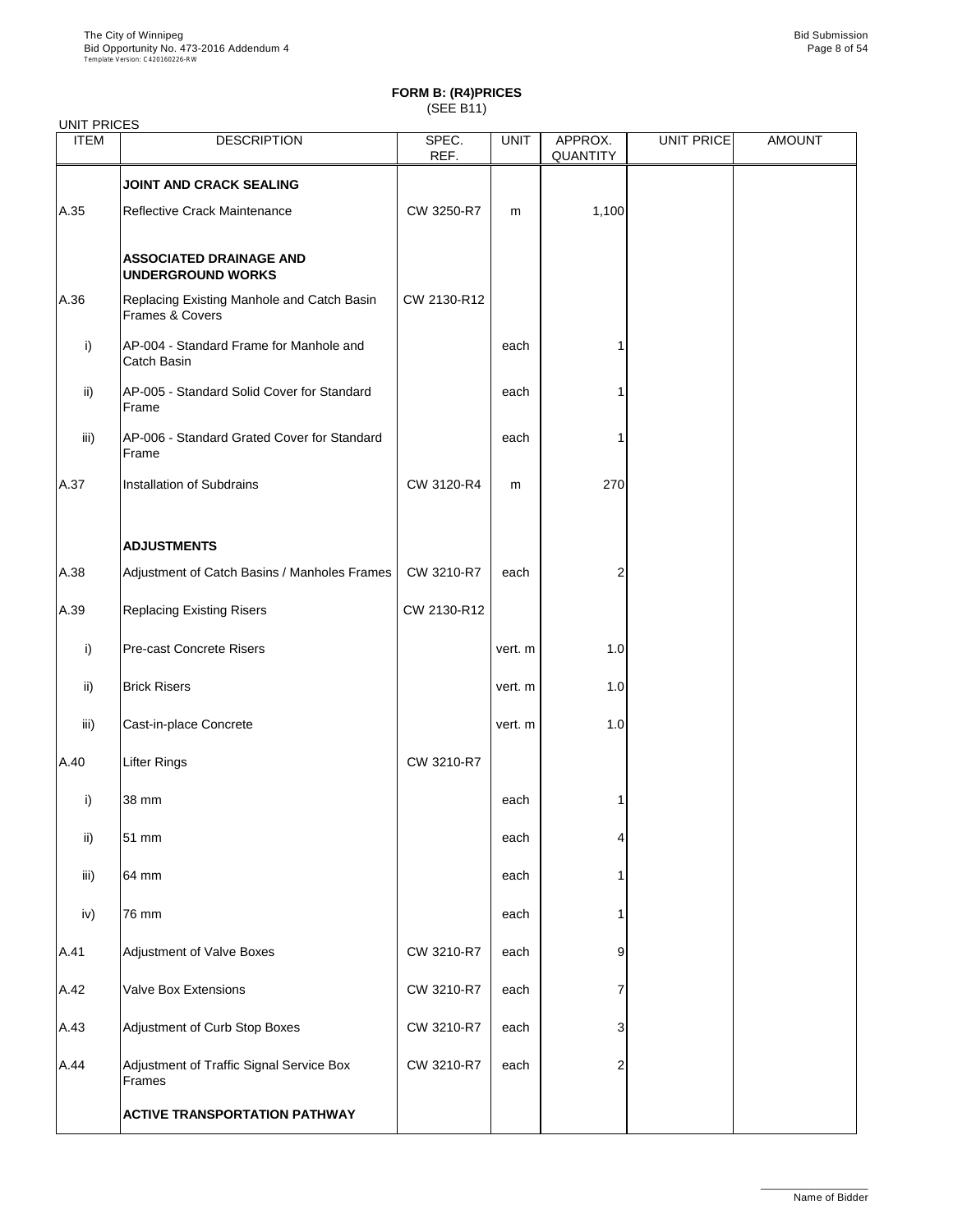| <b>UNIT PRICES</b> |                                                               |               |             |                     |                   |               |
|--------------------|---------------------------------------------------------------|---------------|-------------|---------------------|-------------------|---------------|
| <b>ITEM</b>        | <b>DESCRIPTION</b>                                            | SPEC.<br>REF. | <b>UNIT</b> | APPROX.<br>QUANTITY | <b>UNIT PRICE</b> | <b>AMOUNT</b> |
|                    | <b>JOINT AND CRACK SEALING</b>                                |               |             |                     |                   |               |
| A.35               | Reflective Crack Maintenance                                  | CW 3250-R7    | m           | 1,100               |                   |               |
|                    | <b>ASSOCIATED DRAINAGE AND</b><br><b>UNDERGROUND WORKS</b>    |               |             |                     |                   |               |
| A.36               | Replacing Existing Manhole and Catch Basin<br>Frames & Covers | CW 2130-R12   |             |                     |                   |               |
| i)                 | AP-004 - Standard Frame for Manhole and<br>Catch Basin        |               | each        |                     |                   |               |
| ii)                | AP-005 - Standard Solid Cover for Standard<br>Frame           |               | each        |                     |                   |               |
| iii)               | AP-006 - Standard Grated Cover for Standard<br>Frame          |               | each        |                     |                   |               |
| A.37               | Installation of Subdrains                                     | CW 3120-R4    | m           | 270                 |                   |               |
|                    | <b>ADJUSTMENTS</b>                                            |               |             |                     |                   |               |
| A.38               | Adjustment of Catch Basins / Manholes Frames                  | CW 3210-R7    | each        | 2                   |                   |               |
| A.39               | <b>Replacing Existing Risers</b>                              | CW 2130-R12   |             |                     |                   |               |
| i)                 | Pre-cast Concrete Risers                                      |               | vert. m     | 1.0                 |                   |               |
| ii)                | <b>Brick Risers</b>                                           |               | vert. m     | 1.0                 |                   |               |
| iii)               | Cast-in-place Concrete                                        |               | vert. m     | 1.0                 |                   |               |
| A.40               | <b>Lifter Rings</b>                                           | CW 3210-R7    |             |                     |                   |               |
| i)                 | 38 mm                                                         |               | each        |                     |                   |               |
| ii)                | 51 mm                                                         |               | each        | 4                   |                   |               |
| iii)               | 64 mm                                                         |               | each        |                     |                   |               |
| iv)                | 76 mm                                                         |               | each        |                     |                   |               |
| A.41               | Adjustment of Valve Boxes                                     | CW 3210-R7    | each        | 9                   |                   |               |
| A.42               | Valve Box Extensions                                          | CW 3210-R7    | each        | 7                   |                   |               |
| A.43               | Adjustment of Curb Stop Boxes                                 | CW 3210-R7    | each        | 3                   |                   |               |
| A.44               | Adjustment of Traffic Signal Service Box<br>Frames            | CW 3210-R7    | each        | 2                   |                   |               |
|                    | <b>ACTIVE TRANSPORTATION PATHWAY</b>                          |               |             |                     |                   |               |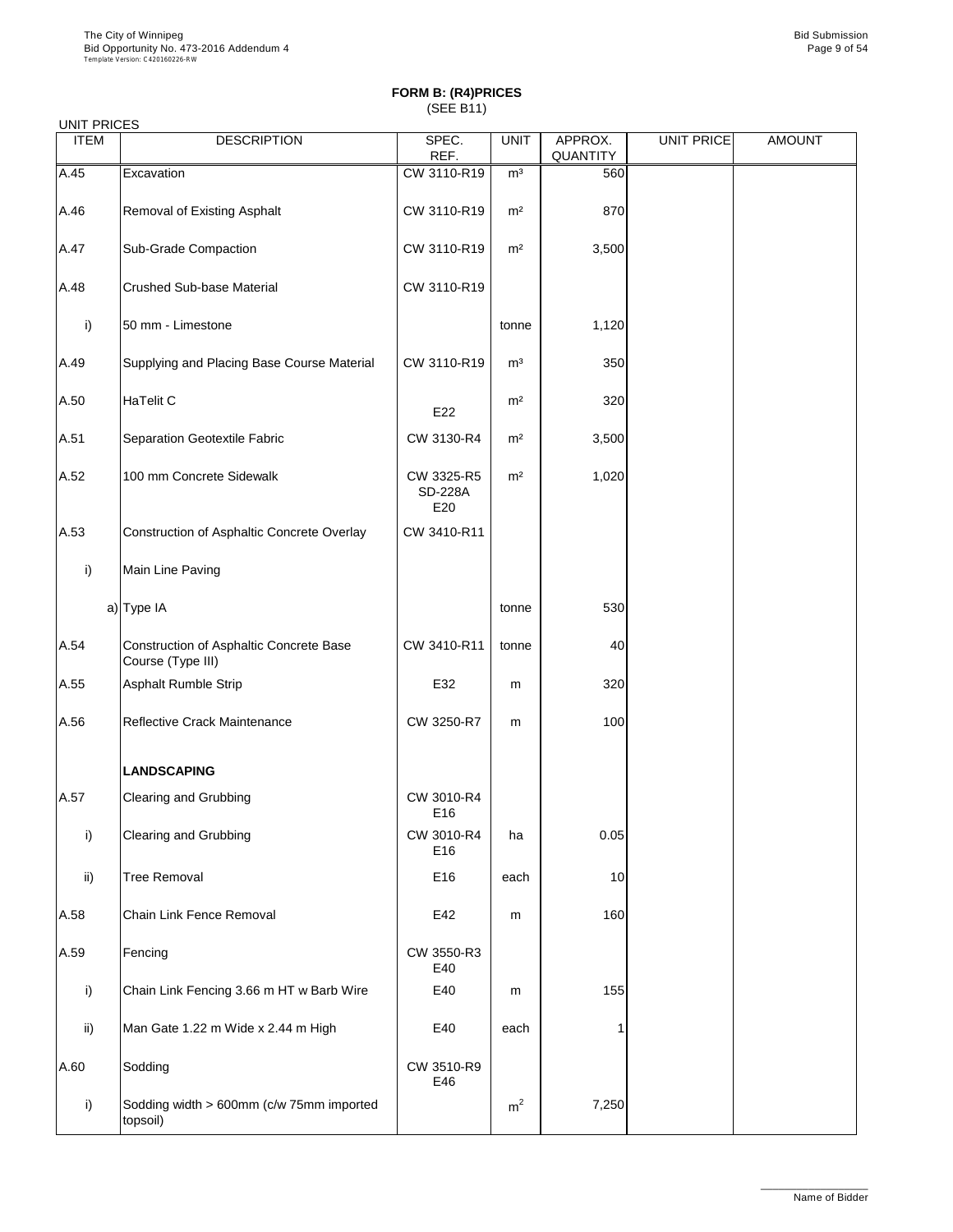| <b>UNIT PRICES</b> |                                                              |                                     |                |                     |                   |               |
|--------------------|--------------------------------------------------------------|-------------------------------------|----------------|---------------------|-------------------|---------------|
| <b>ITEM</b>        | <b>DESCRIPTION</b>                                           | SPEC.<br>REF.                       | <b>UNIT</b>    | APPROX.<br>QUANTITY | <b>UNIT PRICE</b> | <b>AMOUNT</b> |
| A.45               | Excavation                                                   | CW 3110-R19                         | m <sup>3</sup> | 560                 |                   |               |
| A.46               | Removal of Existing Asphalt                                  | CW 3110-R19                         | m <sup>2</sup> | 870                 |                   |               |
| A.47               | Sub-Grade Compaction                                         | CW 3110-R19                         | m <sup>2</sup> | 3,500               |                   |               |
| A.48               | Crushed Sub-base Material                                    | CW 3110-R19                         |                |                     |                   |               |
| i)                 | 50 mm - Limestone                                            |                                     | tonne          | 1,120               |                   |               |
| A.49               | Supplying and Placing Base Course Material                   | CW 3110-R19                         | m <sup>3</sup> | 350                 |                   |               |
| A.50               | HaTelit C                                                    | E22                                 | m <sup>2</sup> | 320                 |                   |               |
| A.51               | Separation Geotextile Fabric                                 | CW 3130-R4                          | m <sup>2</sup> | 3,500               |                   |               |
| A.52               | 100 mm Concrete Sidewalk                                     | CW 3325-R5<br><b>SD-228A</b><br>E20 | m <sup>2</sup> | 1,020               |                   |               |
| A.53               | Construction of Asphaltic Concrete Overlay                   | CW 3410-R11                         |                |                     |                   |               |
| i)                 | Main Line Paving                                             |                                     |                |                     |                   |               |
|                    | a) Type IA                                                   |                                     | tonne          | 530                 |                   |               |
| A.54               | Construction of Asphaltic Concrete Base<br>Course (Type III) | CW 3410-R11                         | tonne          | 40                  |                   |               |
| A.55               | Asphalt Rumble Strip                                         | E32                                 | m              | 320                 |                   |               |
| A.56               | Reflective Crack Maintenance                                 | CW 3250-R7                          | m              | 100                 |                   |               |
|                    | <b>LANDSCAPING</b>                                           |                                     |                |                     |                   |               |
| A.57               | Clearing and Grubbing                                        | CW 3010-R4<br>E16                   |                |                     |                   |               |
| i)                 | Clearing and Grubbing                                        | CW 3010-R4<br>E16                   | ha             | 0.05                |                   |               |
| ii)                | <b>Tree Removal</b>                                          | E16                                 | each           | 10                  |                   |               |
| A.58               | Chain Link Fence Removal                                     | E42                                 | m              | 160                 |                   |               |
| A.59               | Fencing                                                      | CW 3550-R3<br>E40                   |                |                     |                   |               |
| i)                 | Chain Link Fencing 3.66 m HT w Barb Wire                     | E40                                 | m              | 155                 |                   |               |
| ii)                | Man Gate 1.22 m Wide x 2.44 m High                           | E40                                 | each           |                     |                   |               |
| A.60               | Sodding                                                      | CW 3510-R9<br>E46                   |                |                     |                   |               |
| i)                 | Sodding width > 600mm (c/w 75mm imported<br>topsoil)         |                                     | m <sup>2</sup> | 7,250               |                   |               |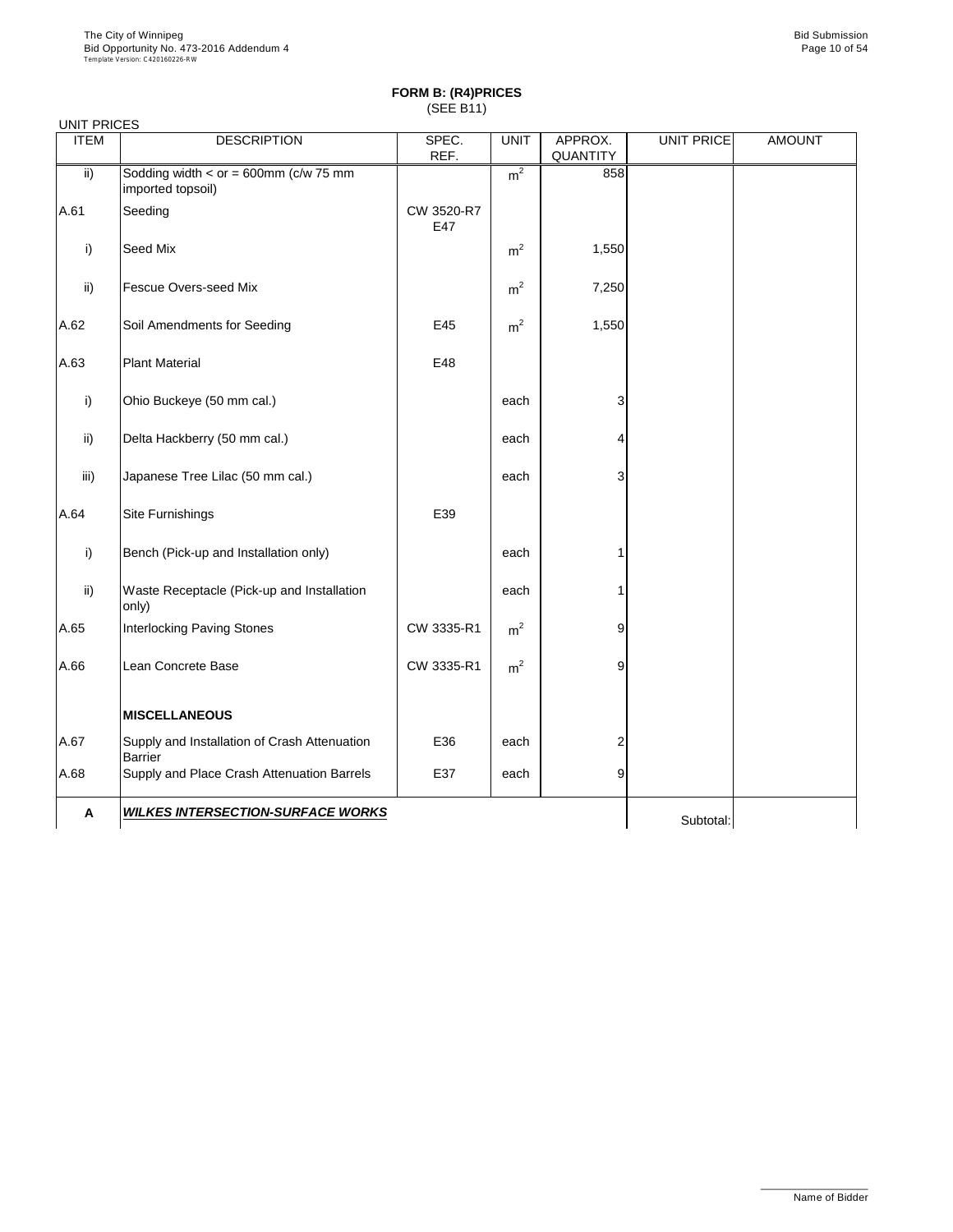| <b>UNIT PRICES</b> |                                                                  |                   |                |                     |                   |               |
|--------------------|------------------------------------------------------------------|-------------------|----------------|---------------------|-------------------|---------------|
| <b>ITEM</b>        | <b>DESCRIPTION</b>                                               | SPEC.<br>REF.     | <b>UNIT</b>    | APPROX.<br>QUANTITY | <b>UNIT PRICE</b> | <b>AMOUNT</b> |
| ii)                | Sodding width < $or = 600$ mm ( $c/w$ 75 mm<br>imported topsoil) |                   | m <sup>2</sup> | 858                 |                   |               |
| A.61               | Seeding                                                          | CW 3520-R7<br>E47 |                |                     |                   |               |
| i)                 | Seed Mix                                                         |                   | m <sup>2</sup> | 1,550               |                   |               |
| ii)                | Fescue Overs-seed Mix                                            |                   | m <sup>2</sup> | 7,250               |                   |               |
| A.62               | Soil Amendments for Seeding                                      | E45               | m <sup>2</sup> | 1,550               |                   |               |
| A.63               | <b>Plant Material</b>                                            | E48               |                |                     |                   |               |
| i)                 | Ohio Buckeye (50 mm cal.)                                        |                   | each           | 3                   |                   |               |
| ii)                | Delta Hackberry (50 mm cal.)                                     |                   | each           | 4                   |                   |               |
| iii)               | Japanese Tree Lilac (50 mm cal.)                                 |                   | each           | 3                   |                   |               |
| A.64               | Site Furnishings                                                 | E39               |                |                     |                   |               |
| i)                 | Bench (Pick-up and Installation only)                            |                   | each           | 1                   |                   |               |
| ii)                | Waste Receptacle (Pick-up and Installation<br>only)              |                   | each           | 1                   |                   |               |
| A.65               | Interlocking Paving Stones                                       | CW 3335-R1        | m <sup>2</sup> | 9                   |                   |               |
| A.66               | Lean Concrete Base                                               | CW 3335-R1        | m <sup>2</sup> | 9                   |                   |               |
|                    | <b>MISCELLANEOUS</b>                                             |                   |                |                     |                   |               |
| A.67               | Supply and Installation of Crash Attenuation<br><b>Barrier</b>   | E36               | each           | 2                   |                   |               |
| A.68               | Supply and Place Crash Attenuation Barrels                       | E37               | each           | 9                   |                   |               |
| А                  | <b>WILKES INTERSECTION-SURFACE WORKS</b>                         |                   |                |                     | Subtotal:         |               |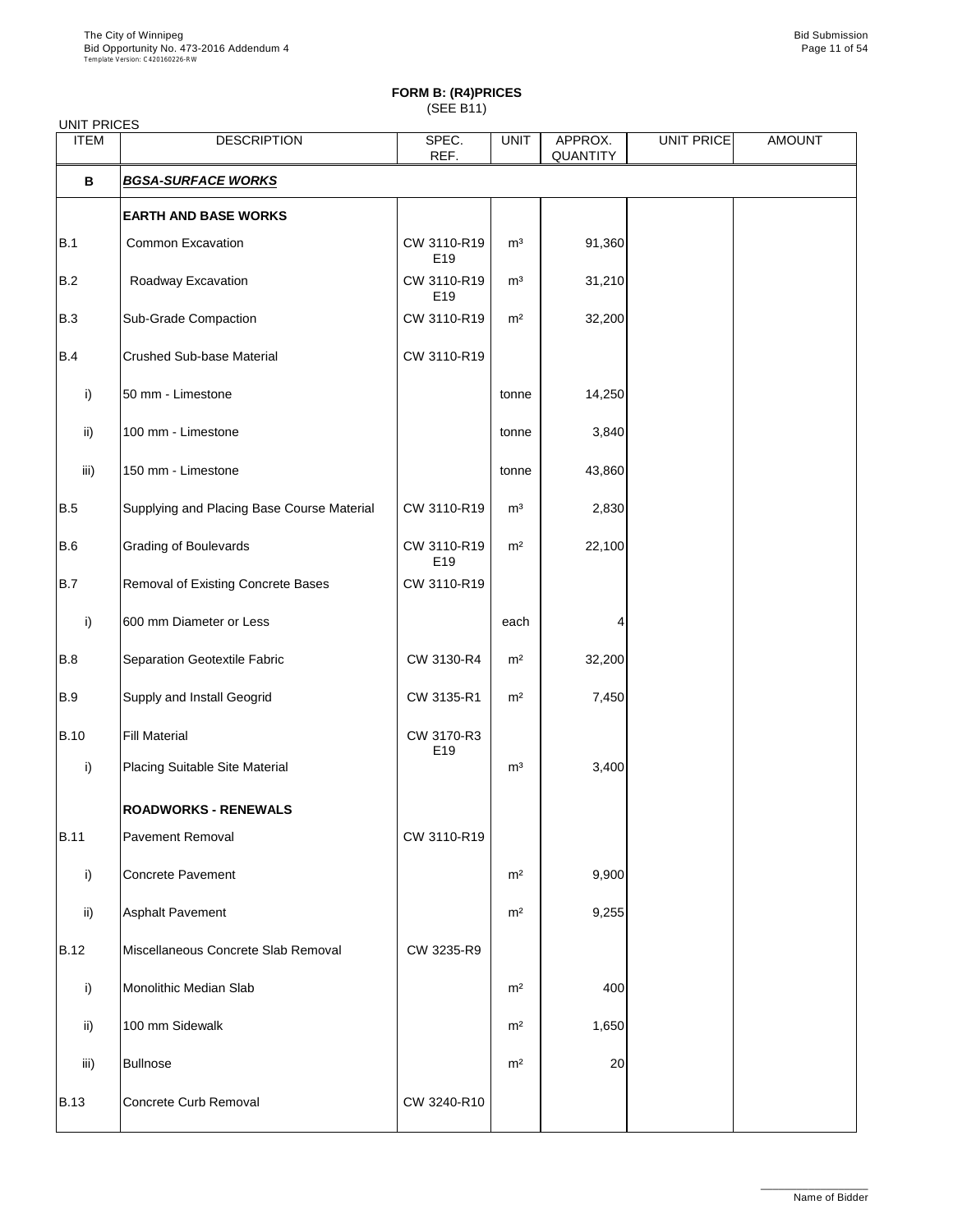| <b>UNIT PRICES</b> |                                            |                                |                |                     |            |               |
|--------------------|--------------------------------------------|--------------------------------|----------------|---------------------|------------|---------------|
| <b>ITEM</b>        | <b>DESCRIPTION</b>                         | SPEC.<br>REF.                  | <b>UNIT</b>    | APPROX.<br>QUANTITY | UNIT PRICE | <b>AMOUNT</b> |
| В                  | <b>BGSA-SURFACE WORKS</b>                  |                                |                |                     |            |               |
|                    | <b>EARTH AND BASE WORKS</b>                |                                |                |                     |            |               |
| B.1                | Common Excavation                          | CW 3110-R19<br>E19             | m <sup>3</sup> | 91,360              |            |               |
| B.2                | Roadway Excavation                         | CW 3110-R19<br>E19             | m <sup>3</sup> | 31,210              |            |               |
| <b>B.3</b>         | Sub-Grade Compaction                       | CW 3110-R19                    | m <sup>2</sup> | 32,200              |            |               |
| B.4                | Crushed Sub-base Material                  | CW 3110-R19                    |                |                     |            |               |
| i)                 | 50 mm - Limestone                          |                                | tonne          | 14,250              |            |               |
| ii)                | 100 mm - Limestone                         |                                | tonne          | 3,840               |            |               |
| iii)               | 150 mm - Limestone                         |                                | tonne          | 43,860              |            |               |
| <b>B.5</b>         | Supplying and Placing Base Course Material | CW 3110-R19                    | m <sup>3</sup> | 2,830               |            |               |
| B.6                | <b>Grading of Boulevards</b>               | CW 3110-R19<br>E <sub>19</sub> | m <sup>2</sup> | 22,100              |            |               |
| <b>B.7</b>         | Removal of Existing Concrete Bases         | CW 3110-R19                    |                |                     |            |               |
| i)                 | 600 mm Diameter or Less                    |                                | each           |                     |            |               |
| B.8                | Separation Geotextile Fabric               | CW 3130-R4                     | m <sup>2</sup> | 32,200              |            |               |
| <b>B.9</b>         | Supply and Install Geogrid                 | CW 3135-R1                     | m <sup>2</sup> | 7,450               |            |               |
| <b>B.10</b>        | <b>Fill Material</b>                       | CW 3170-R3<br>E19              |                |                     |            |               |
| i)                 | Placing Suitable Site Material             |                                | m <sup>3</sup> | 3,400               |            |               |
|                    | <b>ROADWORKS - RENEWALS</b>                |                                |                |                     |            |               |
| <b>B.11</b>        | Pavement Removal                           | CW 3110-R19                    |                |                     |            |               |
| i)                 | <b>Concrete Pavement</b>                   |                                | m <sup>2</sup> | 9,900               |            |               |
| $\mathsf{ii}$      | Asphalt Pavement                           |                                | m <sup>2</sup> | 9,255               |            |               |
| <b>B.12</b>        | Miscellaneous Concrete Slab Removal        | CW 3235-R9                     |                |                     |            |               |
| i)                 | Monolithic Median Slab                     |                                | m <sup>2</sup> | 400                 |            |               |
| ii)                | 100 mm Sidewalk                            |                                | m <sup>2</sup> | 1,650               |            |               |
| iii)               | <b>Bullnose</b>                            |                                | m <sup>2</sup> | 20                  |            |               |
| <b>B.13</b>        | Concrete Curb Removal                      | CW 3240-R10                    |                |                     |            |               |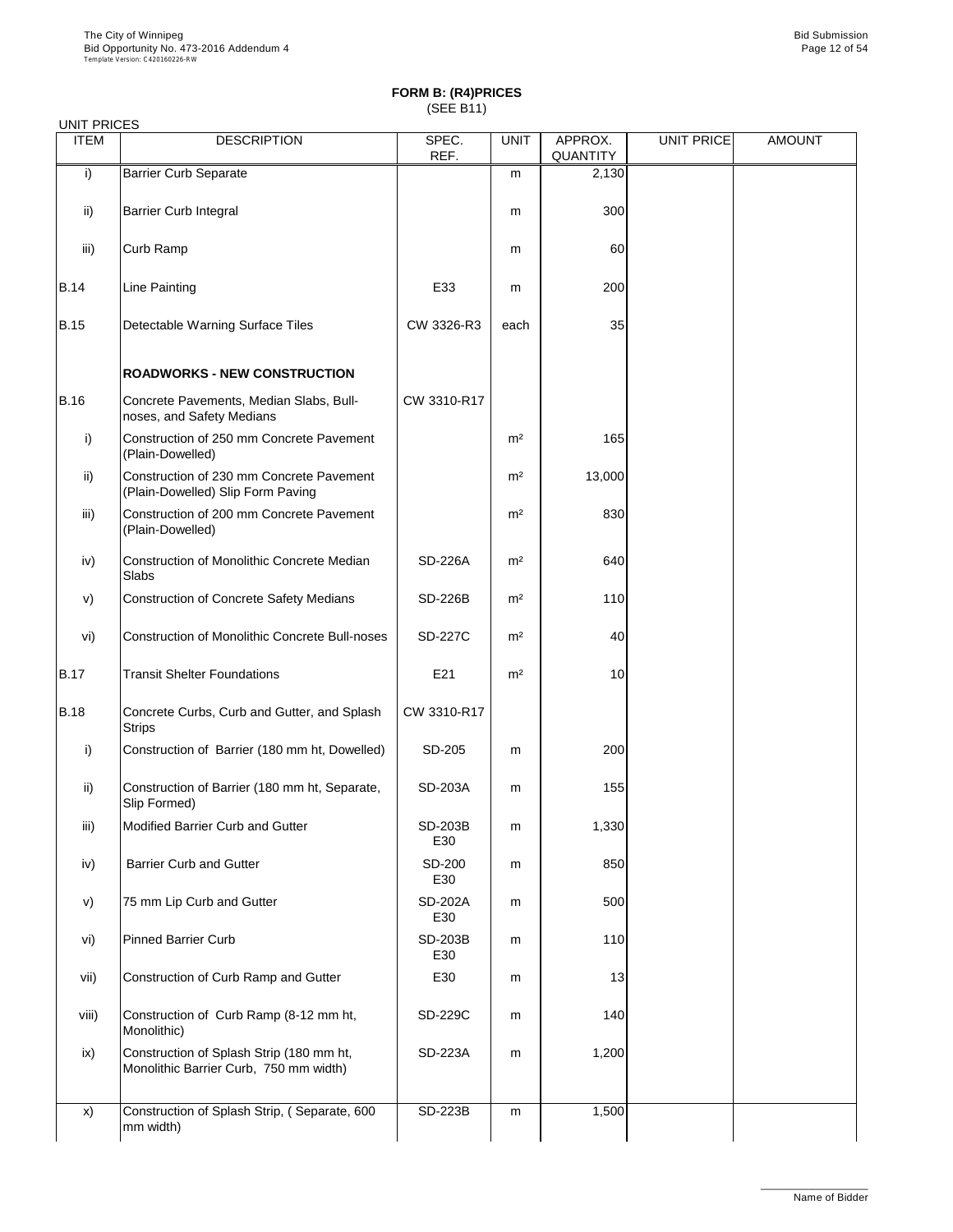| <b>UNIT PRICES</b> |                                                                                    |                       |                |                     |                   |               |
|--------------------|------------------------------------------------------------------------------------|-----------------------|----------------|---------------------|-------------------|---------------|
| <b>ITEM</b>        | <b>DESCRIPTION</b>                                                                 | SPEC.<br>REF.         | <b>UNIT</b>    | APPROX.<br>QUANTITY | <b>UNIT PRICE</b> | <b>AMOUNT</b> |
| i)                 | <b>Barrier Curb Separate</b>                                                       |                       | m              | 2,130               |                   |               |
| ii)                | Barrier Curb Integral                                                              |                       | m              | 300                 |                   |               |
| iii)               | Curb Ramp                                                                          |                       | m              | 60                  |                   |               |
| <b>B.14</b>        | <b>Line Painting</b>                                                               | E33                   | m              | 200                 |                   |               |
| <b>B.15</b>        | Detectable Warning Surface Tiles                                                   | CW 3326-R3            | each           | 35                  |                   |               |
|                    | <b>ROADWORKS - NEW CONSTRUCTION</b>                                                |                       |                |                     |                   |               |
| <b>B.16</b>        | Concrete Pavements, Median Slabs, Bull-<br>noses, and Safety Medians               | CW 3310-R17           |                |                     |                   |               |
| i)                 | Construction of 250 mm Concrete Pavement<br>(Plain-Dowelled)                       |                       | m <sup>2</sup> | 165                 |                   |               |
| ii)                | Construction of 230 mm Concrete Pavement<br>(Plain-Dowelled) Slip Form Paving      |                       | m <sup>2</sup> | 13,000              |                   |               |
| iii)               | Construction of 200 mm Concrete Pavement<br>(Plain-Dowelled)                       |                       | m <sup>2</sup> | 830                 |                   |               |
| iv)                | Construction of Monolithic Concrete Median<br>Slabs                                | SD-226A               | m <sup>2</sup> | 640                 |                   |               |
| v)                 | Construction of Concrete Safety Medians                                            | SD-226B               | m <sup>2</sup> | 110                 |                   |               |
| vi)                | <b>Construction of Monolithic Concrete Bull-noses</b>                              | <b>SD-227C</b>        | m <sup>2</sup> | 40                  |                   |               |
| <b>B.17</b>        | <b>Transit Shelter Foundations</b>                                                 | E21                   | m <sup>2</sup> | 10                  |                   |               |
| <b>B.18</b>        | Concrete Curbs, Curb and Gutter, and Splash<br>Strips                              | CW 3310-R17           |                |                     |                   |               |
| i)                 | Construction of Barrier (180 mm ht, Dowelled)                                      | SD-205                | m              | 200                 |                   |               |
| ii)                | Construction of Barrier (180 mm ht, Separate,<br>Slip Formed)                      | SD-203A               | m              | 155                 |                   |               |
| iii)               | Modified Barrier Curb and Gutter                                                   | SD-203B<br>E30        | m              | 1,330               |                   |               |
| iv)                | <b>Barrier Curb and Gutter</b>                                                     | SD-200<br>E30         | m              | 850                 |                   |               |
| v)                 | 75 mm Lip Curb and Gutter                                                          | SD-202A<br>E30        | m              | 500                 |                   |               |
| vi)                | Pinned Barrier Curb                                                                | <b>SD-203B</b><br>E30 | m              | 110                 |                   |               |
| vii)               | Construction of Curb Ramp and Gutter                                               | E30                   | m              | 13                  |                   |               |
| viii)              | Construction of Curb Ramp (8-12 mm ht,<br>Monolithic)                              | SD-229C               | m              | 140                 |                   |               |
| ix)                | Construction of Splash Strip (180 mm ht,<br>Monolithic Barrier Curb, 750 mm width) | SD-223A               | m              | 1,200               |                   |               |
| x)                 | Construction of Splash Strip, (Separate, 600<br>mm width)                          | SD-223B               | m              | 1,500               |                   |               |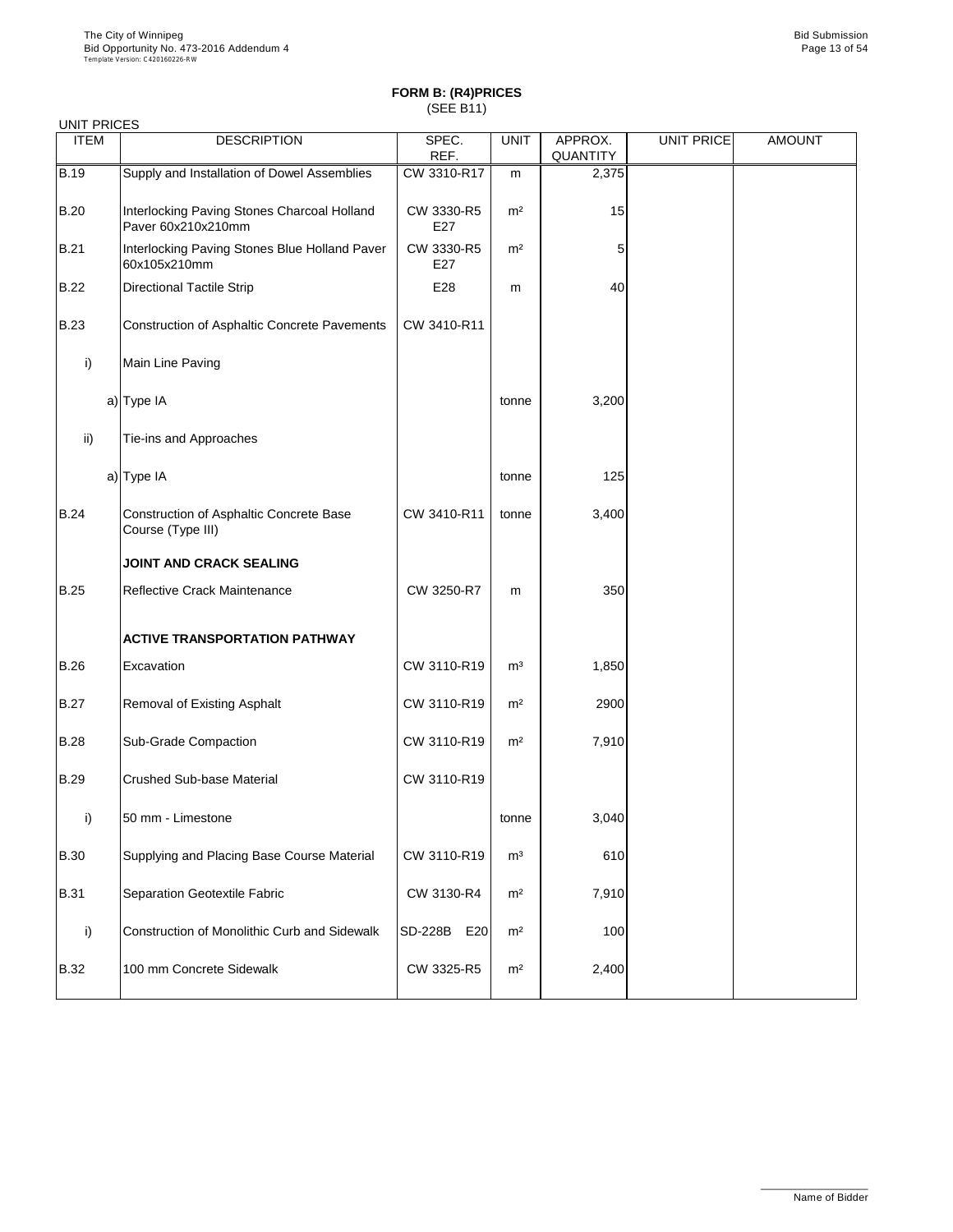| UNIT PRICES        |                                                                   |                   |                |                     |            |               |
|--------------------|-------------------------------------------------------------------|-------------------|----------------|---------------------|------------|---------------|
| <b>ITEM</b>        | <b>DESCRIPTION</b>                                                | SPEC.<br>REF.     | <b>UNIT</b>    | APPROX.<br>QUANTITY | UNIT PRICE | <b>AMOUNT</b> |
| $\overline{B}$ .19 | Supply and Installation of Dowel Assemblies                       | CW 3310-R17       | m              | 2,375               |            |               |
| <b>B.20</b>        | Interlocking Paving Stones Charcoal Holland<br>Paver 60x210x210mm | CW 3330-R5<br>E27 | m <sup>2</sup> | 15                  |            |               |
| <b>B.21</b>        | Interlocking Paving Stones Blue Holland Paver<br>60x105x210mm     | CW 3330-R5<br>E27 | m <sup>2</sup> | 5                   |            |               |
| <b>B.22</b>        | <b>Directional Tactile Strip</b>                                  | E28               | m              | 40                  |            |               |
| <b>B.23</b>        | Construction of Asphaltic Concrete Pavements                      | CW 3410-R11       |                |                     |            |               |
| i)                 | Main Line Paving                                                  |                   |                |                     |            |               |
|                    | a) Type IA                                                        |                   | tonne          | 3,200               |            |               |
| ii)                | Tie-ins and Approaches                                            |                   |                |                     |            |               |
|                    | a) Type IA                                                        |                   | tonne          | 125                 |            |               |
| <b>B.24</b>        | Construction of Asphaltic Concrete Base<br>Course (Type III)      | CW 3410-R11       | tonne          | 3,400               |            |               |
|                    | <b>JOINT AND CRACK SEALING</b>                                    |                   |                |                     |            |               |
| <b>B.25</b>        | Reflective Crack Maintenance                                      | CW 3250-R7        | m              | 350                 |            |               |
|                    | <b>ACTIVE TRANSPORTATION PATHWAY</b>                              |                   |                |                     |            |               |
| <b>B.26</b>        | Excavation                                                        | CW 3110-R19       | m <sup>3</sup> | 1,850               |            |               |
| <b>B.27</b>        | Removal of Existing Asphalt                                       | CW 3110-R19       | m <sup>2</sup> | 2900                |            |               |
| <b>B.28</b>        | Sub-Grade Compaction                                              | CW 3110-R19       | m <sup>2</sup> | 7,910               |            |               |
| <b>B.29</b>        | Crushed Sub-base Material                                         | CW 3110-R19       |                |                     |            |               |
| i)                 | 50 mm - Limestone                                                 |                   | tonne          | 3,040               |            |               |
| <b>B.30</b>        | Supplying and Placing Base Course Material                        | CW 3110-R19       | $\mathsf{m}^3$ | 610                 |            |               |
| <b>B.31</b>        | Separation Geotextile Fabric                                      | CW 3130-R4        | m <sup>2</sup> | 7,910               |            |               |
| i)                 | Construction of Monolithic Curb and Sidewalk                      | SD-228B<br>E20    | m <sup>2</sup> | 100                 |            |               |
| <b>B.32</b>        | 100 mm Concrete Sidewalk                                          | CW 3325-R5        | m <sup>2</sup> | 2,400               |            |               |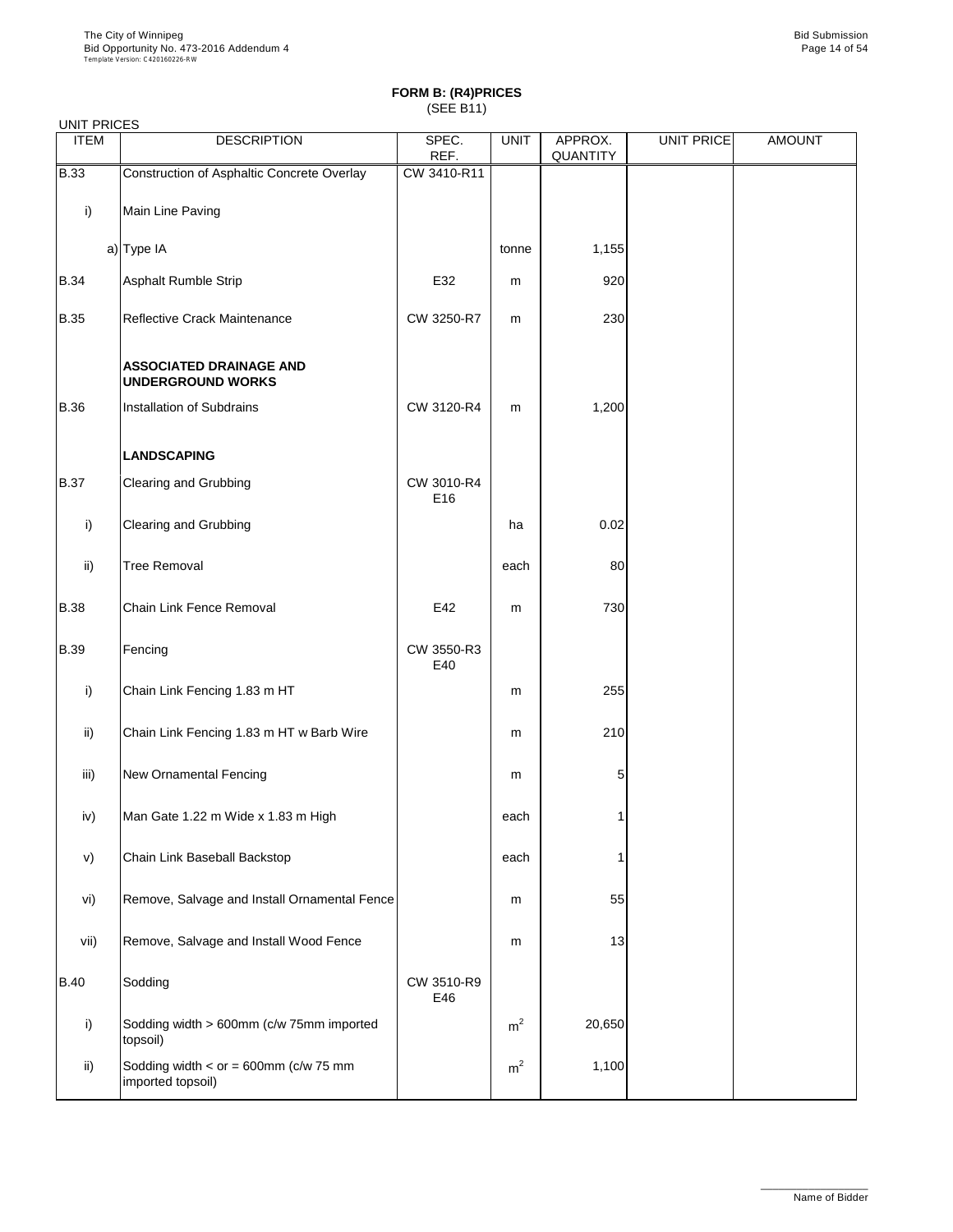| <b>UNIT PRICES</b> |                                                              |                   |                |                     |                   |               |
|--------------------|--------------------------------------------------------------|-------------------|----------------|---------------------|-------------------|---------------|
| <b>ITEM</b>        | <b>DESCRIPTION</b>                                           | SPEC.<br>REF.     | <b>UNIT</b>    | APPROX.<br>QUANTITY | <b>UNIT PRICE</b> | <b>AMOUNT</b> |
| <b>B.33</b>        | Construction of Asphaltic Concrete Overlay                   | CW 3410-R11       |                |                     |                   |               |
| i)                 | Main Line Paving                                             |                   |                |                     |                   |               |
|                    | a) Type IA                                                   |                   | tonne          | 1,155               |                   |               |
| <b>B.34</b>        | Asphalt Rumble Strip                                         | E32               | m              | 920                 |                   |               |
| <b>B.35</b>        | Reflective Crack Maintenance                                 | CW 3250-R7        | m              | 230                 |                   |               |
|                    | <b>ASSOCIATED DRAINAGE AND</b><br><b>UNDERGROUND WORKS</b>   |                   |                |                     |                   |               |
| <b>B.36</b>        | Installation of Subdrains                                    | CW 3120-R4        | m              | 1,200               |                   |               |
|                    | <b>LANDSCAPING</b>                                           |                   |                |                     |                   |               |
| <b>B.37</b>        | Clearing and Grubbing                                        | CW 3010-R4<br>E16 |                |                     |                   |               |
| i)                 | Clearing and Grubbing                                        |                   | ha             | 0.02                |                   |               |
| ii)                | <b>Tree Removal</b>                                          |                   | each           | 80                  |                   |               |
| <b>B.38</b>        | Chain Link Fence Removal                                     | E42               | m              | 730                 |                   |               |
| <b>B.39</b>        | Fencing                                                      | CW 3550-R3<br>E40 |                |                     |                   |               |
| i)                 | Chain Link Fencing 1.83 m HT                                 |                   | m              | 255                 |                   |               |
| ii)                | Chain Link Fencing 1.83 m HT w Barb Wire                     |                   | m              | 210                 |                   |               |
| iii)               | New Ornamental Fencing                                       |                   | m              | 5                   |                   |               |
| iv)                | Man Gate 1.22 m Wide x 1.83 m High                           |                   | each           |                     |                   |               |
| v)                 | Chain Link Baseball Backstop                                 |                   | each           | 1                   |                   |               |
| vi)                | Remove, Salvage and Install Ornamental Fence                 |                   | m              | 55                  |                   |               |
| vii)               | Remove, Salvage and Install Wood Fence                       |                   | m              | 13                  |                   |               |
| <b>B.40</b>        | Sodding                                                      | CW 3510-R9<br>E46 |                |                     |                   |               |
| i)                 | Sodding width > 600mm (c/w 75mm imported<br>topsoil)         |                   | m <sup>2</sup> | 20,650              |                   |               |
| ii)                | Sodding width $<$ or = 600mm (c/w 75 mm<br>imported topsoil) |                   | m <sup>2</sup> | 1,100               |                   |               |
|                    |                                                              |                   |                |                     |                   |               |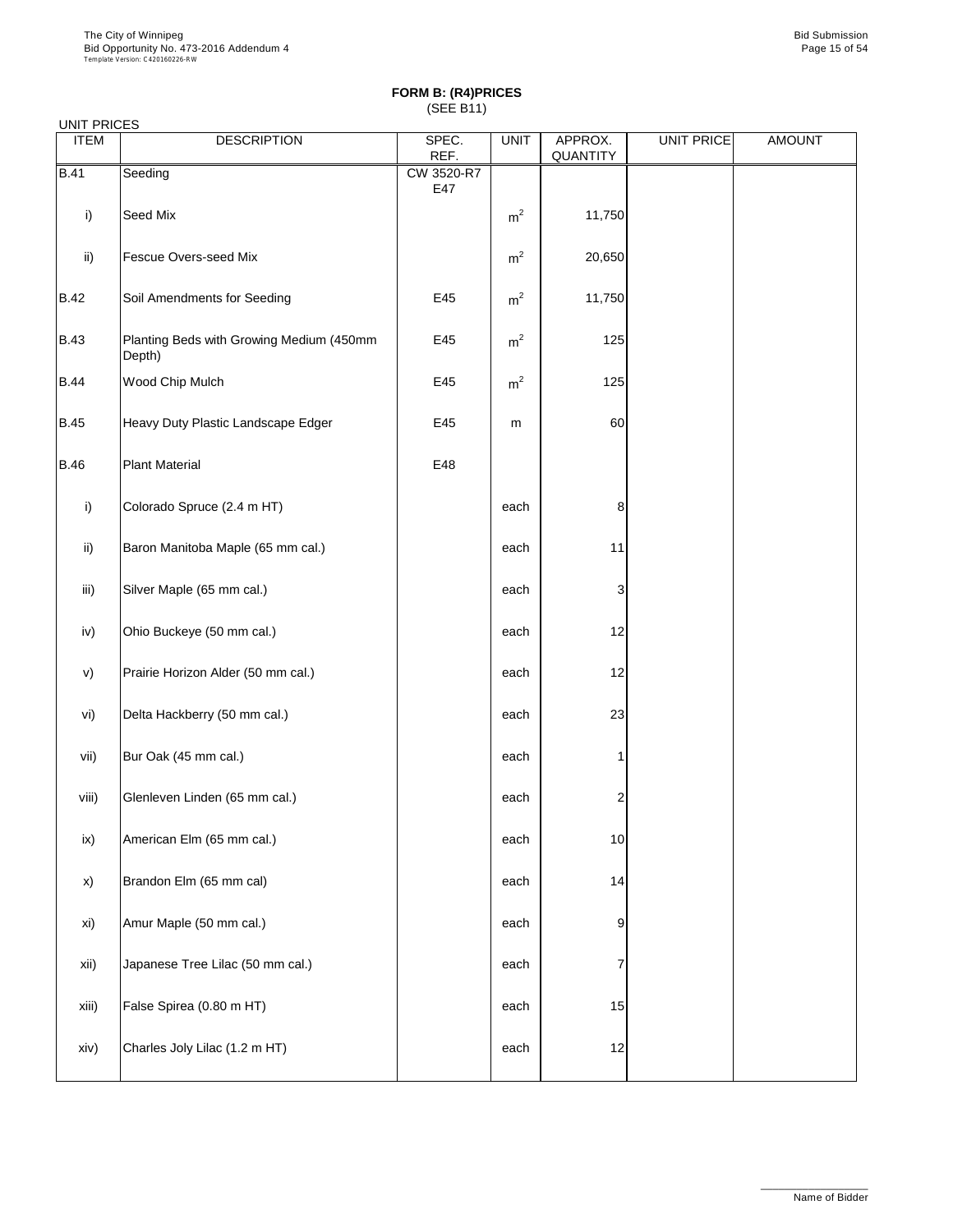|             | UNIT PRICES                                        |                   |                |                     |                   |               |  |  |  |
|-------------|----------------------------------------------------|-------------------|----------------|---------------------|-------------------|---------------|--|--|--|
| <b>ITEM</b> | <b>DESCRIPTION</b>                                 | SPEC.<br>REF.     | <b>UNIT</b>    | APPROX.<br>QUANTITY | <b>UNIT PRICE</b> | <b>AMOUNT</b> |  |  |  |
| <b>B.41</b> | Seeding                                            | CW 3520-R7<br>E47 |                |                     |                   |               |  |  |  |
| i)          | Seed Mix                                           |                   | $m^2$          | 11,750              |                   |               |  |  |  |
| ii)         | Fescue Overs-seed Mix                              |                   | m <sup>2</sup> | 20,650              |                   |               |  |  |  |
| <b>B.42</b> | Soil Amendments for Seeding                        | E45               | m <sup>2</sup> | 11,750              |                   |               |  |  |  |
| <b>B.43</b> | Planting Beds with Growing Medium (450mm<br>Depth) | E45               | m <sup>2</sup> | 125                 |                   |               |  |  |  |
| <b>B.44</b> | Wood Chip Mulch                                    | E45               | m <sup>2</sup> | 125                 |                   |               |  |  |  |
| <b>B.45</b> | Heavy Duty Plastic Landscape Edger                 | E45               | m              | 60                  |                   |               |  |  |  |
| <b>B.46</b> | <b>Plant Material</b>                              | E48               |                |                     |                   |               |  |  |  |
| i)          | Colorado Spruce (2.4 m HT)                         |                   | each           | 8                   |                   |               |  |  |  |
| ii)         | Baron Manitoba Maple (65 mm cal.)                  |                   | each           | 11                  |                   |               |  |  |  |
| iii)        | Silver Maple (65 mm cal.)                          |                   | each           | 3                   |                   |               |  |  |  |
| iv)         | Ohio Buckeye (50 mm cal.)                          |                   | each           | 12                  |                   |               |  |  |  |
| v)          | Prairie Horizon Alder (50 mm cal.)                 |                   | each           | 12                  |                   |               |  |  |  |
| vi)         | Delta Hackberry (50 mm cal.)                       |                   | each           | 23                  |                   |               |  |  |  |
| vii)        | Bur Oak (45 mm cal.)                               |                   | each           | 1                   |                   |               |  |  |  |
| viii)       | Glenleven Linden (65 mm cal.)                      |                   | each           | 2                   |                   |               |  |  |  |
| ix)         | American Elm (65 mm cal.)                          |                   | each           | $10$                |                   |               |  |  |  |
| x)          | Brandon Elm (65 mm cal)                            |                   | each           | 14                  |                   |               |  |  |  |
| xi)         | Amur Maple (50 mm cal.)                            |                   | each           | 9                   |                   |               |  |  |  |
| xii)        | Japanese Tree Lilac (50 mm cal.)                   |                   | each           | 7                   |                   |               |  |  |  |
| xiii)       | False Spirea (0.80 m HT)                           |                   | each           | 15                  |                   |               |  |  |  |
| xiv)        | Charles Joly Lilac (1.2 m HT)                      |                   | each           | 12                  |                   |               |  |  |  |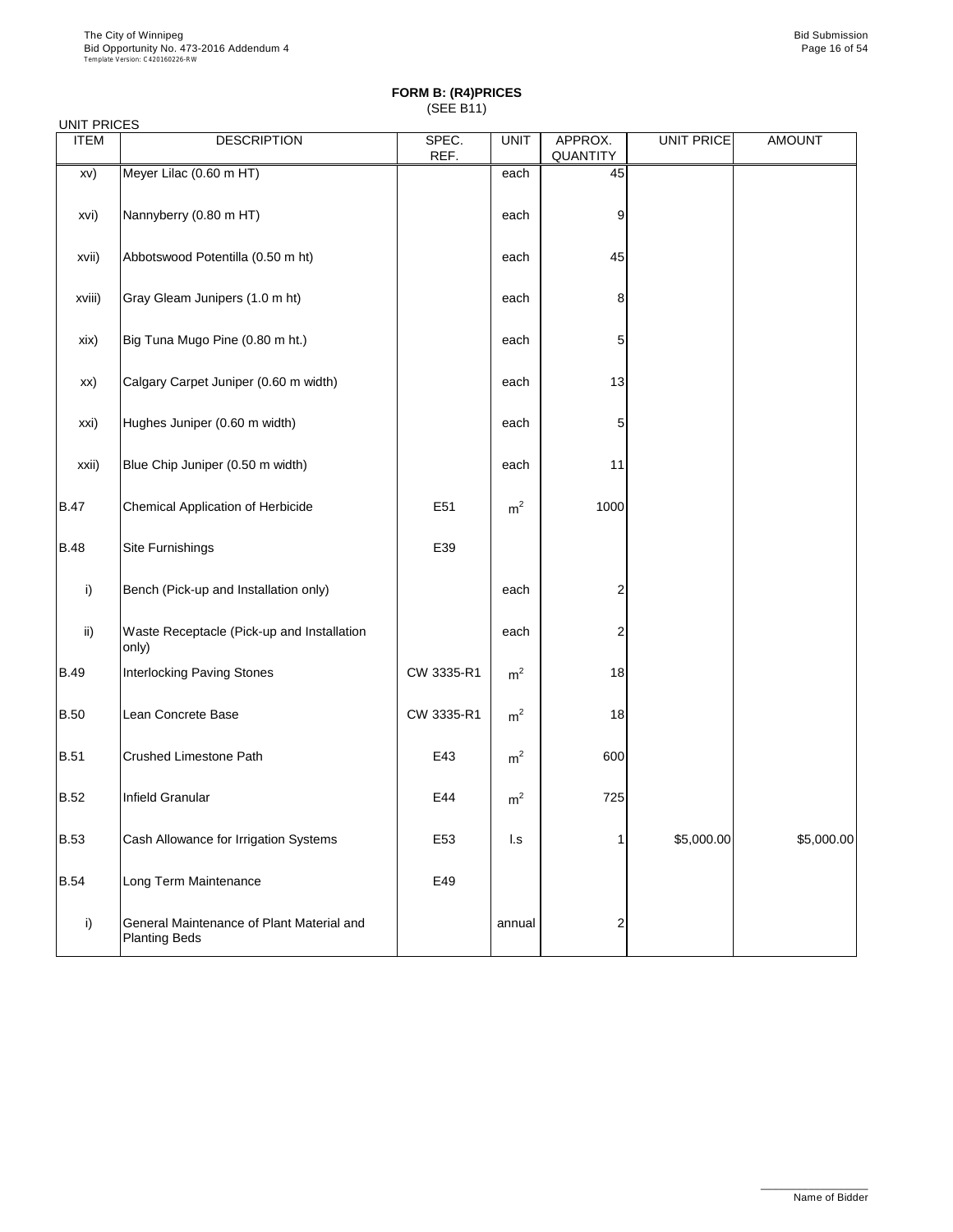UNIT PRICES

#### **FORM B: (R4)PRICES** (SEE B11)

| <b>ITEM</b> | <b>DESCRIPTION</b>                                                | SPEC.<br>REF. | <b>UNIT</b>    | APPROX.<br><b>QUANTITY</b> | <b>UNIT PRICE</b> | <b>AMOUNT</b> |
|-------------|-------------------------------------------------------------------|---------------|----------------|----------------------------|-------------------|---------------|
| xv)         | Meyer Lilac (0.60 m HT)                                           |               | each           | 45                         |                   |               |
| xvi)        | Nannyberry (0.80 m HT)                                            |               | each           | 9                          |                   |               |
| xvii)       | Abbotswood Potentilla (0.50 m ht)                                 |               | each           | 45                         |                   |               |
| xviii)      | Gray Gleam Junipers (1.0 m ht)                                    |               | each           | 8                          |                   |               |
| xix)        | Big Tuna Mugo Pine (0.80 m ht.)                                   |               | each           | 5                          |                   |               |
| xx)         | Calgary Carpet Juniper (0.60 m width)                             |               | each           | 13                         |                   |               |
| xxi)        | Hughes Juniper (0.60 m width)                                     |               | each           | 5                          |                   |               |
| xxii)       | Blue Chip Juniper (0.50 m width)                                  |               | each           | 11                         |                   |               |
| <b>B.47</b> | Chemical Application of Herbicide                                 | E51           | m <sup>2</sup> | 1000                       |                   |               |
| <b>B.48</b> | Site Furnishings                                                  | E39           |                |                            |                   |               |
| i)          | Bench (Pick-up and Installation only)                             |               | each           | 2                          |                   |               |
| ii)         | Waste Receptacle (Pick-up and Installation<br>only)               |               | each           | 2                          |                   |               |
| <b>B.49</b> | Interlocking Paving Stones                                        | CW 3335-R1    | m <sup>2</sup> | 18                         |                   |               |
| <b>B.50</b> | Lean Concrete Base                                                | CW 3335-R1    | m <sup>2</sup> | 18                         |                   |               |
| <b>B.51</b> | <b>Crushed Limestone Path</b>                                     | E43           | m <sup>2</sup> | 600                        |                   |               |
| <b>B.52</b> | Infield Granular                                                  | E44           | m <sup>2</sup> | 725                        |                   |               |
| <b>B.53</b> | Cash Allowance for Irrigation Systems                             | E53           | l.s            | $\mathbf{1}$               | \$5,000.00        | \$5,000.00    |
| <b>B.54</b> | Long Term Maintenance                                             | E49           |                |                            |                   |               |
| i)          | General Maintenance of Plant Material and<br><b>Planting Beds</b> |               | annual         | $\overline{\mathbf{c}}$    |                   |               |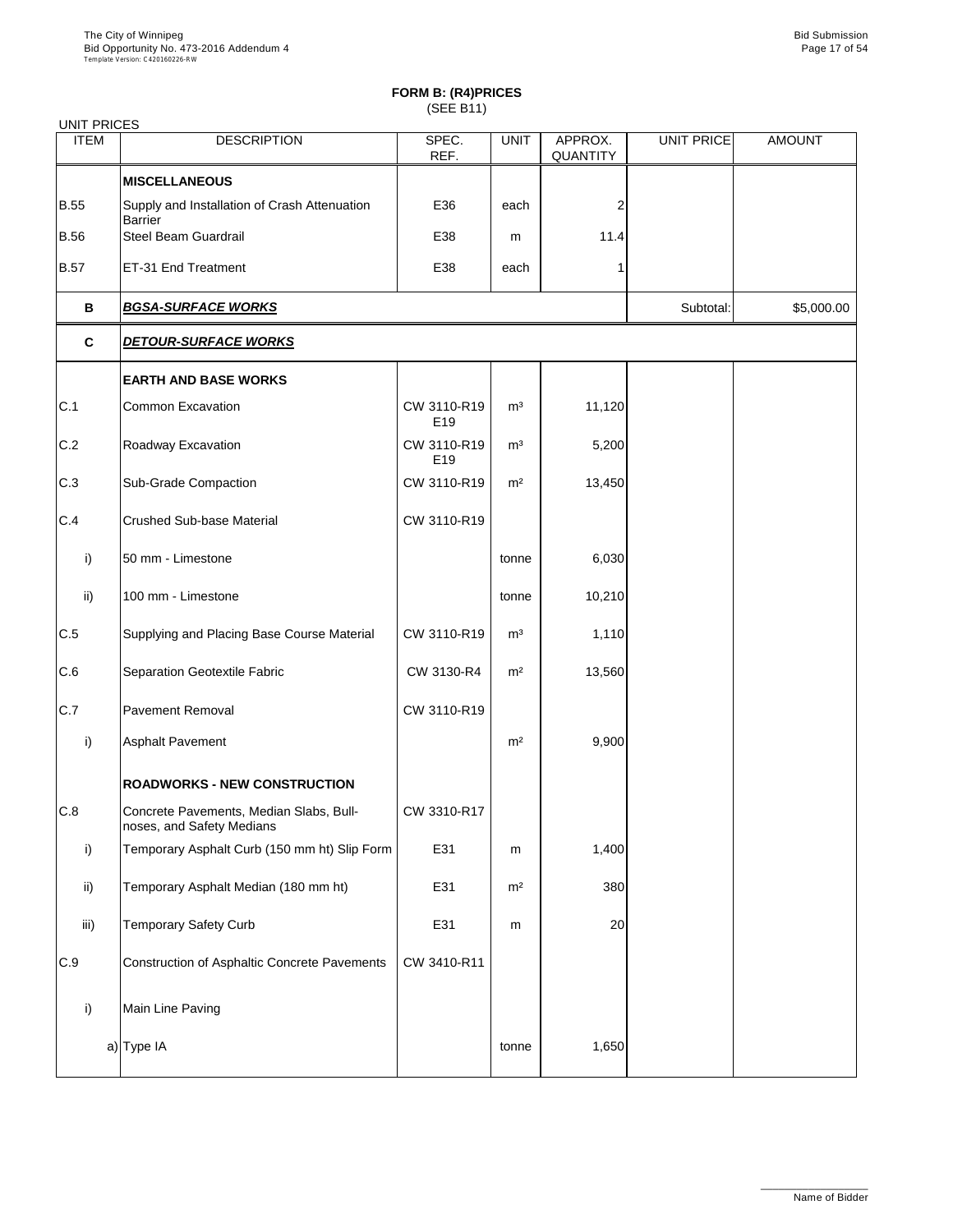| <b>UNIT PRICES</b> |                                                                      |                    |                |                     |                   |               |
|--------------------|----------------------------------------------------------------------|--------------------|----------------|---------------------|-------------------|---------------|
| <b>ITEM</b>        | <b>DESCRIPTION</b>                                                   | SPEC.<br>REF.      | <b>UNIT</b>    | APPROX.<br>QUANTITY | <b>UNIT PRICE</b> | <b>AMOUNT</b> |
|                    | <b>MISCELLANEOUS</b>                                                 |                    |                |                     |                   |               |
| <b>B.55</b>        | Supply and Installation of Crash Attenuation<br><b>Barrier</b>       | E36                | each           | 2                   |                   |               |
| <b>B.56</b>        | Steel Beam Guardrail                                                 | E38                | m              | 11.4                |                   |               |
| <b>B.57</b>        | ET-31 End Treatment                                                  | E38                | each           |                     |                   |               |
| В                  | <b>BGSA-SURFACE WORKS</b>                                            |                    |                |                     | Subtotal:         | \$5,000.00    |
| C                  | <b>DETOUR-SURFACE WORKS</b>                                          |                    |                |                     |                   |               |
|                    | <b>EARTH AND BASE WORKS</b>                                          |                    |                |                     |                   |               |
| C.1                | Common Excavation                                                    | CW 3110-R19<br>E19 | m <sup>3</sup> | 11,120              |                   |               |
| C.2                | Roadway Excavation                                                   | CW 3110-R19<br>E19 | m <sup>3</sup> | 5,200               |                   |               |
| C.3                | Sub-Grade Compaction                                                 | CW 3110-R19        | m <sup>2</sup> | 13,450              |                   |               |
| C.4                | <b>Crushed Sub-base Material</b>                                     | CW 3110-R19        |                |                     |                   |               |
| i)                 | 50 mm - Limestone                                                    |                    | tonne          | 6,030               |                   |               |
| ii)                | 100 mm - Limestone                                                   |                    | tonne          | 10,210              |                   |               |
| C.5                | Supplying and Placing Base Course Material                           | CW 3110-R19        | m <sup>3</sup> | 1,110               |                   |               |
| C.6                | Separation Geotextile Fabric                                         | CW 3130-R4         | m <sup>2</sup> | 13,560              |                   |               |
| C.7                | <b>Pavement Removal</b>                                              | CW 3110-R19        |                |                     |                   |               |
| i)                 | Asphalt Pavement                                                     |                    | m <sup>2</sup> | 9,900               |                   |               |
|                    | <b>ROADWORKS - NEW CONSTRUCTION</b>                                  |                    |                |                     |                   |               |
| C.8                | Concrete Pavements, Median Slabs, Bull-<br>noses, and Safety Medians | CW 3310-R17        |                |                     |                   |               |
| i)                 | Temporary Asphalt Curb (150 mm ht) Slip Form                         | E31                | m              | 1,400               |                   |               |
| ii)                | Temporary Asphalt Median (180 mm ht)                                 | E31                | m <sup>2</sup> | 380                 |                   |               |
| iii)               | Temporary Safety Curb                                                | E31                | m              | 20                  |                   |               |
| C.9                | Construction of Asphaltic Concrete Pavements                         | CW 3410-R11        |                |                     |                   |               |
| i)                 | Main Line Paving                                                     |                    |                |                     |                   |               |
|                    | a) Type IA                                                           |                    | tonne          | 1,650               |                   |               |
|                    |                                                                      |                    |                |                     |                   |               |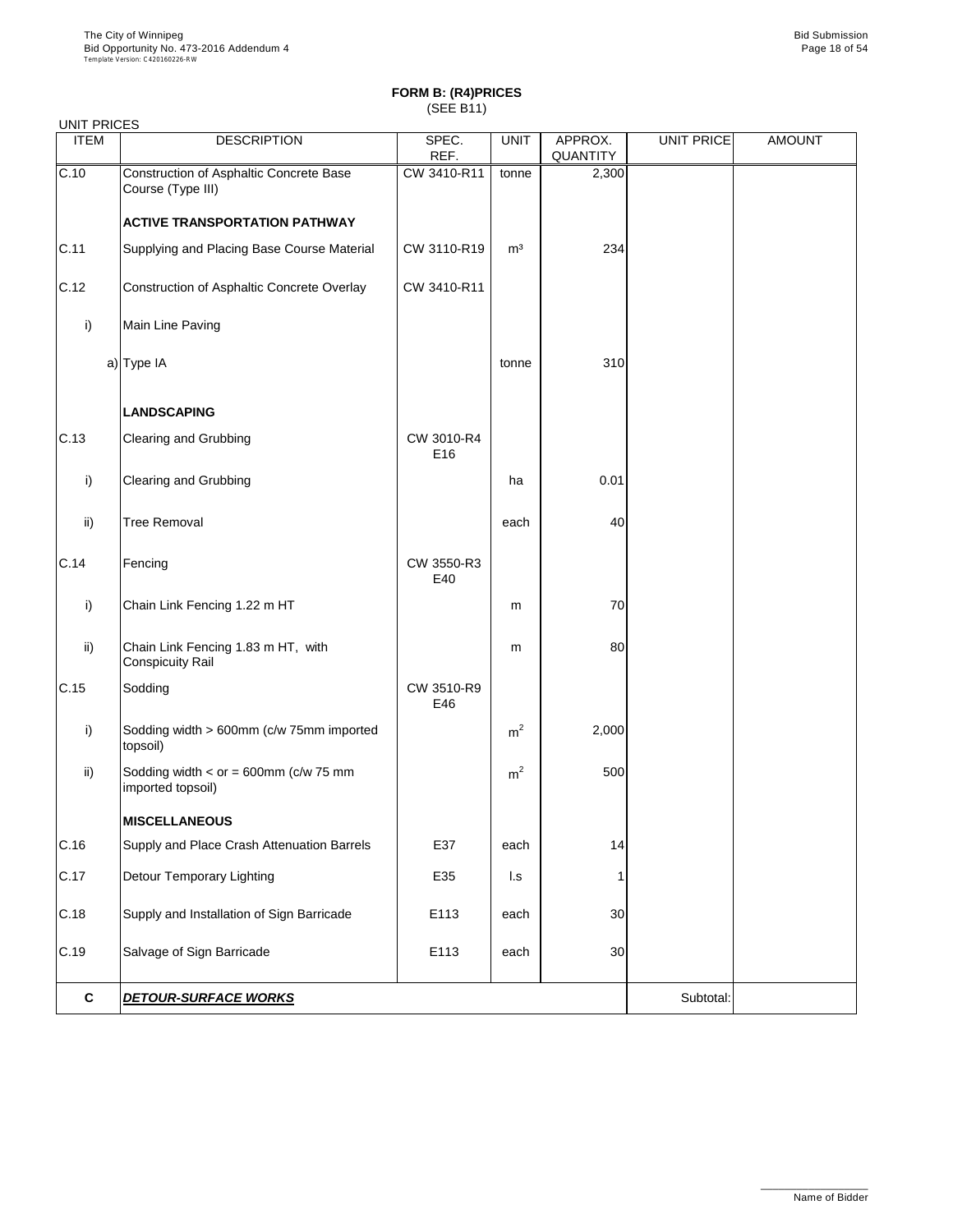|              | <b>UNIT PRICES</b>                                            |                   |                |                     |                   |               |  |  |  |
|--------------|---------------------------------------------------------------|-------------------|----------------|---------------------|-------------------|---------------|--|--|--|
| <b>ITEM</b>  | <b>DESCRIPTION</b>                                            | SPEC.<br>REF.     | <b>UNIT</b>    | APPROX.<br>QUANTITY | <b>UNIT PRICE</b> | <b>AMOUNT</b> |  |  |  |
| C.10         | Construction of Asphaltic Concrete Base<br>Course (Type III)  | CW 3410-R11       | tonne          | 2,300               |                   |               |  |  |  |
|              | <b>ACTIVE TRANSPORTATION PATHWAY</b>                          |                   |                |                     |                   |               |  |  |  |
| C.11         | Supplying and Placing Base Course Material                    | CW 3110-R19       | m <sup>3</sup> | 234                 |                   |               |  |  |  |
| C.12         | Construction of Asphaltic Concrete Overlay                    | CW 3410-R11       |                |                     |                   |               |  |  |  |
| i)           | Main Line Paving                                              |                   |                |                     |                   |               |  |  |  |
|              | a) Type IA                                                    |                   | tonne          | 310                 |                   |               |  |  |  |
|              | <b>LANDSCAPING</b>                                            |                   |                |                     |                   |               |  |  |  |
| C.13         | Clearing and Grubbing                                         | CW 3010-R4<br>E16 |                |                     |                   |               |  |  |  |
| i)           | Clearing and Grubbing                                         |                   | ha             | 0.01                |                   |               |  |  |  |
| ii)          | <b>Tree Removal</b>                                           |                   | each           | 40                  |                   |               |  |  |  |
| C.14         | Fencing                                                       | CW 3550-R3<br>E40 |                |                     |                   |               |  |  |  |
| i)           | Chain Link Fencing 1.22 m HT                                  |                   | m              | 70                  |                   |               |  |  |  |
| ii)          | Chain Link Fencing 1.83 m HT, with<br><b>Conspicuity Rail</b> |                   | m              | 80                  |                   |               |  |  |  |
| C.15         | Sodding                                                       | CW 3510-R9<br>E46 |                |                     |                   |               |  |  |  |
| i)           | Sodding width > 600mm (c/w 75mm imported<br>topsoil)          |                   | m <sup>2</sup> | 2,000               |                   |               |  |  |  |
| ii)          | Sodding width $<$ or = 600mm (c/w 75 mm<br>imported topsoil)  |                   | m <sup>2</sup> | 500                 |                   |               |  |  |  |
|              | <b>MISCELLANEOUS</b>                                          |                   |                |                     |                   |               |  |  |  |
| C.16         | Supply and Place Crash Attenuation Barrels                    | E37               | each           | 14                  |                   |               |  |  |  |
| C.17         | Detour Temporary Lighting                                     | E35               | l.s            |                     |                   |               |  |  |  |
| C.18         | Supply and Installation of Sign Barricade                     | E113              | each           | 30                  |                   |               |  |  |  |
| C.19         | Salvage of Sign Barricade                                     | E113              | each           | 30                  |                   |               |  |  |  |
| $\mathbf{C}$ | <b>DETOUR-SURFACE WORKS</b>                                   |                   |                |                     | Subtotal:         |               |  |  |  |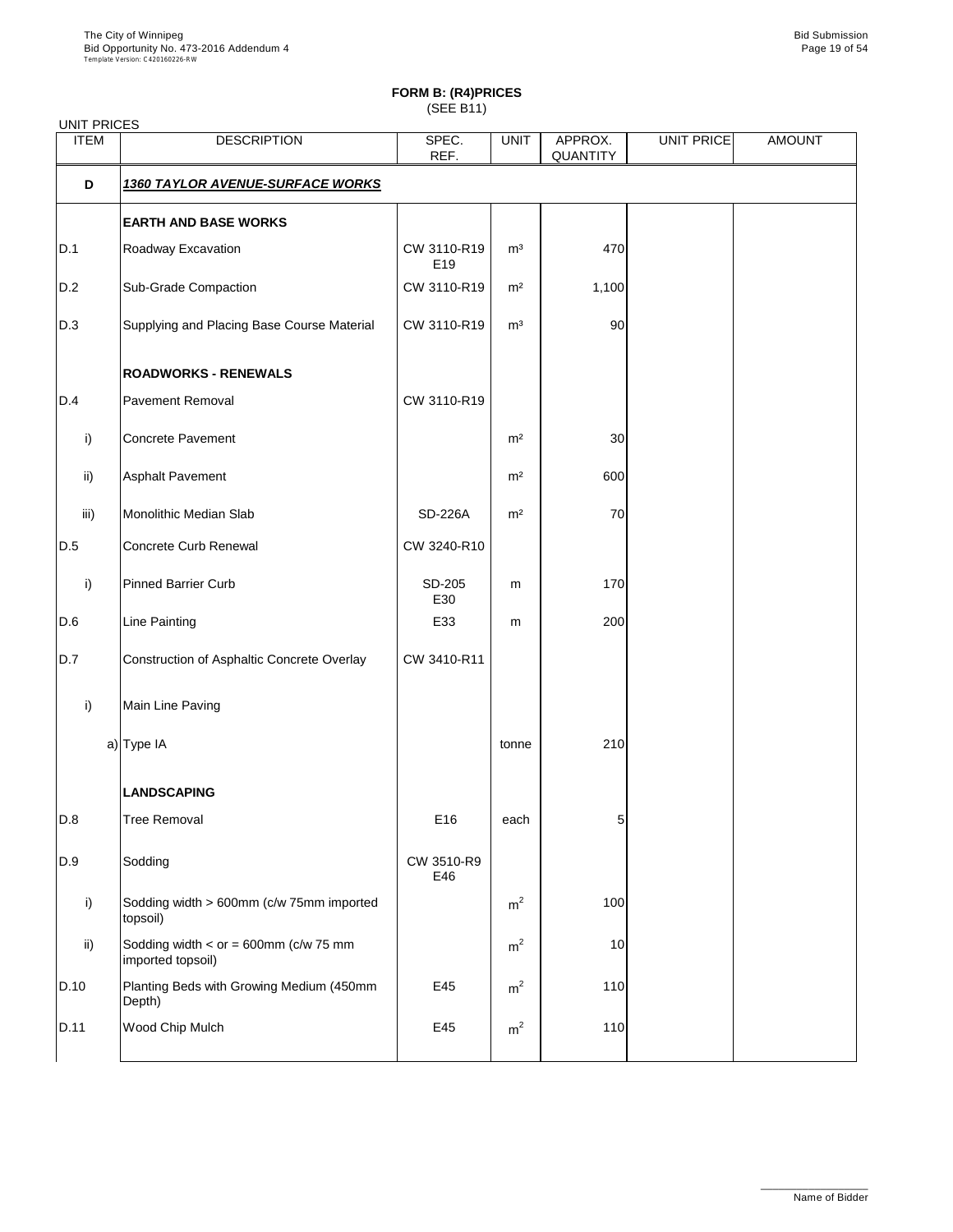| <b>UNIT PRICES</b> |                                                                  |                    |                |                     |                   |               |
|--------------------|------------------------------------------------------------------|--------------------|----------------|---------------------|-------------------|---------------|
| <b>ITEM</b>        | <b>DESCRIPTION</b>                                               | SPEC.<br>REF.      | <b>UNIT</b>    | APPROX.<br>QUANTITY | <b>UNIT PRICE</b> | <b>AMOUNT</b> |
| D                  | <u>1360 TAYLOR AVENUE-SURFACE WORKS</u>                          |                    |                |                     |                   |               |
|                    | <b>EARTH AND BASE WORKS</b>                                      |                    |                |                     |                   |               |
| D.1                | Roadway Excavation                                               | CW 3110-R19<br>E19 | m <sup>3</sup> | 470                 |                   |               |
| D.2                | Sub-Grade Compaction                                             | CW 3110-R19        | m <sup>2</sup> | 1,100               |                   |               |
| D.3                | Supplying and Placing Base Course Material                       | CW 3110-R19        | m <sup>3</sup> | 90                  |                   |               |
|                    | <b>ROADWORKS - RENEWALS</b>                                      |                    |                |                     |                   |               |
| D.4                | <b>Pavement Removal</b>                                          | CW 3110-R19        |                |                     |                   |               |
| i)                 | <b>Concrete Pavement</b>                                         |                    | m <sup>2</sup> | $30\,$              |                   |               |
| ii)                | Asphalt Pavement                                                 |                    | m <sup>2</sup> | 600                 |                   |               |
| iii)               | Monolithic Median Slab                                           | <b>SD-226A</b>     | m <sup>2</sup> | 70                  |                   |               |
| D.5                | Concrete Curb Renewal                                            | CW 3240-R10        |                |                     |                   |               |
| i)                 | <b>Pinned Barrier Curb</b>                                       | SD-205<br>E30      | m              | 170                 |                   |               |
| D.6                | Line Painting                                                    | E33                | m              | 200                 |                   |               |
| D.7                | Construction of Asphaltic Concrete Overlay                       | CW 3410-R11        |                |                     |                   |               |
| i)                 | Main Line Paving                                                 |                    |                |                     |                   |               |
|                    | a) Type IA                                                       |                    | tonne          | 210                 |                   |               |
|                    | <b>LANDSCAPING</b>                                               |                    |                |                     |                   |               |
| D.8                | <b>Tree Removal</b>                                              | E16                | each           | 5                   |                   |               |
| D.9                | Sodding                                                          | CW 3510-R9<br>E46  |                |                     |                   |               |
| i)                 | Sodding width > 600mm (c/w 75mm imported<br>topsoil)             |                    | m <sup>2</sup> | 100                 |                   |               |
| ii)                | Sodding width < $or = 600$ mm ( $c/w$ 75 mm<br>imported topsoil) |                    | m <sup>2</sup> | 10                  |                   |               |
| D.10               | Planting Beds with Growing Medium (450mm<br>Depth)               | E45                | m <sup>2</sup> | 110                 |                   |               |
| D.11               | Wood Chip Mulch                                                  | E45                | m <sup>2</sup> | 110                 |                   |               |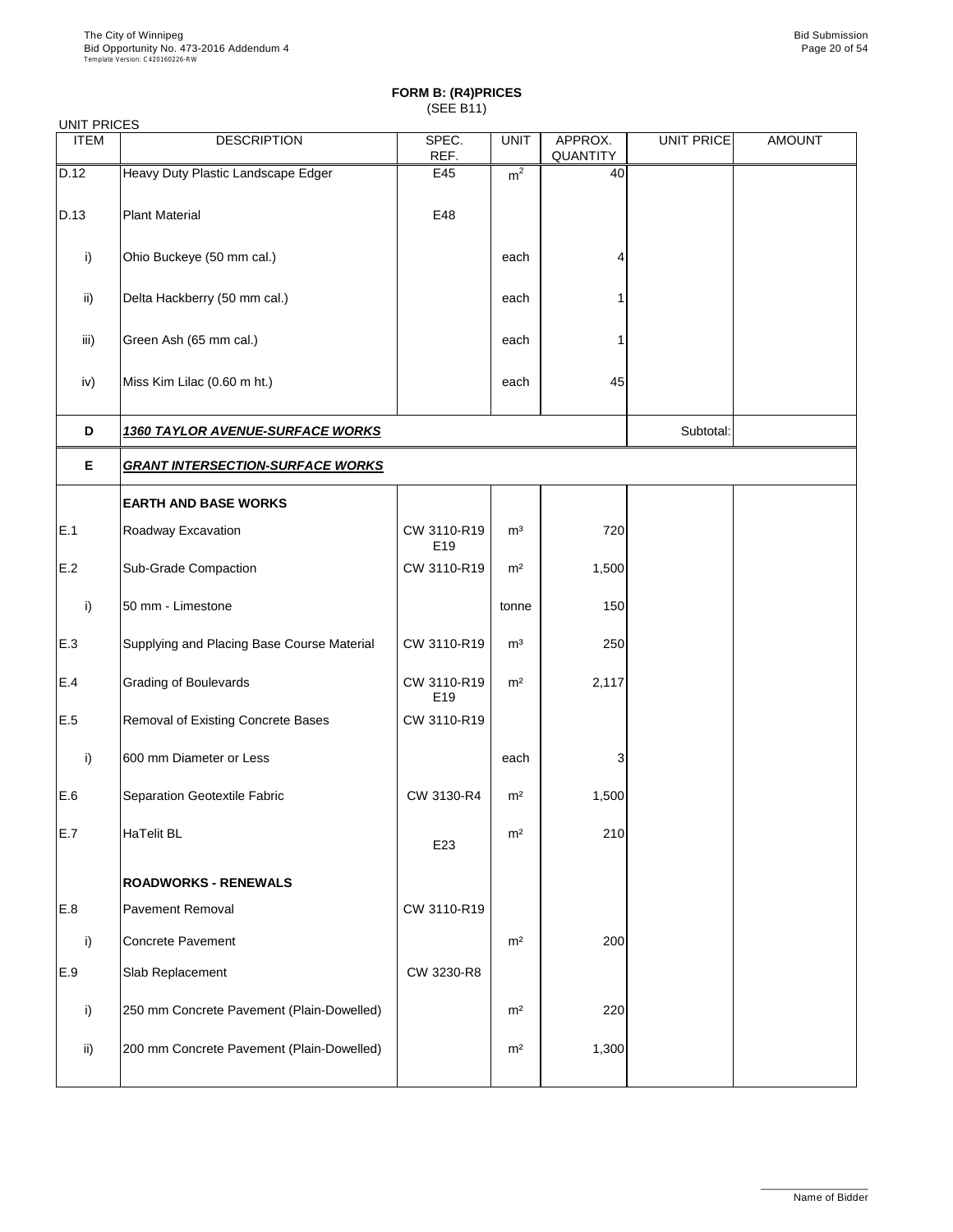| <b>UNIT PRICES</b> |                                            |                    |                |                     |                   |               |
|--------------------|--------------------------------------------|--------------------|----------------|---------------------|-------------------|---------------|
| <b>ITEM</b>        | <b>DESCRIPTION</b>                         | SPEC.<br>REF.      | <b>UNIT</b>    | APPROX.<br>QUANTITY | <b>UNIT PRICE</b> | <b>AMOUNT</b> |
| D.12               | Heavy Duty Plastic Landscape Edger         | E45                | m <sup>2</sup> | 40                  |                   |               |
| D.13               | <b>Plant Material</b>                      | E48                |                |                     |                   |               |
| i)                 | Ohio Buckeye (50 mm cal.)                  |                    | each           |                     |                   |               |
| ii)                | Delta Hackberry (50 mm cal.)               |                    | each           |                     |                   |               |
| iii)               | Green Ash (65 mm cal.)                     |                    | each           |                     |                   |               |
| iv)                | Miss Kim Lilac (0.60 m ht.)                |                    | each           | 45                  |                   |               |
| D                  | <b>1360 TAYLOR AVENUE-SURFACE WORKS</b>    |                    | Subtotal:      |                     |                   |               |
| Е                  | <b>GRANT INTERSECTION-SURFACE WORKS</b>    |                    |                |                     |                   |               |
|                    | <b>EARTH AND BASE WORKS</b>                |                    |                |                     |                   |               |
| E.1                | Roadway Excavation                         | CW 3110-R19<br>E19 | m <sup>3</sup> | 720                 |                   |               |
| E.2                | Sub-Grade Compaction                       | CW 3110-R19        | m <sup>2</sup> | 1,500               |                   |               |
| i)                 | 50 mm - Limestone                          |                    | tonne          | 150                 |                   |               |
| E.3                | Supplying and Placing Base Course Material | CW 3110-R19        | m <sup>3</sup> | 250                 |                   |               |
| E.4                | Grading of Boulevards                      | CW 3110-R19<br>E19 | m <sup>2</sup> | 2,117               |                   |               |
| E.5                | Removal of Existing Concrete Bases         | CW 3110-R19        |                |                     |                   |               |
| i)                 | 600 mm Diameter or Less                    |                    | each           | 3                   |                   |               |
| E.6                | Separation Geotextile Fabric               | CW 3130-R4         | m <sup>2</sup> | 1,500               |                   |               |
| E.7                | HaTelit BL                                 | E23                | m <sup>2</sup> | 210                 |                   |               |
|                    | <b>ROADWORKS - RENEWALS</b>                |                    |                |                     |                   |               |
| E.8                | Pavement Removal                           | CW 3110-R19        |                |                     |                   |               |
| i)                 | Concrete Pavement                          |                    | m <sup>2</sup> | 200                 |                   |               |
| E.9                | Slab Replacement                           | CW 3230-R8         |                |                     |                   |               |
| i)                 | 250 mm Concrete Pavement (Plain-Dowelled)  |                    | m <sup>2</sup> | 220                 |                   |               |
| ii)                | 200 mm Concrete Pavement (Plain-Dowelled)  |                    | m <sup>2</sup> | 1,300               |                   |               |
|                    |                                            |                    |                |                     |                   |               |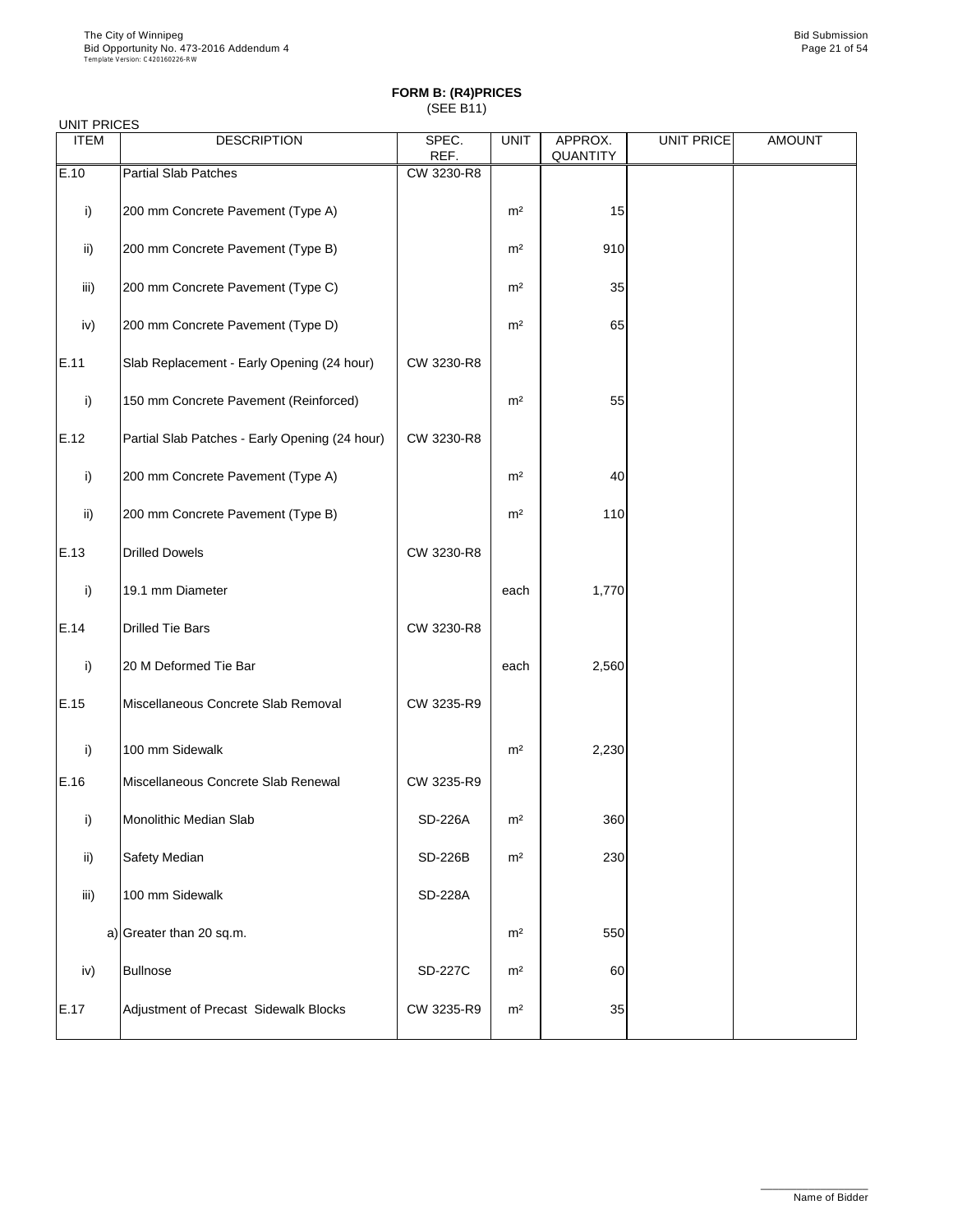| UNIT PRICES |                                                |                |                |                     |                   |               |
|-------------|------------------------------------------------|----------------|----------------|---------------------|-------------------|---------------|
| <b>ITEM</b> | <b>DESCRIPTION</b>                             | SPEC.<br>REF.  | <b>UNIT</b>    | APPROX.<br>QUANTITY | <b>UNIT PRICE</b> | <b>AMOUNT</b> |
| E.10        | <b>Partial Slab Patches</b>                    | CW 3230-R8     |                |                     |                   |               |
| i)          | 200 mm Concrete Pavement (Type A)              |                | m <sup>2</sup> | 15                  |                   |               |
| ii)         | 200 mm Concrete Pavement (Type B)              |                | m <sup>2</sup> | 910                 |                   |               |
| iii)        | 200 mm Concrete Pavement (Type C)              |                | m <sup>2</sup> | 35                  |                   |               |
| iv)         | 200 mm Concrete Pavement (Type D)              |                | m <sup>2</sup> | 65                  |                   |               |
| E.11        | Slab Replacement - Early Opening (24 hour)     | CW 3230-R8     |                |                     |                   |               |
| i)          | 150 mm Concrete Pavement (Reinforced)          |                | m <sup>2</sup> | 55                  |                   |               |
| E.12        | Partial Slab Patches - Early Opening (24 hour) | CW 3230-R8     |                |                     |                   |               |
| i)          | 200 mm Concrete Pavement (Type A)              |                | m <sup>2</sup> | 40                  |                   |               |
| ii)         | 200 mm Concrete Pavement (Type B)              |                | m <sup>2</sup> | 110                 |                   |               |
| E.13        | <b>Drilled Dowels</b>                          | CW 3230-R8     |                |                     |                   |               |
| i)          | 19.1 mm Diameter                               |                | each           | 1,770               |                   |               |
| E.14        | <b>Drilled Tie Bars</b>                        | CW 3230-R8     |                |                     |                   |               |
| i)          | 20 M Deformed Tie Bar                          |                | each           | 2,560               |                   |               |
| E.15        | Miscellaneous Concrete Slab Removal            | CW 3235-R9     |                |                     |                   |               |
| i)          | 100 mm Sidewalk                                |                | m <sup>2</sup> | 2,230               |                   |               |
| E.16        | Miscellaneous Concrete Slab Renewal            | CW 3235-R9     |                |                     |                   |               |
| i)          | Monolithic Median Slab                         | <b>SD-226A</b> | m <sup>2</sup> | 360                 |                   |               |
| ii)         | Safety Median                                  | SD-226B        | m <sup>2</sup> | 230                 |                   |               |
| iii)        | 100 mm Sidewalk                                | <b>SD-228A</b> |                |                     |                   |               |
|             | a) Greater than 20 sq.m.                       |                | m <sup>2</sup> | 550                 |                   |               |
| iv)         | <b>Bullnose</b>                                | <b>SD-227C</b> | m <sup>2</sup> | 60                  |                   |               |
| E.17        | Adjustment of Precast Sidewalk Blocks          | CW 3235-R9     | m <sup>2</sup> | 35                  |                   |               |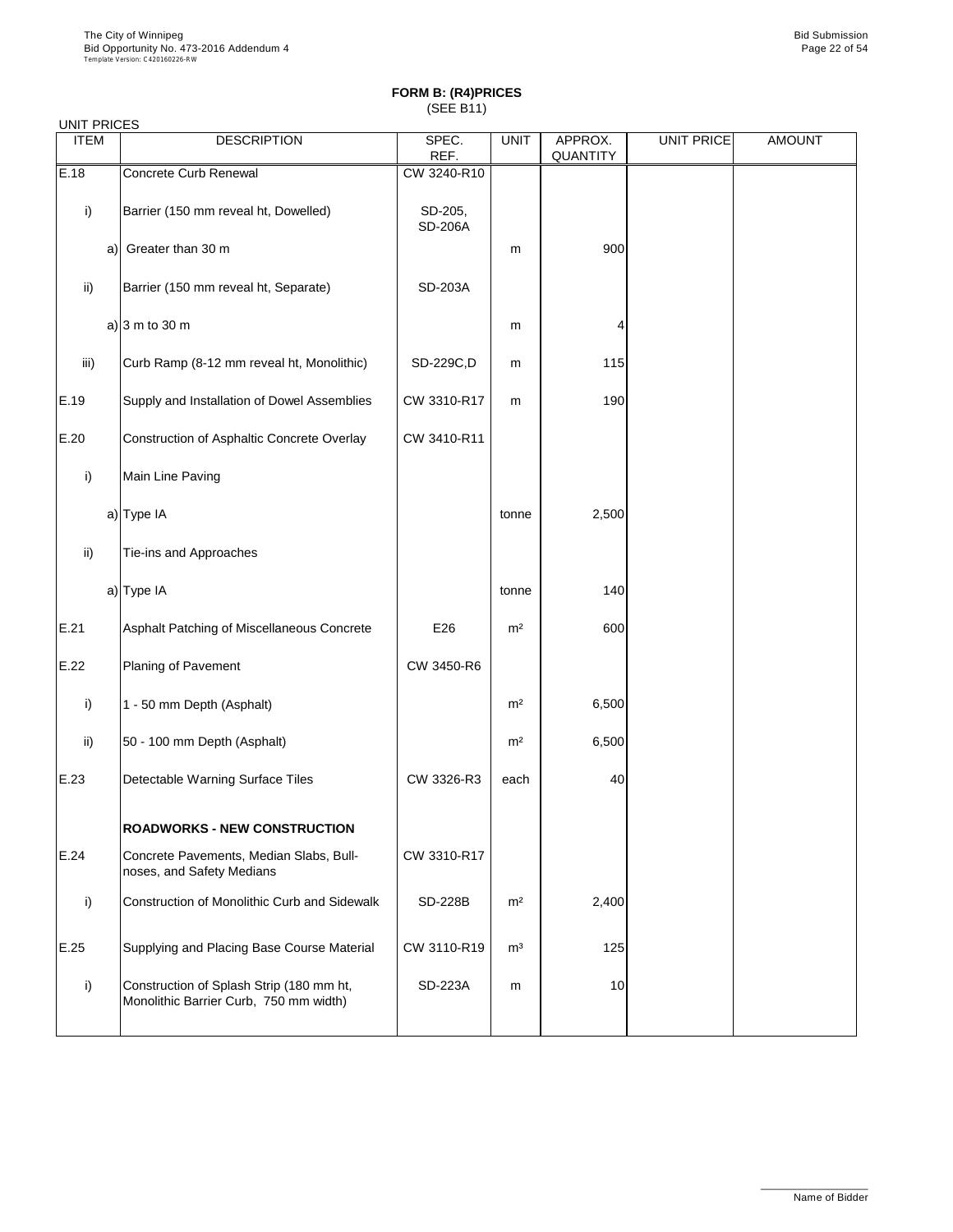| <b>UNIT PRICES</b> |    |                                                                                    |                           |                |                     |                   |               |
|--------------------|----|------------------------------------------------------------------------------------|---------------------------|----------------|---------------------|-------------------|---------------|
| <b>ITEM</b>        |    | <b>DESCRIPTION</b>                                                                 | SPEC.<br>REF.             | <b>UNIT</b>    | APPROX.<br>QUANTITY | <b>UNIT PRICE</b> | <b>AMOUNT</b> |
| E.18               |    | Concrete Curb Renewal                                                              | CW 3240-R10               |                |                     |                   |               |
| i)                 |    | Barrier (150 mm reveal ht, Dowelled)                                               | SD-205,<br><b>SD-206A</b> |                |                     |                   |               |
|                    | a) | Greater than 30 m                                                                  |                           | m              | 900                 |                   |               |
| $\mathsf{ii}$ )    |    | Barrier (150 mm reveal ht, Separate)                                               | SD-203A                   |                |                     |                   |               |
|                    |    | a) $ 3 \text{ m}$ to 30 m                                                          |                           | m              | Δ                   |                   |               |
| iii)               |    | Curb Ramp (8-12 mm reveal ht, Monolithic)                                          | SD-229C,D                 | m              | 115                 |                   |               |
| E.19               |    | Supply and Installation of Dowel Assemblies                                        | CW 3310-R17               | m              | 190                 |                   |               |
| E.20               |    | Construction of Asphaltic Concrete Overlay                                         | CW 3410-R11               |                |                     |                   |               |
| i)                 |    | Main Line Paving                                                                   |                           |                |                     |                   |               |
|                    |    | a) Type IA                                                                         |                           | tonne          | 2,500               |                   |               |
| ii)                |    | Tie-ins and Approaches                                                             |                           |                |                     |                   |               |
|                    |    | a) Type IA                                                                         |                           | tonne          | 140                 |                   |               |
| E.21               |    | Asphalt Patching of Miscellaneous Concrete                                         | E26                       | m <sup>2</sup> | 600                 |                   |               |
| E.22               |    | Planing of Pavement                                                                | CW 3450-R6                |                |                     |                   |               |
| i)                 |    | 1 - 50 mm Depth (Asphalt)                                                          |                           | m <sup>2</sup> | 6,500               |                   |               |
| $\mathsf{ii}$ )    |    | 50 - 100 mm Depth (Asphalt)                                                        |                           | m <sup>2</sup> | 6,500               |                   |               |
| E.23               |    | Detectable Warning Surface Tiles                                                   | CW 3326-R3                | each           | 40                  |                   |               |
|                    |    | <b>ROADWORKS - NEW CONSTRUCTION</b>                                                |                           |                |                     |                   |               |
| E.24               |    | Concrete Pavements, Median Slabs, Bull-<br>noses, and Safety Medians               | CW 3310-R17               |                |                     |                   |               |
| i)                 |    | Construction of Monolithic Curb and Sidewalk                                       | <b>SD-228B</b>            | m <sup>2</sup> | 2,400               |                   |               |
| E.25               |    | Supplying and Placing Base Course Material                                         | CW 3110-R19               | $\mathsf{m}^3$ | 125                 |                   |               |
| i)                 |    | Construction of Splash Strip (180 mm ht,<br>Monolithic Barrier Curb, 750 mm width) | SD-223A                   | m              | 10                  |                   |               |
|                    |    |                                                                                    |                           |                |                     |                   |               |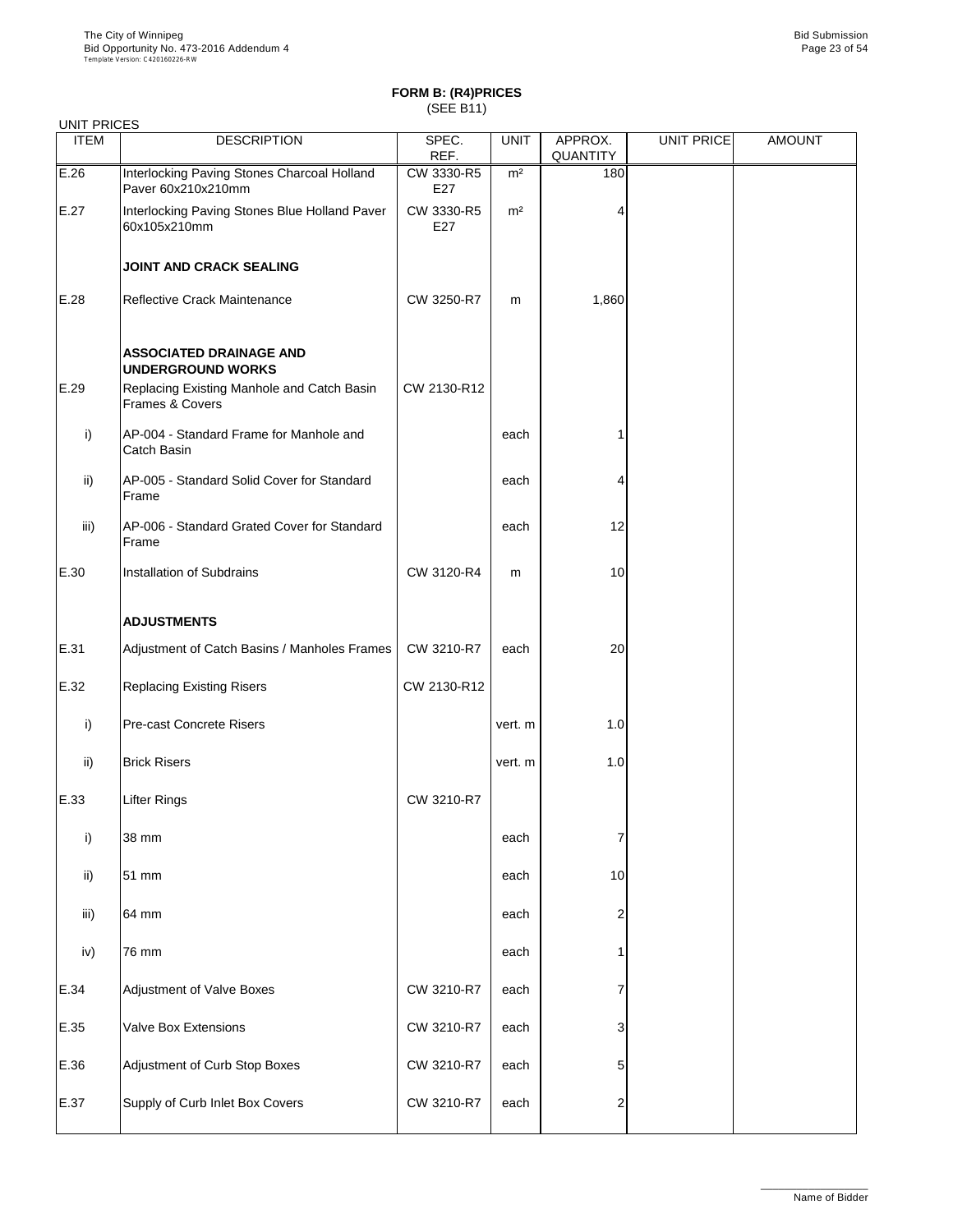| <b>UNIT PRICES</b> |                                                                                                                             |                   |                |                     |            |               |
|--------------------|-----------------------------------------------------------------------------------------------------------------------------|-------------------|----------------|---------------------|------------|---------------|
| <b>ITEM</b>        | <b>DESCRIPTION</b>                                                                                                          | SPEC.<br>REF.     | <b>UNIT</b>    | APPROX.<br>QUANTITY | UNIT PRICE | <b>AMOUNT</b> |
| E.26               | Interlocking Paving Stones Charcoal Holland<br>Paver 60x210x210mm                                                           | CW 3330-R5<br>E27 | m <sup>2</sup> | 180                 |            |               |
| E.27               | Interlocking Paving Stones Blue Holland Paver<br>60x105x210mm                                                               | CW 3330-R5<br>E27 | m <sup>2</sup> | 4                   |            |               |
|                    | JOINT AND CRACK SEALING                                                                                                     |                   |                |                     |            |               |
| E.28               | Reflective Crack Maintenance                                                                                                | CW 3250-R7        | m              | 1,860               |            |               |
| E.29               | <b>ASSOCIATED DRAINAGE AND</b><br><b>UNDERGROUND WORKS</b><br>Replacing Existing Manhole and Catch Basin<br>Frames & Covers | CW 2130-R12       |                |                     |            |               |
| i)                 | AP-004 - Standard Frame for Manhole and<br>Catch Basin                                                                      |                   | each           |                     |            |               |
| ii)                | AP-005 - Standard Solid Cover for Standard<br>Frame                                                                         |                   | each           | 4                   |            |               |
| iii)               | AP-006 - Standard Grated Cover for Standard<br>Frame                                                                        |                   | each           | 12                  |            |               |
| E.30               | Installation of Subdrains                                                                                                   | CW 3120-R4        | m              | 10                  |            |               |
|                    | <b>ADJUSTMENTS</b>                                                                                                          |                   |                |                     |            |               |
| E.31               | Adjustment of Catch Basins / Manholes Frames                                                                                | CW 3210-R7        | each           | 20                  |            |               |
| E.32               | <b>Replacing Existing Risers</b>                                                                                            | CW 2130-R12       |                |                     |            |               |
| i)                 | Pre-cast Concrete Risers                                                                                                    |                   | vert. m        | 1.0                 |            |               |
| ii)                | <b>Brick Risers</b>                                                                                                         |                   | vert. m        | 1.0                 |            |               |
| E.33               | Lifter Rings                                                                                                                | CW 3210-R7        |                |                     |            |               |
| i)                 | 38 mm                                                                                                                       |                   | each           | 7                   |            |               |
| ii)                | 51 mm                                                                                                                       |                   | each           | 10                  |            |               |
| iii)               | 64 mm                                                                                                                       |                   | each           | 2                   |            |               |
| iv)                | 76 mm                                                                                                                       |                   | each           | 1                   |            |               |
| E.34               | Adjustment of Valve Boxes                                                                                                   | CW 3210-R7        | each           | 7                   |            |               |
| E.35               | Valve Box Extensions                                                                                                        | CW 3210-R7        | each           | 3                   |            |               |
| E.36               | Adjustment of Curb Stop Boxes                                                                                               | CW 3210-R7        | each           | 5                   |            |               |
| E.37               | Supply of Curb Inlet Box Covers                                                                                             | CW 3210-R7        | each           | 2                   |            |               |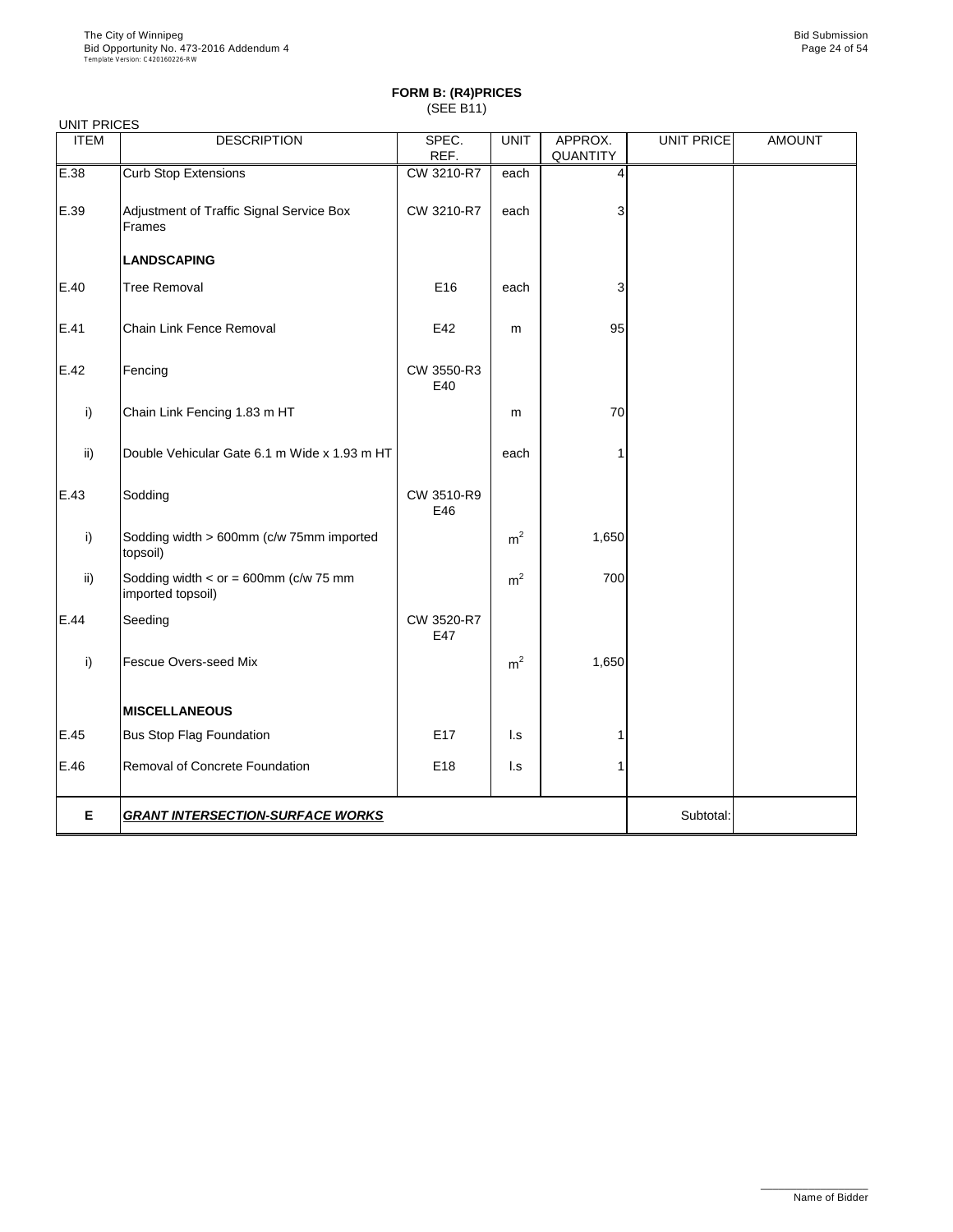|             | <b>UNIT PRICES</b>                                   |                   |                |                |                   |               |  |  |
|-------------|------------------------------------------------------|-------------------|----------------|----------------|-------------------|---------------|--|--|
| <b>ITEM</b> | <b>DESCRIPTION</b>                                   | SPEC.             | <b>UNIT</b>    | APPROX.        | <b>UNIT PRICE</b> | <b>AMOUNT</b> |  |  |
|             |                                                      | REF.              |                | QUANTITY       |                   |               |  |  |
| E.38        | <b>Curb Stop Extensions</b>                          | CW 3210-R7        | each           | $\overline{4}$ |                   |               |  |  |
|             |                                                      |                   |                |                |                   |               |  |  |
| E.39        | Adjustment of Traffic Signal Service Box             | CW 3210-R7        | each           | 3              |                   |               |  |  |
|             | Frames                                               |                   |                |                |                   |               |  |  |
|             | <b>LANDSCAPING</b>                                   |                   |                |                |                   |               |  |  |
| E.40        | <b>Tree Removal</b>                                  | E16               | each           | 3              |                   |               |  |  |
|             |                                                      |                   |                |                |                   |               |  |  |
| E.41        | Chain Link Fence Removal                             | E42               | m              | 95             |                   |               |  |  |
|             |                                                      |                   |                |                |                   |               |  |  |
| E.42        | Fencing                                              | CW 3550-R3        |                |                |                   |               |  |  |
|             |                                                      | E40               |                |                |                   |               |  |  |
| i)          | Chain Link Fencing 1.83 m HT                         |                   | m              | 70             |                   |               |  |  |
|             |                                                      |                   |                |                |                   |               |  |  |
| ii)         | Double Vehicular Gate 6.1 m Wide x 1.93 m HT         |                   | each           | 1              |                   |               |  |  |
|             |                                                      |                   |                |                |                   |               |  |  |
|             |                                                      |                   |                |                |                   |               |  |  |
| E.43        | Sodding                                              | CW 3510-R9<br>E46 |                |                |                   |               |  |  |
|             |                                                      |                   |                |                |                   |               |  |  |
| i)          | Sodding width > 600mm (c/w 75mm imported<br>topsoil) |                   | m <sup>2</sup> | 1,650          |                   |               |  |  |
|             |                                                      |                   |                |                |                   |               |  |  |
| ii)         | Sodding width $<$ or = 600mm (c/w 75 mm              |                   | m <sup>2</sup> | 700            |                   |               |  |  |
|             | imported topsoil)                                    |                   |                |                |                   |               |  |  |
| E.44        | Seeding                                              | CW 3520-R7        |                |                |                   |               |  |  |
|             |                                                      | E47               |                |                |                   |               |  |  |
| i)          | Fescue Overs-seed Mix                                |                   | m <sup>2</sup> | 1,650          |                   |               |  |  |
|             |                                                      |                   |                |                |                   |               |  |  |
|             | <b>MISCELLANEOUS</b>                                 |                   |                |                |                   |               |  |  |
|             |                                                      |                   |                |                |                   |               |  |  |
| E.45        | <b>Bus Stop Flag Foundation</b>                      | E17               | l.s            | 1              |                   |               |  |  |
| E.46        | Removal of Concrete Foundation                       | E18               | l.s            | 1              |                   |               |  |  |
|             |                                                      |                   |                |                |                   |               |  |  |
|             |                                                      |                   |                |                |                   |               |  |  |
| Е           | <b>GRANT INTERSECTION-SURFACE WORKS</b>              |                   |                |                | Subtotal:         |               |  |  |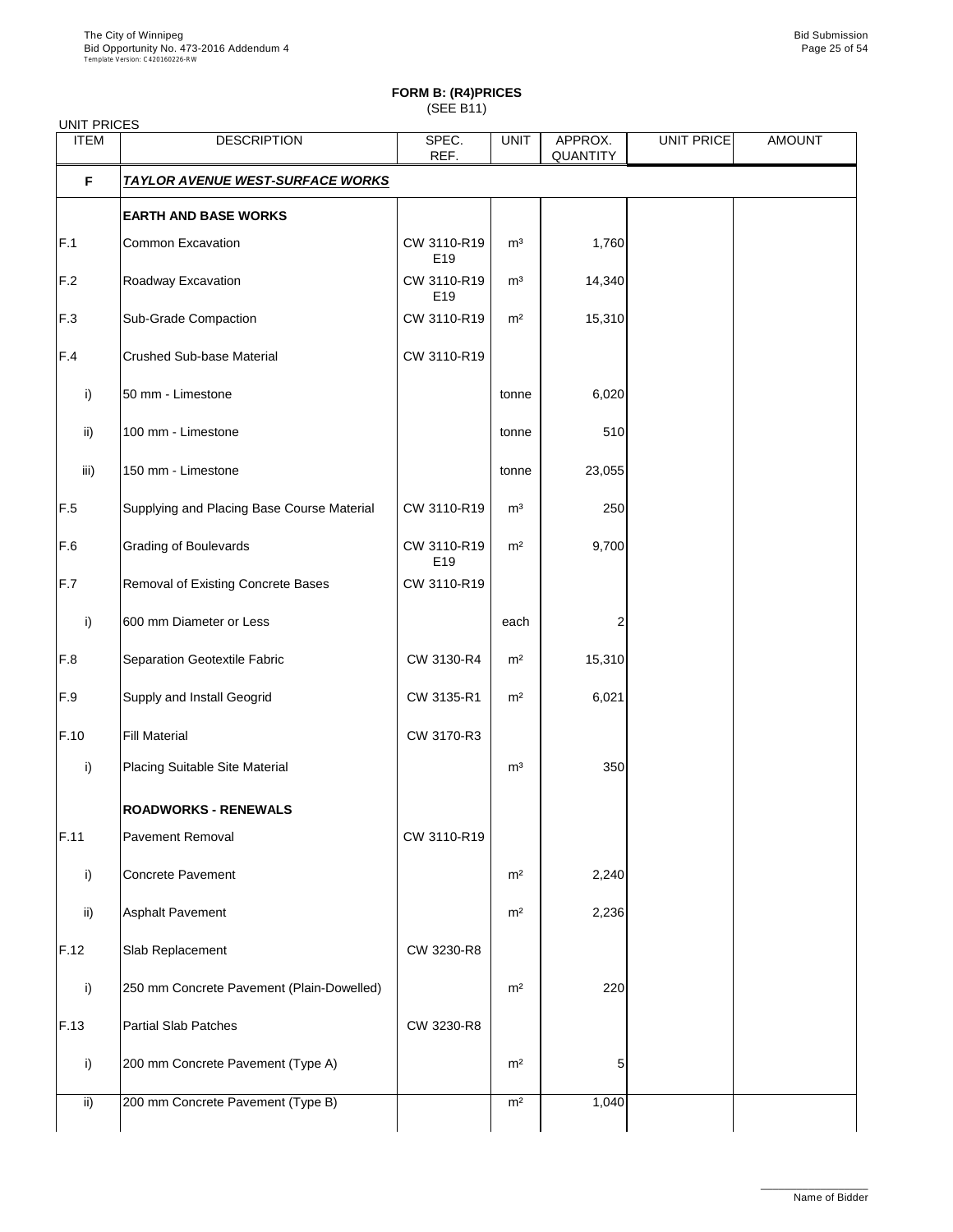# **FORM B: (R4)PRICES**

(SEE B11)

| <b>UNIT PRICES</b> |                                            |                    |                |                     |            |               |
|--------------------|--------------------------------------------|--------------------|----------------|---------------------|------------|---------------|
| <b>ITEM</b>        | <b>DESCRIPTION</b>                         | SPEC.<br>REF.      | <b>UNIT</b>    | APPROX.<br>QUANTITY | UNIT PRICE | <b>AMOUNT</b> |
| F                  | <u>TAYLOR AVENUE WEST-SURFACE WORKS</u>    |                    |                |                     |            |               |
|                    | <b>EARTH AND BASE WORKS</b>                |                    |                |                     |            |               |
| F.1                | Common Excavation                          | CW 3110-R19<br>E19 | m <sup>3</sup> | 1,760               |            |               |
| F.2                | Roadway Excavation                         | CW 3110-R19<br>E19 | m <sup>3</sup> | 14,340              |            |               |
| F.3                | Sub-Grade Compaction                       | CW 3110-R19        | m <sup>2</sup> | 15,310              |            |               |
| F.4                | Crushed Sub-base Material                  | CW 3110-R19        |                |                     |            |               |
| i)                 | 50 mm - Limestone                          |                    | tonne          | 6,020               |            |               |
| ii)                | 100 mm - Limestone                         |                    | tonne          | 510                 |            |               |
| iii)               | 150 mm - Limestone                         |                    | tonne          | 23,055              |            |               |
| F.5                | Supplying and Placing Base Course Material | CW 3110-R19        | m <sup>3</sup> | 250                 |            |               |
| F.6                | <b>Grading of Boulevards</b>               | CW 3110-R19<br>E19 | m <sup>2</sup> | 9,700               |            |               |
| F.7                | Removal of Existing Concrete Bases         | CW 3110-R19        |                |                     |            |               |
| i)                 | 600 mm Diameter or Less                    |                    | each           | $\overline{c}$      |            |               |
| F.8                | Separation Geotextile Fabric               | CW 3130-R4         | m <sup>2</sup> | 15,310              |            |               |
| F.9                | Supply and Install Geogrid                 | CW 3135-R1         | m <sup>2</sup> | 6,021               |            |               |
| F.10               | <b>Fill Material</b>                       | CW 3170-R3         |                |                     |            |               |
| i)                 | Placing Suitable Site Material             |                    | m <sup>3</sup> | 350                 |            |               |
|                    | <b>ROADWORKS - RENEWALS</b>                |                    |                |                     |            |               |
| F.11               | Pavement Removal                           | CW 3110-R19        |                |                     |            |               |
| i)                 | <b>Concrete Pavement</b>                   |                    | m <sup>2</sup> | 2,240               |            |               |
| ii)                | <b>Asphalt Pavement</b>                    |                    | m <sup>2</sup> | 2,236               |            |               |
| F.12               | Slab Replacement                           | CW 3230-R8         |                |                     |            |               |
| i)                 | 250 mm Concrete Pavement (Plain-Dowelled)  |                    | m <sup>2</sup> | 220                 |            |               |
| F.13               | <b>Partial Slab Patches</b>                | CW 3230-R8         |                |                     |            |               |
| i)                 | 200 mm Concrete Pavement (Type A)          |                    | m <sup>2</sup> | 5                   |            |               |
| ii)                | 200 mm Concrete Pavement (Type B)          |                    | m <sup>2</sup> | 1,040               |            |               |
|                    |                                            |                    |                |                     |            |               |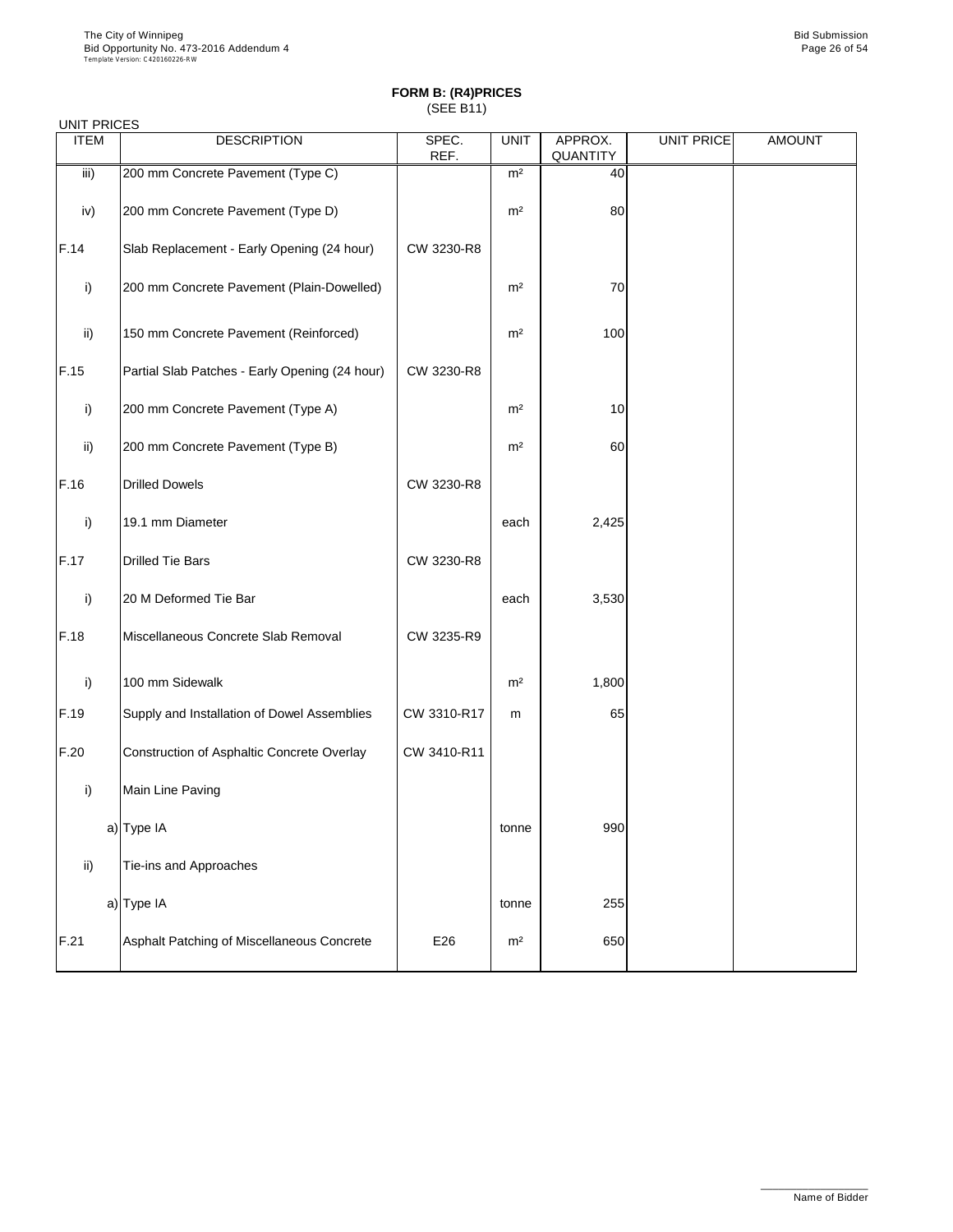| <b>UNIT PRICES</b> |                                                |               |                |                     |                   |               |
|--------------------|------------------------------------------------|---------------|----------------|---------------------|-------------------|---------------|
| <b>ITEM</b>        | <b>DESCRIPTION</b>                             | SPEC.<br>REF. | <b>UNIT</b>    | APPROX.<br>QUANTITY | <b>UNIT PRICE</b> | <b>AMOUNT</b> |
| iii)               | 200 mm Concrete Pavement (Type C)              |               | m <sup>2</sup> | 40                  |                   |               |
| iv)                | 200 mm Concrete Pavement (Type D)              |               | m <sup>2</sup> | 80                  |                   |               |
| F.14               | Slab Replacement - Early Opening (24 hour)     | CW 3230-R8    |                |                     |                   |               |
| i)                 | 200 mm Concrete Pavement (Plain-Dowelled)      |               | m <sup>2</sup> | 70                  |                   |               |
| ii)                | 150 mm Concrete Pavement (Reinforced)          |               | m <sup>2</sup> | 100                 |                   |               |
| F.15               | Partial Slab Patches - Early Opening (24 hour) | CW 3230-R8    |                |                     |                   |               |
| i)                 | 200 mm Concrete Pavement (Type A)              |               | m <sup>2</sup> | 10                  |                   |               |
| ii)                | 200 mm Concrete Pavement (Type B)              |               | m <sup>2</sup> | 60                  |                   |               |
| F.16               | <b>Drilled Dowels</b>                          | CW 3230-R8    |                |                     |                   |               |
| i)                 | 19.1 mm Diameter                               |               | each           | 2,425               |                   |               |
| F.17               | <b>Drilled Tie Bars</b>                        | CW 3230-R8    |                |                     |                   |               |
| i)                 | 20 M Deformed Tie Bar                          |               | each           | 3,530               |                   |               |
| F.18               | Miscellaneous Concrete Slab Removal            | CW 3235-R9    |                |                     |                   |               |
| i)                 | 100 mm Sidewalk                                |               | m <sup>2</sup> | 1,800               |                   |               |
| F.19               | Supply and Installation of Dowel Assemblies    | CW 3310-R17   | m              | 65                  |                   |               |
| F.20               | Construction of Asphaltic Concrete Overlay     | CW 3410-R11   |                |                     |                   |               |
| i)                 | Main Line Paving                               |               |                |                     |                   |               |
|                    | a) Type IA                                     |               | tonne          | 990                 |                   |               |
| ii)                | Tie-ins and Approaches                         |               |                |                     |                   |               |
|                    | a) Type IA                                     |               | tonne          | 255                 |                   |               |
| F.21               | Asphalt Patching of Miscellaneous Concrete     | E26           | m <sup>2</sup> | 650                 |                   |               |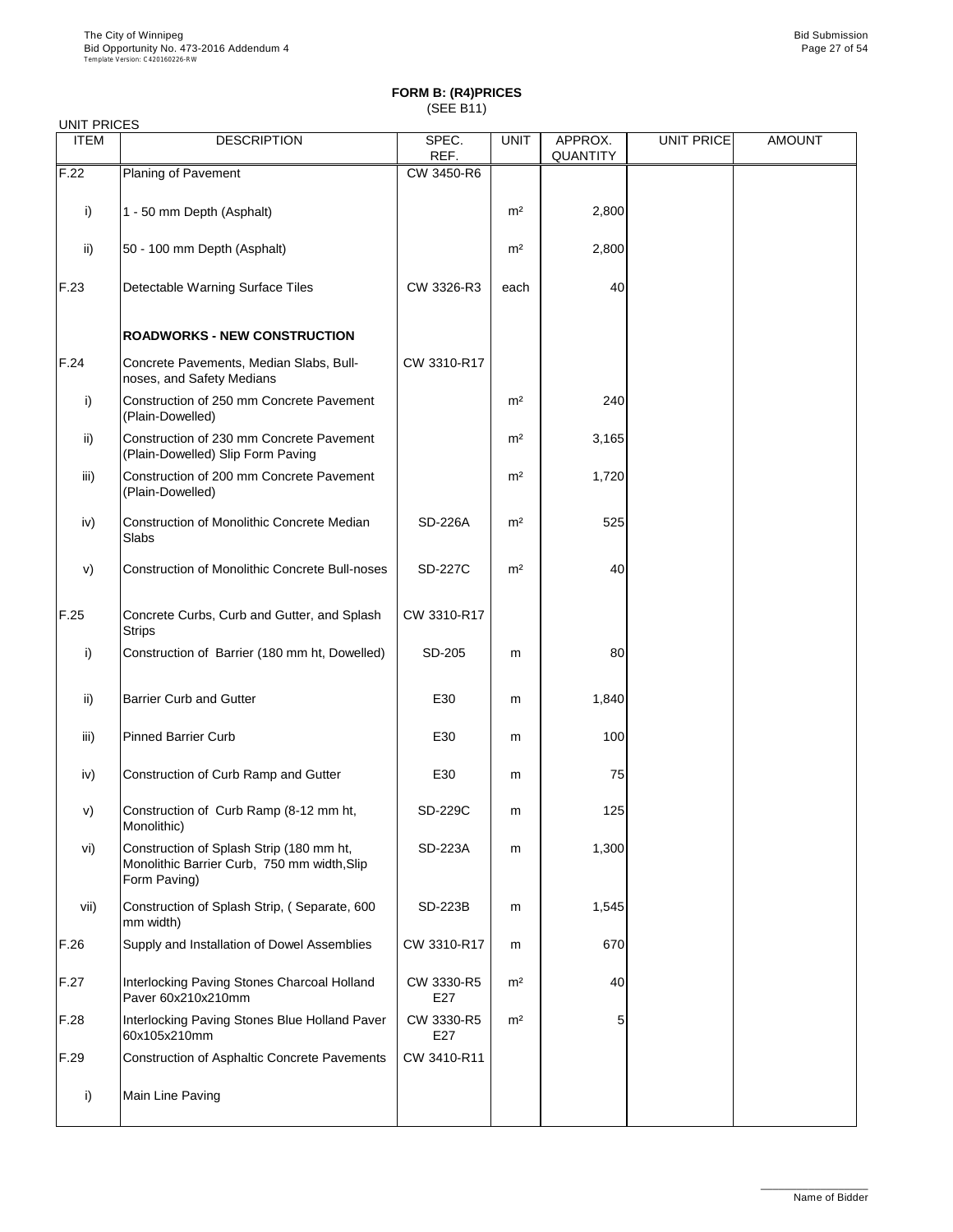| <b>UNIT PRICES</b> |                                                                                                         |                   |                |                     |                   |               |
|--------------------|---------------------------------------------------------------------------------------------------------|-------------------|----------------|---------------------|-------------------|---------------|
| <b>ITEM</b>        | <b>DESCRIPTION</b>                                                                                      | SPEC.<br>REF.     | <b>UNIT</b>    | APPROX.<br>QUANTITY | <b>UNIT PRICE</b> | <b>AMOUNT</b> |
| F.22               | Planing of Pavement                                                                                     | CW 3450-R6        |                |                     |                   |               |
| i)                 | 1 - 50 mm Depth (Asphalt)                                                                               |                   | m <sup>2</sup> | 2,800               |                   |               |
| ii)                | 50 - 100 mm Depth (Asphalt)                                                                             |                   | m <sup>2</sup> | 2,800               |                   |               |
| F.23               | Detectable Warning Surface Tiles                                                                        | CW 3326-R3        | each           | 40                  |                   |               |
|                    | <b>ROADWORKS - NEW CONSTRUCTION</b>                                                                     |                   |                |                     |                   |               |
| F.24               | Concrete Pavements, Median Slabs, Bull-<br>noses, and Safety Medians                                    | CW 3310-R17       |                |                     |                   |               |
| i)                 | Construction of 250 mm Concrete Pavement<br>(Plain-Dowelled)                                            |                   | m <sup>2</sup> | 240                 |                   |               |
| ii)                | Construction of 230 mm Concrete Pavement<br>(Plain-Dowelled) Slip Form Paving                           |                   | m <sup>2</sup> | 3,165               |                   |               |
| iii)               | Construction of 200 mm Concrete Pavement<br>(Plain-Dowelled)                                            |                   | m <sup>2</sup> | 1,720               |                   |               |
| iv)                | Construction of Monolithic Concrete Median<br>Slabs                                                     | <b>SD-226A</b>    | m <sup>2</sup> | 525                 |                   |               |
| V)                 | Construction of Monolithic Concrete Bull-noses                                                          | <b>SD-227C</b>    | m <sup>2</sup> | 40                  |                   |               |
| F.25               | Concrete Curbs, Curb and Gutter, and Splash<br><b>Strips</b>                                            | CW 3310-R17       |                |                     |                   |               |
| i)                 | Construction of Barrier (180 mm ht, Dowelled)                                                           | SD-205            | m              | 80                  |                   |               |
| ii)                | <b>Barrier Curb and Gutter</b>                                                                          | E30               | m              | 1,840               |                   |               |
| iii)               | <b>Pinned Barrier Curb</b>                                                                              | E30               | m              | 100                 |                   |               |
| iv)                | Construction of Curb Ramp and Gutter                                                                    | E30               | m              | 75                  |                   |               |
| V)                 | Construction of Curb Ramp (8-12 mm ht,<br>Monolithic)                                                   | SD-229C           | m              | 125                 |                   |               |
| vi)                | Construction of Splash Strip (180 mm ht,<br>Monolithic Barrier Curb, 750 mm width, Slip<br>Form Paving) | SD-223A           | m              | 1,300               |                   |               |
| vii)               | Construction of Splash Strip, (Separate, 600<br>mm width)                                               | SD-223B           | m              | 1,545               |                   |               |
| F.26               | Supply and Installation of Dowel Assemblies                                                             | CW 3310-R17       | m              | 670                 |                   |               |
| F.27               | Interlocking Paving Stones Charcoal Holland<br>Paver 60x210x210mm                                       | CW 3330-R5<br>E27 | m <sup>2</sup> | 40                  |                   |               |
| F.28               | Interlocking Paving Stones Blue Holland Paver<br>60x105x210mm                                           | CW 3330-R5<br>E27 | m <sup>2</sup> | 5                   |                   |               |
| F.29               | Construction of Asphaltic Concrete Pavements                                                            | CW 3410-R11       |                |                     |                   |               |
| i)                 | Main Line Paving                                                                                        |                   |                |                     |                   |               |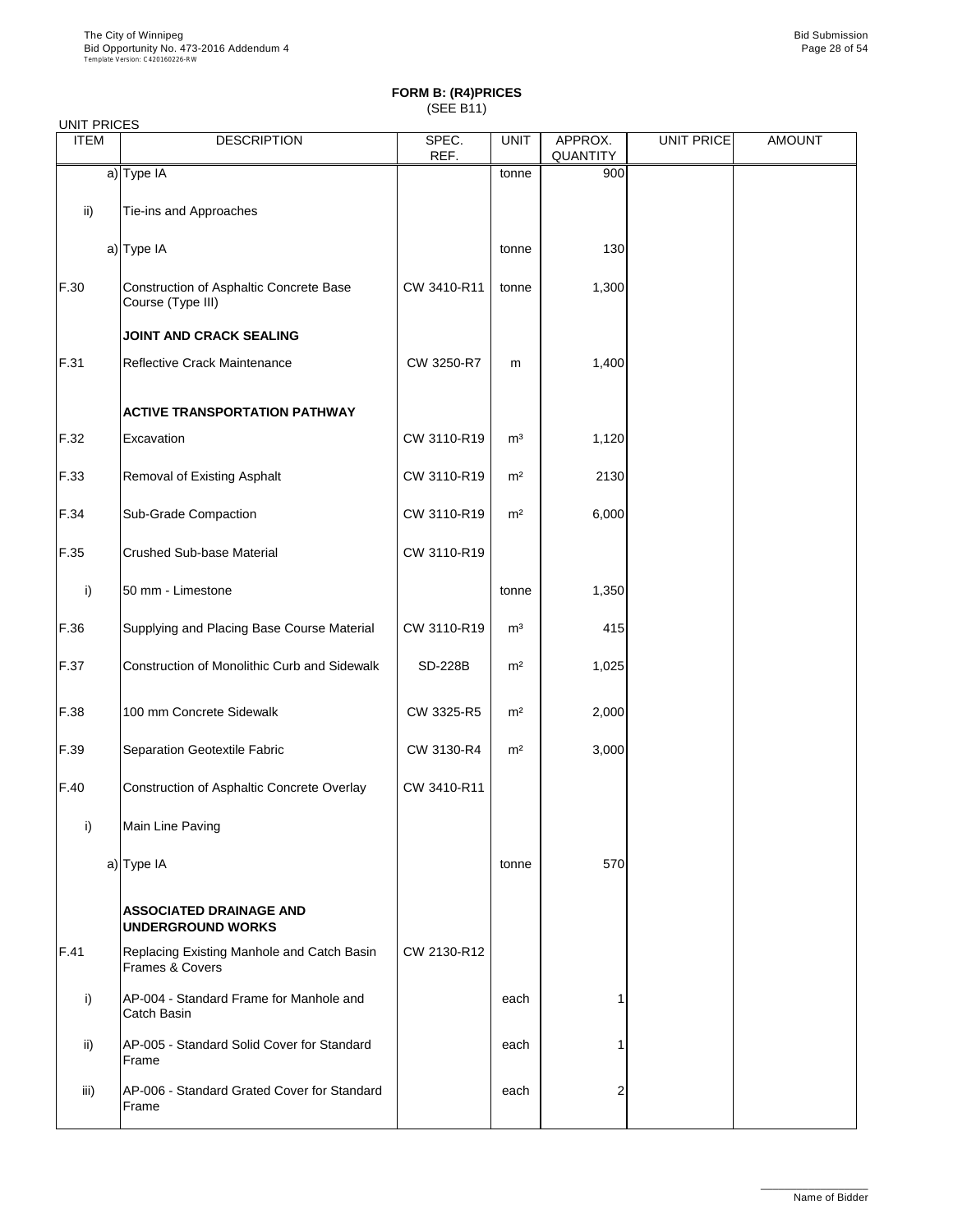|             | <b>UNIT PRICES</b>                                            |               |                |                     |            |               |  |  |  |  |  |
|-------------|---------------------------------------------------------------|---------------|----------------|---------------------|------------|---------------|--|--|--|--|--|
| <b>ITEM</b> | <b>DESCRIPTION</b>                                            | SPEC.<br>REF. | <b>UNIT</b>    | APPROX.<br>QUANTITY | UNIT PRICE | <b>AMOUNT</b> |  |  |  |  |  |
|             | a) Type IA                                                    |               | tonne          | 900                 |            |               |  |  |  |  |  |
| ii)         | Tie-ins and Approaches                                        |               |                |                     |            |               |  |  |  |  |  |
|             | a) Type IA                                                    |               | tonne          | 130                 |            |               |  |  |  |  |  |
| F.30        | Construction of Asphaltic Concrete Base<br>Course (Type III)  | CW 3410-R11   | tonne          | 1,300               |            |               |  |  |  |  |  |
|             | JOINT AND CRACK SEALING                                       |               |                |                     |            |               |  |  |  |  |  |
| F.31        | Reflective Crack Maintenance                                  | CW 3250-R7    | m              | 1,400               |            |               |  |  |  |  |  |
|             | ACTIVE TRANSPORTATION PATHWAY                                 |               |                |                     |            |               |  |  |  |  |  |
| F.32        | Excavation                                                    | CW 3110-R19   | m <sup>3</sup> | 1,120               |            |               |  |  |  |  |  |
| F.33        | Removal of Existing Asphalt                                   | CW 3110-R19   | m <sup>2</sup> | 2130                |            |               |  |  |  |  |  |
| F.34        | Sub-Grade Compaction                                          | CW 3110-R19   | m <sup>2</sup> | 6,000               |            |               |  |  |  |  |  |
| F.35        | Crushed Sub-base Material                                     | CW 3110-R19   |                |                     |            |               |  |  |  |  |  |
| i)          | 50 mm - Limestone                                             |               | tonne          | 1,350               |            |               |  |  |  |  |  |
| F.36        | Supplying and Placing Base Course Material                    | CW 3110-R19   | m <sup>3</sup> | 415                 |            |               |  |  |  |  |  |
| F.37        | Construction of Monolithic Curb and Sidewalk                  | SD-228B       | m <sup>2</sup> | 1,025               |            |               |  |  |  |  |  |
| F.38        | 100 mm Concrete Sidewalk                                      | CW 3325-R5    | m <sup>2</sup> | 2,000               |            |               |  |  |  |  |  |
| F.39        | Separation Geotextile Fabric                                  | CW 3130-R4    | m <sup>2</sup> | 3,000               |            |               |  |  |  |  |  |
| F.40        | Construction of Asphaltic Concrete Overlay                    | CW 3410-R11   |                |                     |            |               |  |  |  |  |  |
| i)          | Main Line Paving                                              |               |                |                     |            |               |  |  |  |  |  |
|             | a) Type IA                                                    |               | tonne          | 570                 |            |               |  |  |  |  |  |
|             | <b>ASSOCIATED DRAINAGE AND</b><br><b>UNDERGROUND WORKS</b>    |               |                |                     |            |               |  |  |  |  |  |
| F.41        | Replacing Existing Manhole and Catch Basin<br>Frames & Covers | CW 2130-R12   |                |                     |            |               |  |  |  |  |  |
| i)          | AP-004 - Standard Frame for Manhole and<br>Catch Basin        |               | each           | 1                   |            |               |  |  |  |  |  |
| ii)         | AP-005 - Standard Solid Cover for Standard<br>Frame           |               | each           |                     |            |               |  |  |  |  |  |
| iii)        | AP-006 - Standard Grated Cover for Standard<br>Frame          |               | each           | 2                   |            |               |  |  |  |  |  |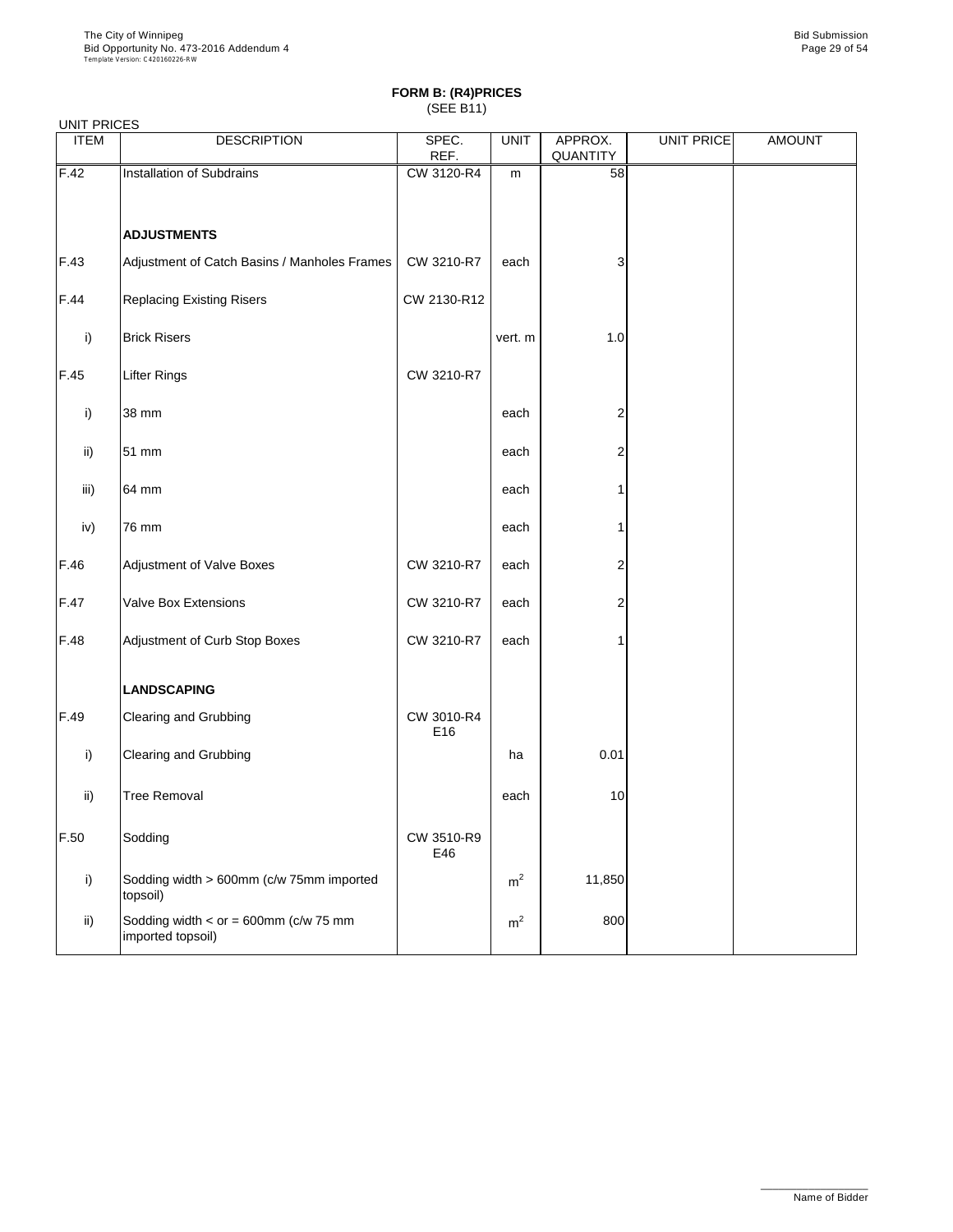| <b>UNIT PRICES</b> |                                                                  |                   |                |                     |                   |               |
|--------------------|------------------------------------------------------------------|-------------------|----------------|---------------------|-------------------|---------------|
| <b>ITEM</b>        | <b>DESCRIPTION</b>                                               | SPEC.<br>REF.     | <b>UNIT</b>    | APPROX.<br>QUANTITY | <b>UNIT PRICE</b> | <b>AMOUNT</b> |
| F.42               | Installation of Subdrains                                        | CW 3120-R4        | m              | 58                  |                   |               |
|                    | <b>ADJUSTMENTS</b>                                               |                   |                |                     |                   |               |
| F.43               | Adjustment of Catch Basins / Manholes Frames                     | CW 3210-R7        | each           | 3                   |                   |               |
| F.44               | <b>Replacing Existing Risers</b>                                 | CW 2130-R12       |                |                     |                   |               |
| i)                 | <b>Brick Risers</b>                                              |                   | vert. m        | $1.0$               |                   |               |
| F.45               | Lifter Rings                                                     | CW 3210-R7        |                |                     |                   |               |
| i)                 | 38 mm                                                            |                   | each           | 2                   |                   |               |
| ii)                | 51 mm                                                            |                   | each           | 2                   |                   |               |
| iii)               | 64 mm                                                            |                   | each           |                     |                   |               |
| iv)                | 76 mm                                                            |                   | each           |                     |                   |               |
| F.46               | <b>Adjustment of Valve Boxes</b>                                 | CW 3210-R7        | each           | 2                   |                   |               |
| F.47               | Valve Box Extensions                                             | CW 3210-R7        | each           | 2                   |                   |               |
| F.48               | Adjustment of Curb Stop Boxes                                    | CW 3210-R7        | each           |                     |                   |               |
|                    | <b>LANDSCAPING</b>                                               |                   |                |                     |                   |               |
| F.49               | Clearing and Grubbing                                            | CW 3010-R4<br>E16 |                |                     |                   |               |
| i)                 | Clearing and Grubbing                                            |                   | ha             | 0.01                |                   |               |
| ii)                | <b>Tree Removal</b>                                              |                   | each           | $10$                |                   |               |
| F.50               | Sodding                                                          | CW 3510-R9<br>E46 |                |                     |                   |               |
| i)                 | Sodding width > 600mm (c/w 75mm imported<br>topsoil)             |                   | m <sup>2</sup> | 11,850              |                   |               |
| ii)                | Sodding width < $or = 600$ mm ( $c/w$ 75 mm<br>imported topsoil) |                   | m <sup>2</sup> | 800                 |                   |               |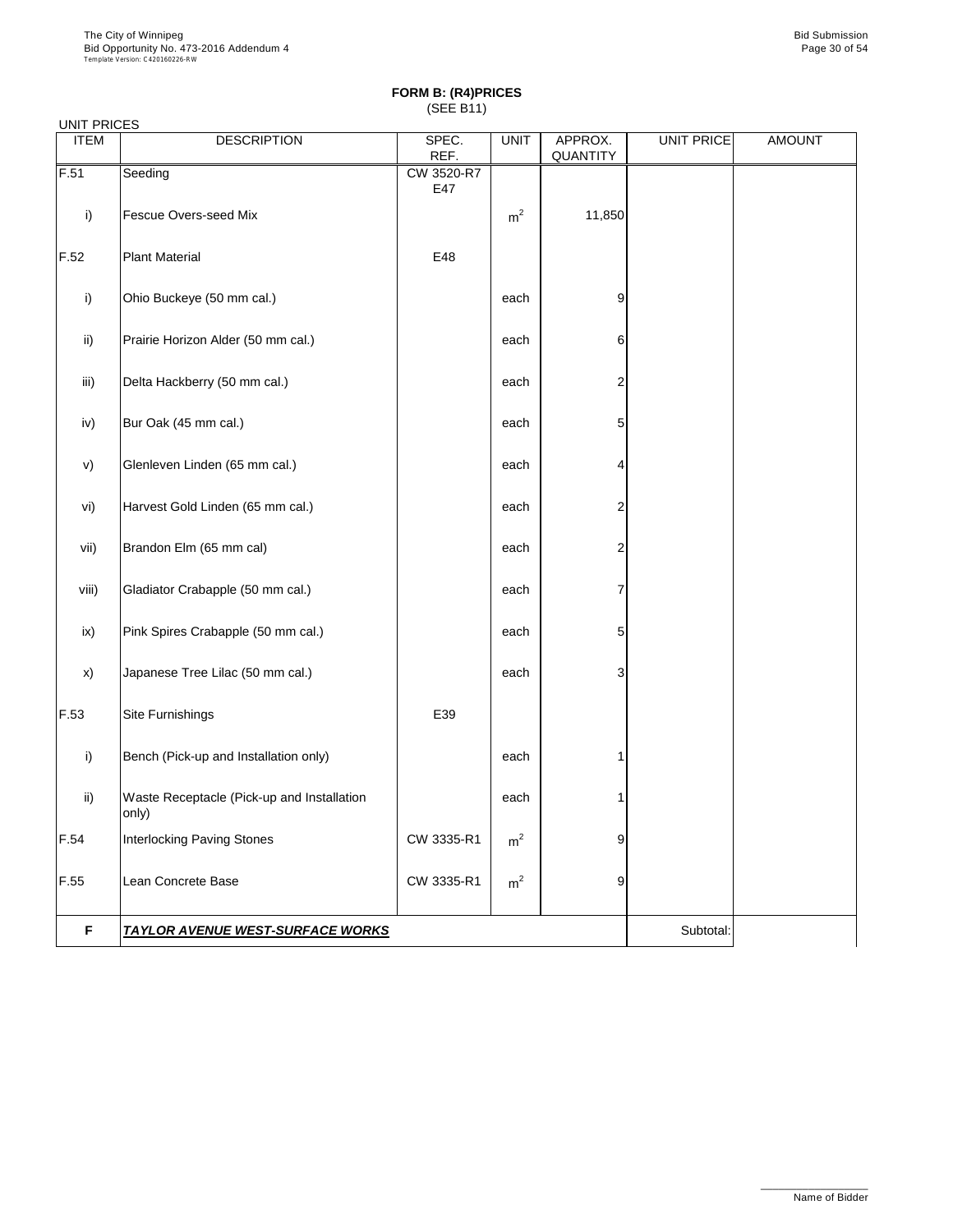UNIT PRICES

#### **FORM B: (R4)PRICES** (SEE B11)

| <b>ITEM</b> | <b>DESCRIPTION</b>                                  | SPEC.<br>REF.     | <b>UNIT</b>    | APPROX.<br><b>QUANTITY</b> | <b>UNIT PRICE</b> | <b>AMOUNT</b> |
|-------------|-----------------------------------------------------|-------------------|----------------|----------------------------|-------------------|---------------|
| F.51        | Seeding                                             | CW 3520-R7<br>E47 |                |                            |                   |               |
| i)          | Fescue Overs-seed Mix                               |                   | m <sup>2</sup> | 11,850                     |                   |               |
| F.52        | <b>Plant Material</b>                               | E48               |                |                            |                   |               |
| i)          | Ohio Buckeye (50 mm cal.)                           |                   | each           | 9                          |                   |               |
| ii)         | Prairie Horizon Alder (50 mm cal.)                  |                   | each           | 6                          |                   |               |
| iii)        | Delta Hackberry (50 mm cal.)                        |                   | each           | 2                          |                   |               |
| iv)         | Bur Oak (45 mm cal.)                                |                   | each           | 5                          |                   |               |
| v)          | Glenleven Linden (65 mm cal.)                       |                   | each           | 4                          |                   |               |
| vi)         | Harvest Gold Linden (65 mm cal.)                    |                   | each           | 2                          |                   |               |
| vii)        | Brandon Elm (65 mm cal)                             |                   | each           | 2                          |                   |               |
| viii)       | Gladiator Crabapple (50 mm cal.)                    |                   | each           | 7                          |                   |               |
| ix)         | Pink Spires Crabapple (50 mm cal.)                  |                   | each           | 5                          |                   |               |
| x)          | Japanese Tree Lilac (50 mm cal.)                    |                   | each           | 3                          |                   |               |
| F.53        | Site Furnishings                                    | E39               |                |                            |                   |               |
| i)          | Bench (Pick-up and Installation only)               |                   | each           | 1                          |                   |               |
| ii)         | Waste Receptacle (Pick-up and Installation<br>only) |                   | each           | 1                          |                   |               |
| F.54        | Interlocking Paving Stones                          | CW 3335-R1        | m <sup>2</sup> | 9                          |                   |               |
| F.55        | Lean Concrete Base                                  | CW 3335-R1        | m <sup>2</sup> | 9                          |                   |               |
| F           | <u>TAYLOR AVENUE WEST-SURFACE WORKS</u>             | Subtotal:         |                |                            |                   |               |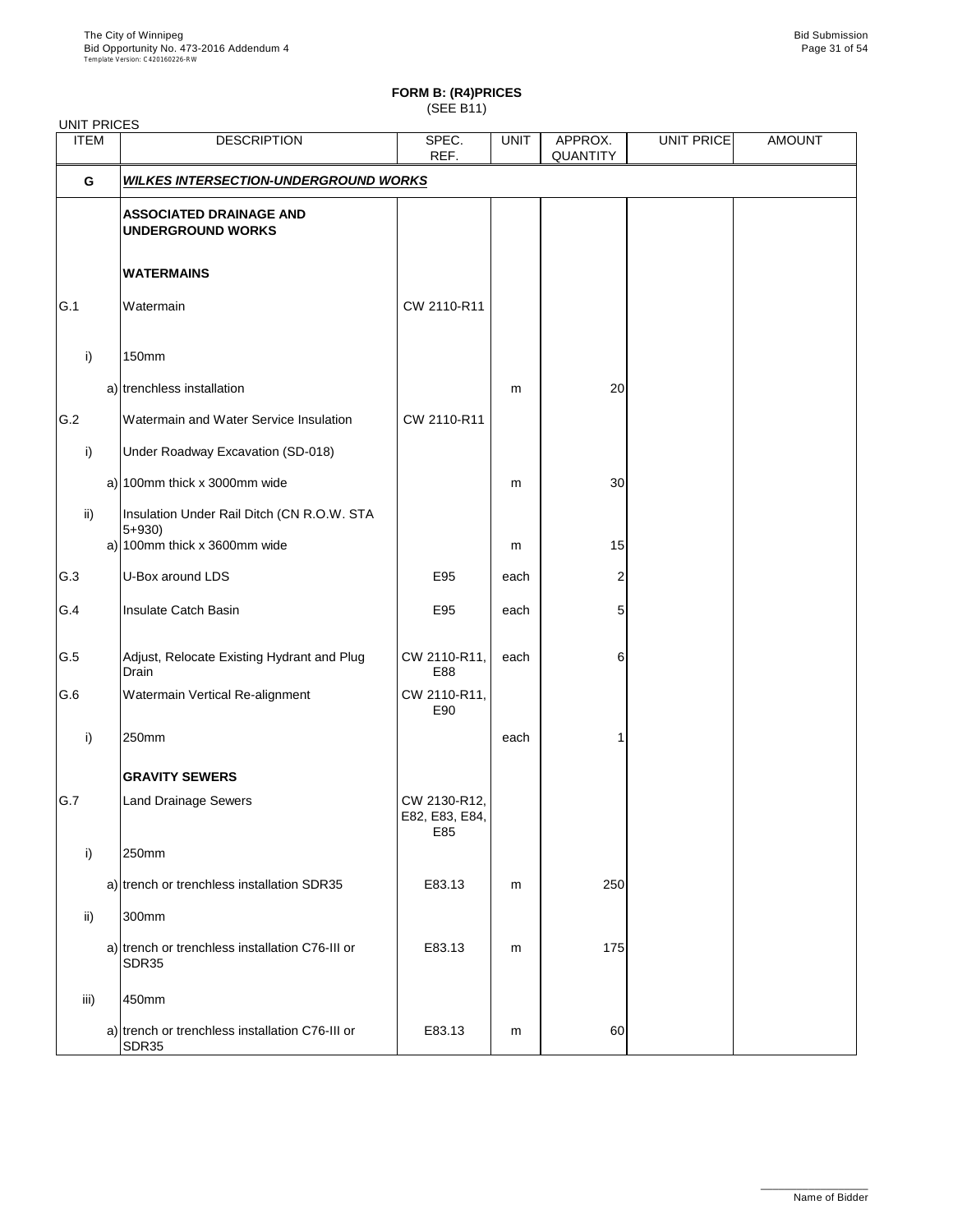# **FORM B: (R4)PRICES**

(SEE B11)

| <b>UNIT PRICES</b> |                                                                                         |                                       |             |                     |                   |               |
|--------------------|-----------------------------------------------------------------------------------------|---------------------------------------|-------------|---------------------|-------------------|---------------|
| <b>ITEM</b>        | <b>DESCRIPTION</b>                                                                      | SPEC.<br>REF.                         | <b>UNIT</b> | APPROX.<br>QUANTITY | <b>UNIT PRICE</b> | <b>AMOUNT</b> |
| G                  | <b>WILKES INTERSECTION-UNDERGROUND WORKS</b>                                            |                                       |             |                     |                   |               |
|                    | <b>ASSOCIATED DRAINAGE AND</b><br><b>UNDERGROUND WORKS</b>                              |                                       |             |                     |                   |               |
|                    | <b>WATERMAINS</b>                                                                       |                                       |             |                     |                   |               |
| G.1                | Watermain                                                                               | CW 2110-R11                           |             |                     |                   |               |
| i)                 | 150mm                                                                                   |                                       |             |                     |                   |               |
|                    | a) trenchless installation                                                              |                                       | m           | 20                  |                   |               |
| G.2                | Watermain and Water Service Insulation                                                  | CW 2110-R11                           |             |                     |                   |               |
| i)                 | Under Roadway Excavation (SD-018)                                                       |                                       |             |                     |                   |               |
|                    | a) $100$ mm thick x 3000mm wide                                                         |                                       | m           | 30                  |                   |               |
| ii)                | Insulation Under Rail Ditch (CN R.O.W. STA<br>$5 + 930$<br>a) 100mm thick x 3600mm wide |                                       | m           | 15                  |                   |               |
| G.3                | U-Box around LDS                                                                        | E95                                   | each        | 2                   |                   |               |
| G.4                | Insulate Catch Basin                                                                    | E95                                   | each        | 5                   |                   |               |
| G.5                | Adjust, Relocate Existing Hydrant and Plug<br>Drain                                     | CW 2110-R11,<br>E88                   | each        | 6                   |                   |               |
| G.6                | Watermain Vertical Re-alignment                                                         | CW 2110-R11,<br>E90                   |             |                     |                   |               |
| i)                 | 250mm                                                                                   |                                       | each        | 1                   |                   |               |
|                    | <b>GRAVITY SEWERS</b>                                                                   |                                       |             |                     |                   |               |
| G.7                | <b>Land Drainage Sewers</b>                                                             | CW 2130-R12,<br>E82, E83, E84,<br>E85 |             |                     |                   |               |
| i)                 | 250mm                                                                                   |                                       |             |                     |                   |               |
|                    | a) trench or trenchless installation SDR35                                              | E83.13                                | m           | 250                 |                   |               |
| ii)                | 300mm                                                                                   |                                       |             |                     |                   |               |
|                    | a) trench or trenchless installation C76-III or<br>SDR35                                | E83.13                                | m           | 175                 |                   |               |
| iii)               | 450mm                                                                                   |                                       |             |                     |                   |               |
|                    | a) trench or trenchless installation C76-III or<br>SDR35                                | E83.13                                | m           | 60                  |                   |               |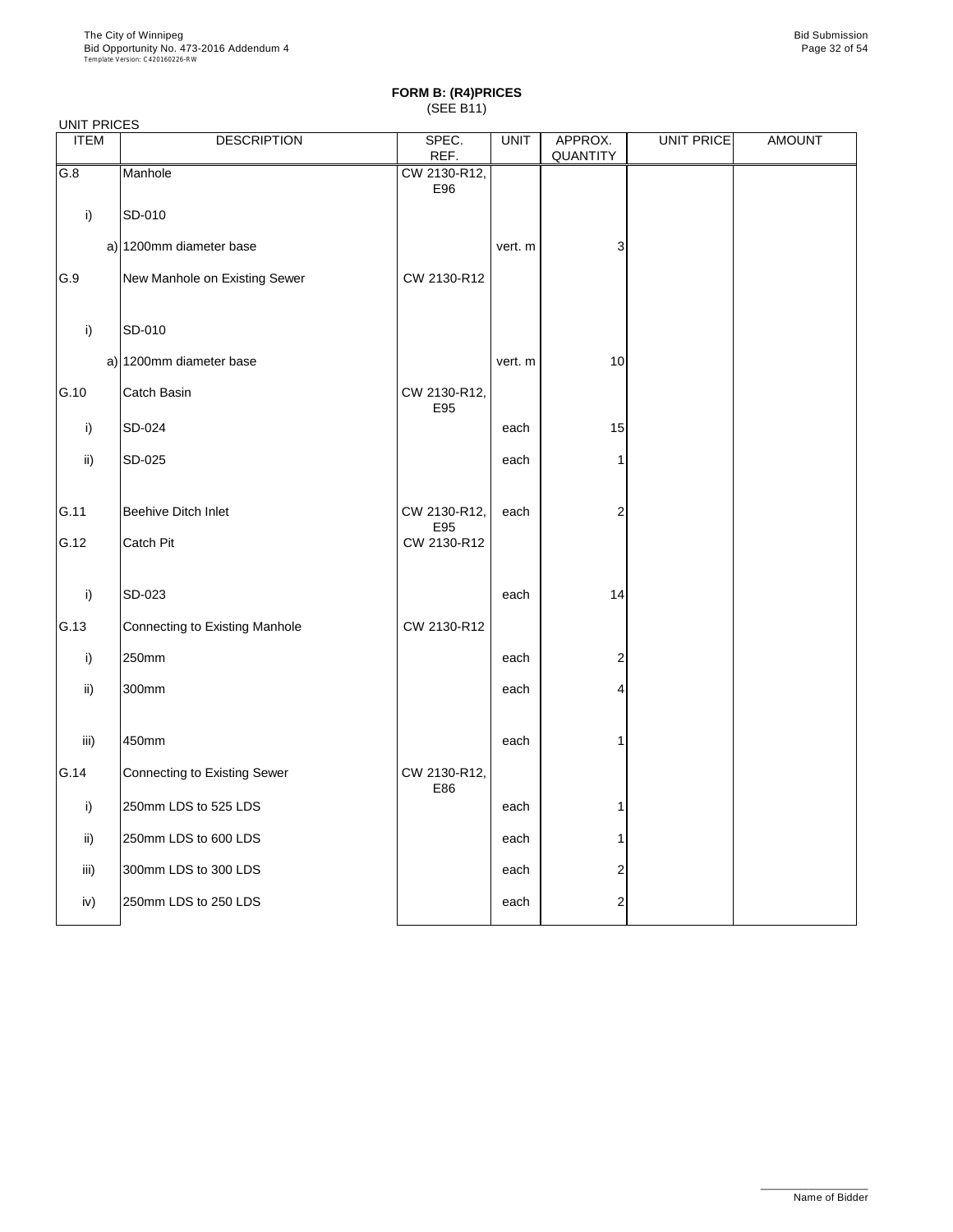|             | <b>UNIT PRICES</b>                  |                     |             |                     |                   |               |  |  |  |  |
|-------------|-------------------------------------|---------------------|-------------|---------------------|-------------------|---------------|--|--|--|--|
| <b>ITEM</b> | <b>DESCRIPTION</b>                  | SPEC.<br>REF.       | <b>UNIT</b> | APPROX.<br>QUANTITY | <b>UNIT PRICE</b> | <b>AMOUNT</b> |  |  |  |  |
| G.8         | Manhole                             | CW 2130-R12,<br>E96 |             |                     |                   |               |  |  |  |  |
| i)          | SD-010                              |                     |             |                     |                   |               |  |  |  |  |
|             | a) 1200mm diameter base             |                     | vert. m     | 3                   |                   |               |  |  |  |  |
| G.9         | New Manhole on Existing Sewer       | CW 2130-R12         |             |                     |                   |               |  |  |  |  |
| i)          | SD-010                              |                     |             |                     |                   |               |  |  |  |  |
|             | a) 1200mm diameter base             |                     | vert. m     | 10                  |                   |               |  |  |  |  |
| G.10        | Catch Basin                         | CW 2130-R12,<br>E95 |             |                     |                   |               |  |  |  |  |
| i)          | SD-024                              |                     | each        | 15                  |                   |               |  |  |  |  |
| ii)         | SD-025                              |                     | each        | 1                   |                   |               |  |  |  |  |
| G.11        | <b>Beehive Ditch Inlet</b>          | CW 2130-R12,<br>E95 | each        | $\overline{2}$      |                   |               |  |  |  |  |
| G.12        | <b>Catch Pit</b>                    | CW 2130-R12         |             |                     |                   |               |  |  |  |  |
| i)          | SD-023                              |                     | each        | 14                  |                   |               |  |  |  |  |
| G.13        | Connecting to Existing Manhole      | CW 2130-R12         |             |                     |                   |               |  |  |  |  |
| i)          | 250mm                               |                     | each        | $\overline{2}$      |                   |               |  |  |  |  |
| ii)         | 300mm                               |                     | each        | 4                   |                   |               |  |  |  |  |
| iii)        | 450mm                               |                     | each        | 1                   |                   |               |  |  |  |  |
| G.14        | <b>Connecting to Existing Sewer</b> | CW 2130-R12,<br>E86 |             |                     |                   |               |  |  |  |  |
| i)          | 250mm LDS to 525 LDS                |                     | each        | 1                   |                   |               |  |  |  |  |
| ii)         | 250mm LDS to 600 LDS                |                     | each        | 1                   |                   |               |  |  |  |  |
| iii)        | 300mm LDS to 300 LDS                |                     | each        | $\overline{c}$      |                   |               |  |  |  |  |
| iv)         | 250mm LDS to 250 LDS                |                     | each        | 2                   |                   |               |  |  |  |  |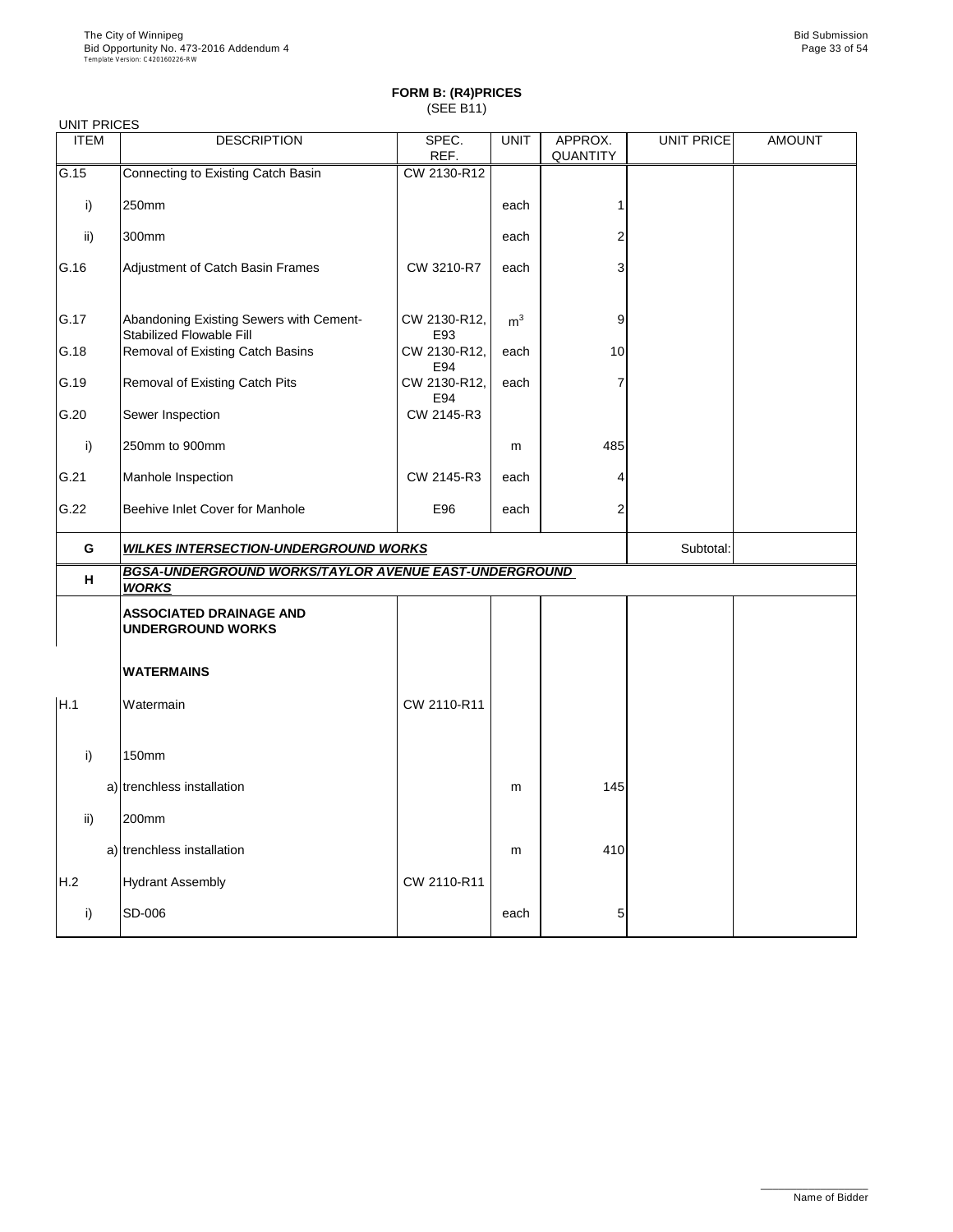| <b>UNIT PRICES</b> |                                                                       |                     |                |                     |            |               |
|--------------------|-----------------------------------------------------------------------|---------------------|----------------|---------------------|------------|---------------|
| <b>ITEM</b>        | <b>DESCRIPTION</b>                                                    | SPEC.<br>REF.       | <b>UNIT</b>    | APPROX.<br>QUANTITY | UNIT PRICE | <b>AMOUNT</b> |
| G.15               | Connecting to Existing Catch Basin                                    | CW 2130-R12         |                |                     |            |               |
| i)                 | 250mm                                                                 |                     | each           |                     |            |               |
| ii)                | 300mm                                                                 |                     | each           | 2                   |            |               |
| G.16               | Adjustment of Catch Basin Frames                                      | CW 3210-R7          | each           | 3                   |            |               |
| G.17               | Abandoning Existing Sewers with Cement-<br>Stabilized Flowable Fill   | CW 2130-R12,<br>E93 | m <sup>3</sup> | 9                   |            |               |
| G.18               | Removal of Existing Catch Basins                                      | CW 2130-R12,<br>E94 | each           | 10                  |            |               |
| G.19               | Removal of Existing Catch Pits                                        | CW 2130-R12,<br>E94 | each           | 7                   |            |               |
| G.20               | Sewer Inspection                                                      | CW 2145-R3          |                |                     |            |               |
| i)                 | 250mm to 900mm                                                        |                     | m              | 485                 |            |               |
| G.21               | Manhole Inspection                                                    | CW 2145-R3          | each           |                     |            |               |
| G.22               | Beehive Inlet Cover for Manhole                                       | E96                 | each           | 2                   |            |               |
|                    | <b>WILKES INTERSECTION-UNDERGROUND WORKS</b>                          |                     |                |                     |            |               |
| G                  |                                                                       |                     |                |                     | Subtotal:  |               |
| н                  | BGSA-UNDERGROUND WORKS/TAYLOR AVENUE EAST-UNDERGROUND<br><b>WORKS</b> |                     |                |                     |            |               |
|                    | <b>ASSOCIATED DRAINAGE AND</b><br><b>UNDERGROUND WORKS</b>            |                     |                |                     |            |               |
|                    | <b>WATERMAINS</b>                                                     |                     |                |                     |            |               |
| H.1                | Watermain                                                             | CW 2110-R11         |                |                     |            |               |
| i)                 | 150mm                                                                 |                     |                |                     |            |               |
|                    | a) trenchless installation                                            |                     | m              | 145                 |            |               |
| ii)                | 200mm                                                                 |                     |                |                     |            |               |
|                    | a) trenchless installation                                            |                     | m              | 410                 |            |               |
| H.2                | <b>Hydrant Assembly</b>                                               | CW 2110-R11         |                |                     |            |               |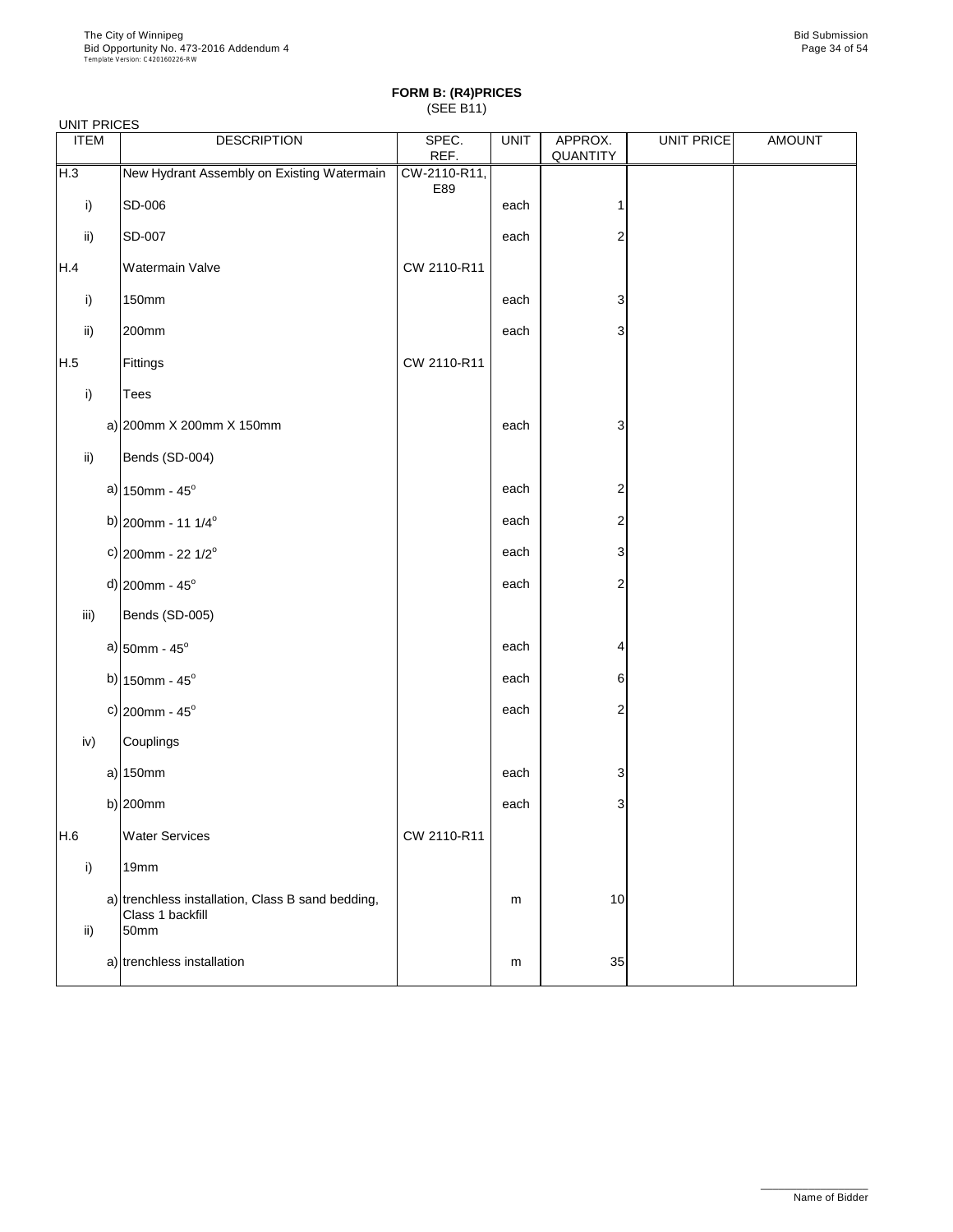| <b>UNIT PRICES</b> |                            |                                                                       |                     |             |                     |                   |               |
|--------------------|----------------------------|-----------------------------------------------------------------------|---------------------|-------------|---------------------|-------------------|---------------|
| <b>ITEM</b>        |                            | <b>DESCRIPTION</b>                                                    | SPEC.<br>REF.       | <b>UNIT</b> | APPROX.<br>QUANTITY | <b>UNIT PRICE</b> | <b>AMOUNT</b> |
| H.3                |                            | New Hydrant Assembly on Existing Watermain                            | CW-2110-R11,<br>E89 |             |                     |                   |               |
| i)                 | SD-006                     |                                                                       |                     | each        | 1                   |                   |               |
| ii)                | SD-007                     |                                                                       |                     | each        | $\overline{2}$      |                   |               |
| H.4                |                            | Watermain Valve                                                       | CW 2110-R11         |             |                     |                   |               |
| i)                 | 150mm                      |                                                                       |                     | each        | 3                   |                   |               |
| ii)                | 200mm                      |                                                                       |                     | each        | 3                   |                   |               |
| H.5                | Fittings                   |                                                                       | CW 2110-R11         |             |                     |                   |               |
| i)                 | Tees                       |                                                                       |                     |             |                     |                   |               |
|                    |                            | a) 200mm X 200mm X 150mm                                              |                     | each        | 3                   |                   |               |
| ii)                |                            | Bends (SD-004)                                                        |                     |             |                     |                   |               |
|                    | a) $150$ mm - $45^{\circ}$ |                                                                       |                     | each        | $\overline{2}$      |                   |               |
|                    |                            | b) 200mm - 11 $1/4^{\circ}$                                           |                     | each        | 2                   |                   |               |
|                    |                            | c) 200mm - 22 $1/2^{\circ}$                                           |                     | each        | 3                   |                   |               |
|                    | d) $200$ mm - $45^{\circ}$ |                                                                       |                     | each        | 2                   |                   |               |
| iii)               |                            | Bends (SD-005)                                                        |                     |             |                     |                   |               |
|                    | a) $50$ mm - 45°           |                                                                       |                     | each        | 4                   |                   |               |
|                    | b) $150$ mm - $45^{\circ}$ |                                                                       |                     | each        | 6                   |                   |               |
|                    | c) $200$ mm - $45^{\circ}$ |                                                                       |                     | each        | 2                   |                   |               |
| iv)                | Couplings                  |                                                                       |                     |             |                     |                   |               |
|                    | a) $150mm$                 |                                                                       |                     | each        | 3                   |                   |               |
|                    | b) $ 200$ mm               |                                                                       |                     | each        | 3                   |                   |               |
| H.6                |                            | <b>Water Services</b>                                                 | CW 2110-R11         |             |                     |                   |               |
| i)                 | 19mm                       |                                                                       |                     |             |                     |                   |               |
| ii)                | 50mm                       | a) trenchless installation, Class B sand bedding,<br>Class 1 backfill |                     | m           | 10                  |                   |               |
|                    |                            | a) trenchless installation                                            |                     | m           | 35                  |                   |               |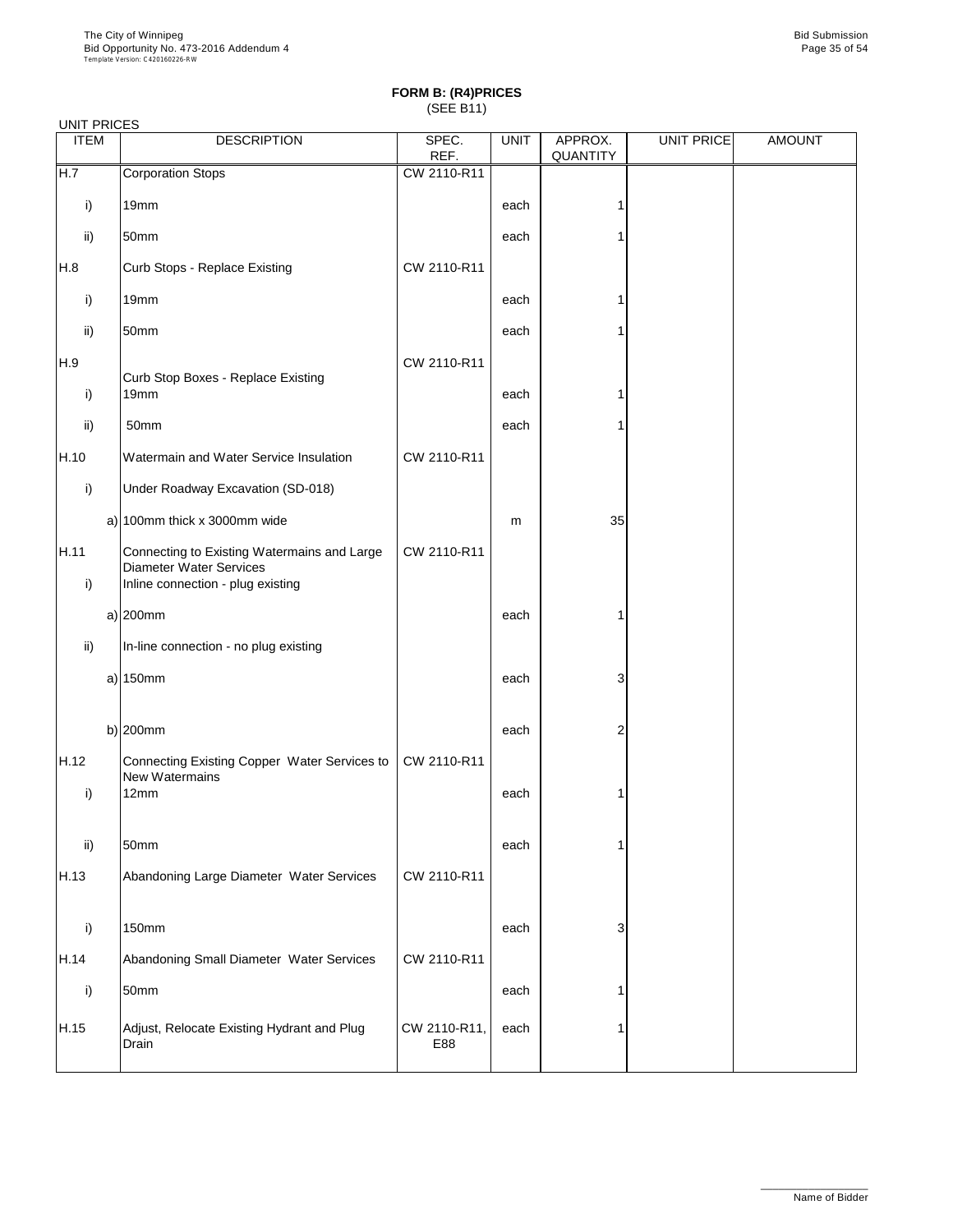|             | <b>UNIT PRICES</b>                                                                                                 |                     |             |                     |                   |               |  |  |  |  |
|-------------|--------------------------------------------------------------------------------------------------------------------|---------------------|-------------|---------------------|-------------------|---------------|--|--|--|--|
| <b>ITEM</b> | <b>DESCRIPTION</b>                                                                                                 | SPEC.<br>REF.       | <b>UNIT</b> | APPROX.<br>QUANTITY | <b>UNIT PRICE</b> | <b>AMOUNT</b> |  |  |  |  |
| H.7         | <b>Corporation Stops</b>                                                                                           | CW 2110-R11         |             |                     |                   |               |  |  |  |  |
| i)          | 19mm                                                                                                               |                     | each        | 1                   |                   |               |  |  |  |  |
| ii)         | 50mm                                                                                                               |                     | each        |                     |                   |               |  |  |  |  |
| H.8         | Curb Stops - Replace Existing                                                                                      | CW 2110-R11         |             |                     |                   |               |  |  |  |  |
| i)          | 19mm                                                                                                               |                     | each        |                     |                   |               |  |  |  |  |
| ii)         | 50mm                                                                                                               |                     | each        |                     |                   |               |  |  |  |  |
| H.9         | Curb Stop Boxes - Replace Existing                                                                                 | CW 2110-R11         |             |                     |                   |               |  |  |  |  |
| i)          | 19mm                                                                                                               |                     | each        |                     |                   |               |  |  |  |  |
| ii)         | 50mm                                                                                                               |                     | each        |                     |                   |               |  |  |  |  |
| H.10        | Watermain and Water Service Insulation                                                                             | CW 2110-R11         |             |                     |                   |               |  |  |  |  |
| i)          | Under Roadway Excavation (SD-018)                                                                                  |                     |             |                     |                   |               |  |  |  |  |
|             | a) 100mm thick x 3000mm wide                                                                                       |                     | m           | 35                  |                   |               |  |  |  |  |
| H.11<br>i)  | Connecting to Existing Watermains and Large<br><b>Diameter Water Services</b><br>Inline connection - plug existing | CW 2110-R11         |             |                     |                   |               |  |  |  |  |
|             | a) $200$ mm                                                                                                        |                     | each        | 1                   |                   |               |  |  |  |  |
| ii)         | In-line connection - no plug existing                                                                              |                     |             |                     |                   |               |  |  |  |  |
|             | a) $150mm$                                                                                                         |                     | each        | 3                   |                   |               |  |  |  |  |
|             | b) $200$ mm                                                                                                        |                     | each        | 2                   |                   |               |  |  |  |  |
| H.12        | Connecting Existing Copper Water Services to<br>New Watermains                                                     | CW 2110-R11         |             |                     |                   |               |  |  |  |  |
| i)          | 12mm                                                                                                               |                     | each        |                     |                   |               |  |  |  |  |
| ii)         | 50mm                                                                                                               |                     | each        | 1                   |                   |               |  |  |  |  |
| H.13        | Abandoning Large Diameter Water Services                                                                           | CW 2110-R11         |             |                     |                   |               |  |  |  |  |
| i)          | 150mm                                                                                                              |                     | each        | 3                   |                   |               |  |  |  |  |
| H.14        | Abandoning Small Diameter Water Services                                                                           | CW 2110-R11         |             |                     |                   |               |  |  |  |  |
| i)          | 50mm                                                                                                               |                     | each        | 1                   |                   |               |  |  |  |  |
| H.15        | Adjust, Relocate Existing Hydrant and Plug<br>Drain                                                                | CW 2110-R11,<br>E88 | each        | 1                   |                   |               |  |  |  |  |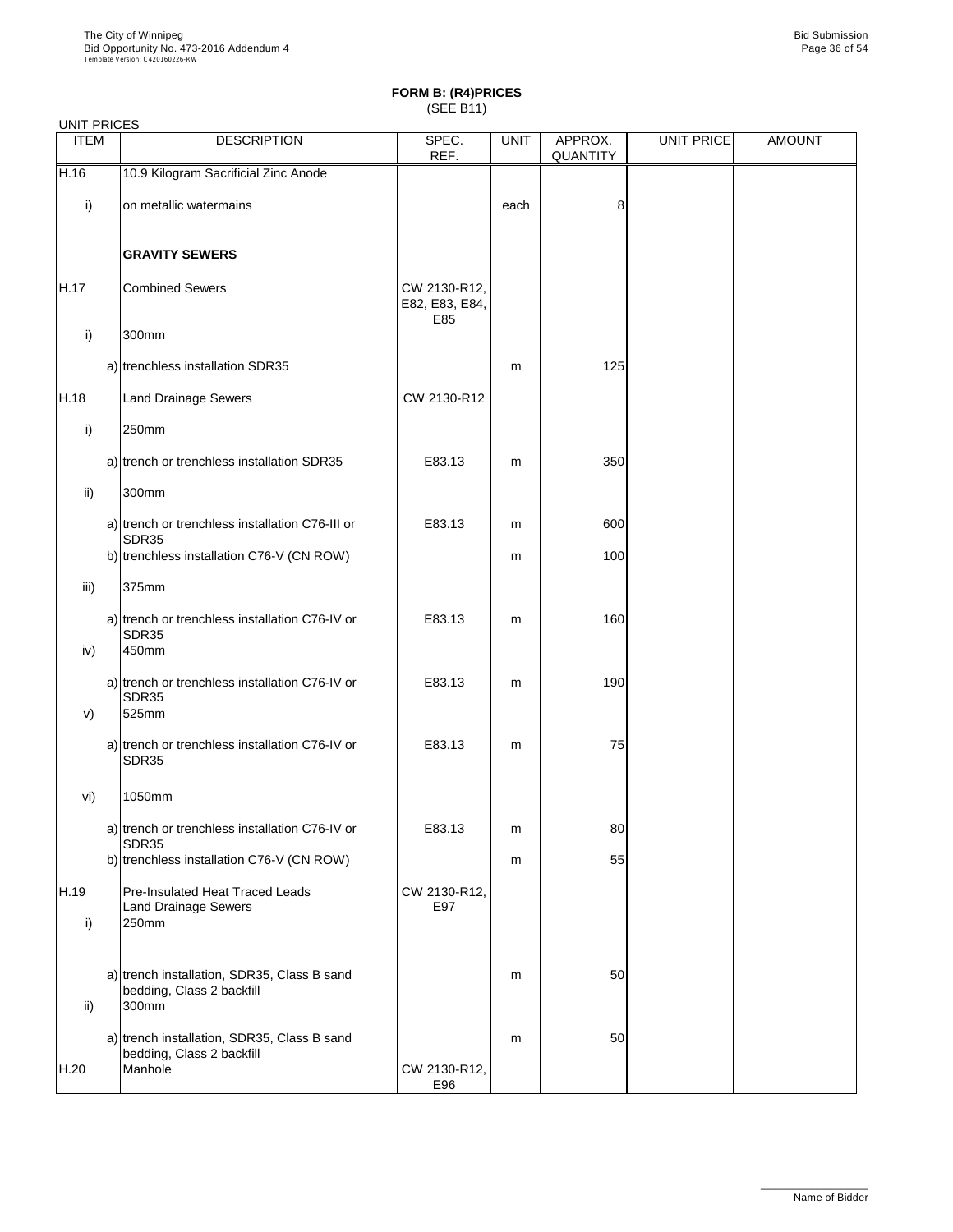| <b>UNIT PRICES</b> |                                                                                     |                                       |             |                     |            |               |
|--------------------|-------------------------------------------------------------------------------------|---------------------------------------|-------------|---------------------|------------|---------------|
| <b>ITEM</b>        | <b>DESCRIPTION</b>                                                                  | SPEC.<br>REF.                         | <b>UNIT</b> | APPROX.<br>QUANTITY | UNIT PRICE | <b>AMOUNT</b> |
| H.16               | 10.9 Kilogram Sacrificial Zinc Anode                                                |                                       |             |                     |            |               |
| i)                 | on metallic watermains                                                              |                                       | each        | 8                   |            |               |
|                    | <b>GRAVITY SEWERS</b>                                                               |                                       |             |                     |            |               |
| H.17               | <b>Combined Sewers</b>                                                              | CW 2130-R12,<br>E82, E83, E84,<br>E85 |             |                     |            |               |
| i)                 | 300mm                                                                               |                                       |             |                     |            |               |
|                    | a) trenchless installation SDR35                                                    |                                       | m           | 125                 |            |               |
| H.18               | <b>Land Drainage Sewers</b>                                                         | CW 2130-R12                           |             |                     |            |               |
| i)                 | 250mm                                                                               |                                       |             |                     |            |               |
|                    | a) trench or trenchless installation SDR35                                          | E83.13                                | m           | 350                 |            |               |
| ii)                | 300mm                                                                               |                                       |             |                     |            |               |
|                    | a) trench or trenchless installation C76-III or<br><b>SDR35</b>                     | E83.13                                | m           | 600                 |            |               |
|                    | b) trenchless installation C76-V (CN ROW)                                           |                                       | m           | 100                 |            |               |
| iii)               | 375mm                                                                               |                                       |             |                     |            |               |
| iv)                | a) trench or trenchless installation C76-IV or<br>SDR35<br>450mm                    | E83.13                                | m           | 160                 |            |               |
| V)                 | a) trench or trenchless installation C76-IV or<br>SDR35<br>525mm                    | E83.13                                | m           | 190                 |            |               |
|                    | a) trench or trenchless installation C76-IV or<br>SDR35                             | E83.13                                | m           | 75                  |            |               |
| vi)                | 1050mm                                                                              |                                       |             |                     |            |               |
|                    | a) trench or trenchless installation C76-IV or<br>SDR35                             | E83.13                                | m           | 80                  |            |               |
|                    | b) trenchless installation C76-V (CN ROW)                                           |                                       | m           | 55                  |            |               |
| H.19<br>i)         | Pre-Insulated Heat Traced Leads<br><b>Land Drainage Sewers</b><br>250mm             | CW 2130-R12,<br>E97                   |             |                     |            |               |
| $\mathsf{ii}$      | a) trench installation, SDR35, Class B sand<br>bedding, Class 2 backfill<br>300mm   |                                       | m           | 50                  |            |               |
| H.20               | a) trench installation, SDR35, Class B sand<br>bedding, Class 2 backfill<br>Manhole | CW 2130-R12,<br>E96                   | m           | 50                  |            |               |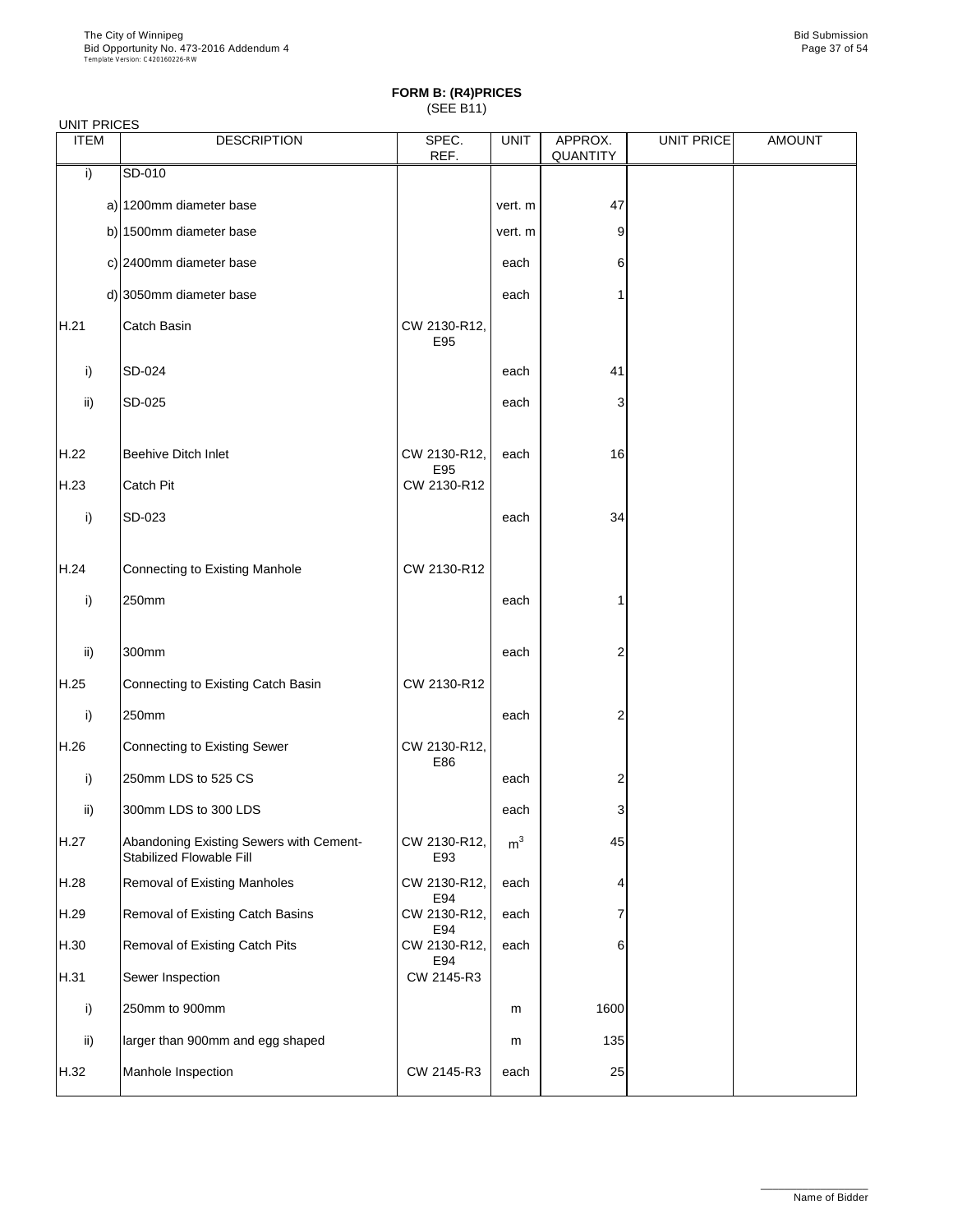| <b>UNIT PRICES</b> |                                                                     |                     |                |                     |                   |               |
|--------------------|---------------------------------------------------------------------|---------------------|----------------|---------------------|-------------------|---------------|
| <b>ITEM</b>        | <b>DESCRIPTION</b>                                                  | SPEC.<br>REF.       | <b>UNIT</b>    | APPROX.<br>QUANTITY | <b>UNIT PRICE</b> | <b>AMOUNT</b> |
| i)                 | SD-010                                                              |                     |                |                     |                   |               |
|                    | a) 1200mm diameter base                                             |                     | vert. m        | 47                  |                   |               |
|                    | b) 1500mm diameter base                                             |                     | vert. m        | 9                   |                   |               |
|                    | c) 2400mm diameter base                                             |                     | each           | 6                   |                   |               |
|                    | d) 3050mm diameter base                                             |                     | each           |                     |                   |               |
| H.21               | Catch Basin                                                         | CW 2130-R12,<br>E95 |                |                     |                   |               |
| i)                 | SD-024                                                              |                     | each           | 41                  |                   |               |
| ii)                | SD-025                                                              |                     | each           | 3                   |                   |               |
| H.22               | <b>Beehive Ditch Inlet</b>                                          | CW 2130-R12,<br>E95 | each           | 16                  |                   |               |
| H.23               | Catch Pit                                                           | CW 2130-R12         |                |                     |                   |               |
| i)                 | SD-023                                                              |                     | each           | 34                  |                   |               |
| H.24               | Connecting to Existing Manhole                                      | CW 2130-R12         |                |                     |                   |               |
| i)                 | 250mm                                                               |                     | each           |                     |                   |               |
| ii)                | 300mm                                                               |                     | each           | 2                   |                   |               |
| H.25               | Connecting to Existing Catch Basin                                  | CW 2130-R12         |                |                     |                   |               |
| i)                 | 250mm                                                               |                     | each           | 2                   |                   |               |
| H.26               | <b>Connecting to Existing Sewer</b>                                 | CW 2130-R12,<br>E86 |                |                     |                   |               |
| i)                 | 250mm LDS to 525 CS                                                 |                     | each           | 2                   |                   |               |
| ii)                | 300mm LDS to 300 LDS                                                |                     | each           | 3                   |                   |               |
| H.27               | Abandoning Existing Sewers with Cement-<br>Stabilized Flowable Fill | CW 2130-R12,<br>E93 | m <sup>3</sup> | 45                  |                   |               |
| H.28               | Removal of Existing Manholes                                        | CW 2130-R12,<br>E94 | each           | 4                   |                   |               |
| H.29               | Removal of Existing Catch Basins                                    | CW 2130-R12,<br>E94 | each           | 7                   |                   |               |
| H.30               | Removal of Existing Catch Pits                                      | CW 2130-R12,<br>E94 | each           | 6                   |                   |               |
| H.31               | Sewer Inspection                                                    | CW 2145-R3          |                |                     |                   |               |
| i)                 | 250mm to 900mm                                                      |                     | m              | 1600                |                   |               |
| ii)                | larger than 900mm and egg shaped                                    |                     | m              | 135                 |                   |               |
| H.32               | Manhole Inspection                                                  | CW 2145-R3          | each           | 25                  |                   |               |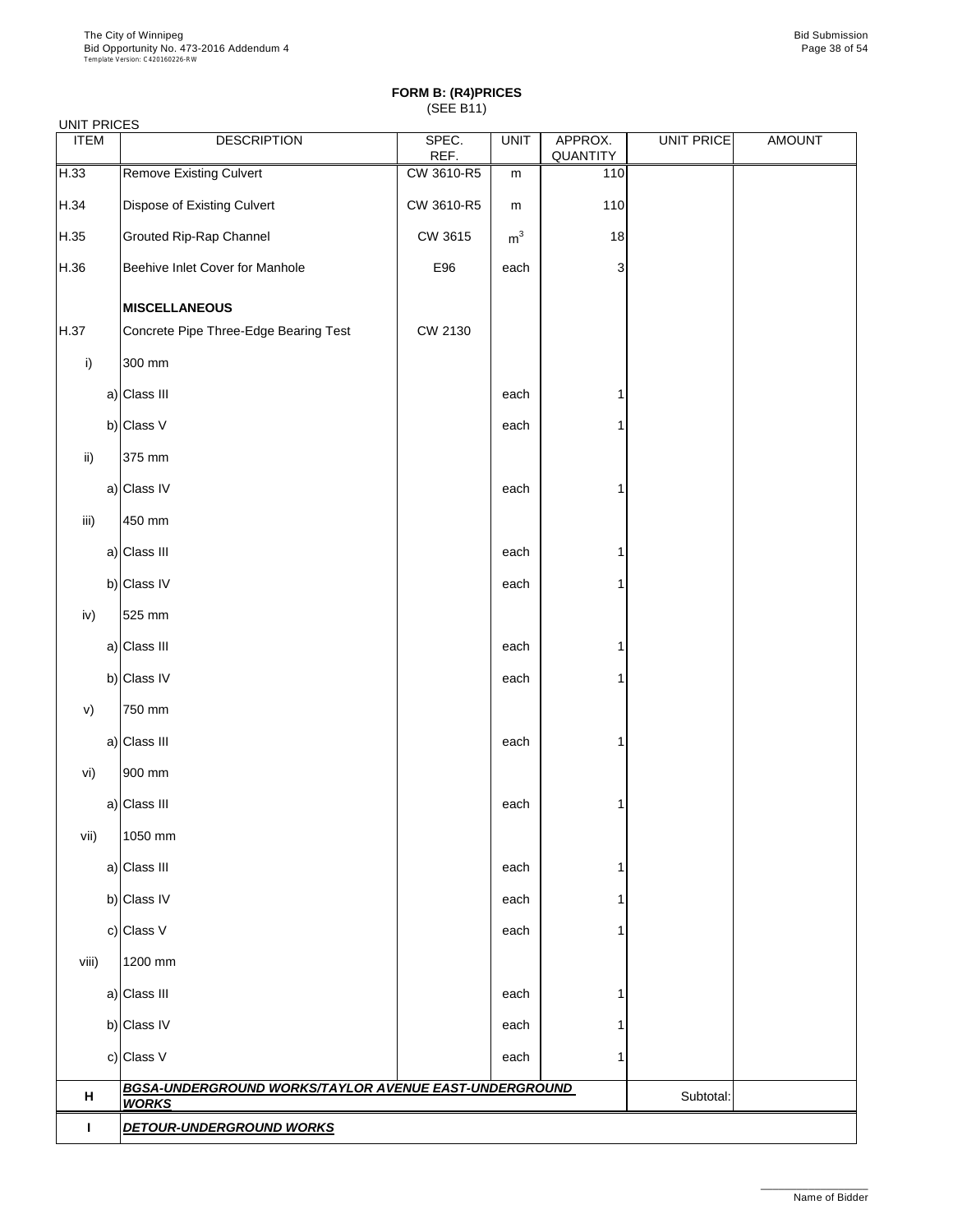| <b>UNIT PRICES</b> |                                                                       |               |                |                            |                   |               |
|--------------------|-----------------------------------------------------------------------|---------------|----------------|----------------------------|-------------------|---------------|
| <b>ITEM</b>        | <b>DESCRIPTION</b>                                                    | SPEC.<br>REF. | <b>UNIT</b>    | APPROX.<br><b>QUANTITY</b> | <b>UNIT PRICE</b> | <b>AMOUNT</b> |
| H.33               | Remove Existing Culvert                                               | CW 3610-R5    | m              | 110                        |                   |               |
| H.34               | Dispose of Existing Culvert                                           | CW 3610-R5    | m              | 110                        |                   |               |
| H.35               | Grouted Rip-Rap Channel                                               | CW 3615       | m <sup>3</sup> | 18                         |                   |               |
| H.36               | Beehive Inlet Cover for Manhole                                       | E96           | each           | 3                          |                   |               |
|                    | <b>MISCELLANEOUS</b>                                                  |               |                |                            |                   |               |
| H.37               | Concrete Pipe Three-Edge Bearing Test                                 | CW 2130       |                |                            |                   |               |
| i)                 | 300 mm                                                                |               |                |                            |                   |               |
|                    | a) Class III                                                          |               | each           | 1                          |                   |               |
|                    | b) Class V                                                            |               | each           | 1                          |                   |               |
| ii)                | 375 mm                                                                |               |                |                            |                   |               |
|                    | a) Class IV                                                           |               | each           | 1                          |                   |               |
| iii)               | 450 mm                                                                |               |                |                            |                   |               |
|                    | a) Class III                                                          |               | each           | 1                          |                   |               |
|                    | b) Class IV                                                           |               | each           | 1                          |                   |               |
| iv)                | 525 mm                                                                |               |                |                            |                   |               |
|                    | a) Class III                                                          |               | each           | 1                          |                   |               |
|                    | b) Class IV                                                           |               | each           | 1                          |                   |               |
| V)                 | 750 mm                                                                |               |                |                            |                   |               |
|                    | a) Class III                                                          |               | each           | 1                          |                   |               |
| vi)                | 900 mm                                                                |               |                |                            |                   |               |
|                    | a) Class III                                                          |               | each           | 1                          |                   |               |
| vii)               | 1050 mm                                                               |               |                |                            |                   |               |
|                    | a) Class III                                                          |               | each           | 1                          |                   |               |
|                    | b) Class IV                                                           |               | each           | 1                          |                   |               |
|                    | c) Class V                                                            |               | each           | 1                          |                   |               |
| viii)              | 1200 mm                                                               |               |                |                            |                   |               |
|                    | a) Class III                                                          |               | each           | 1                          |                   |               |
|                    | b) Class IV                                                           |               | each           | 1                          |                   |               |
|                    | c) Class V                                                            |               | each           | 1                          |                   |               |
| н                  | BGSA-UNDERGROUND WORKS/TAYLOR AVENUE EAST-UNDERGROUND<br><b>WORKS</b> |               | Subtotal:      |                            |                   |               |
| L                  | <b>DETOUR-UNDERGROUND WORKS</b>                                       |               |                |                            |                   |               |
|                    |                                                                       |               |                |                            |                   |               |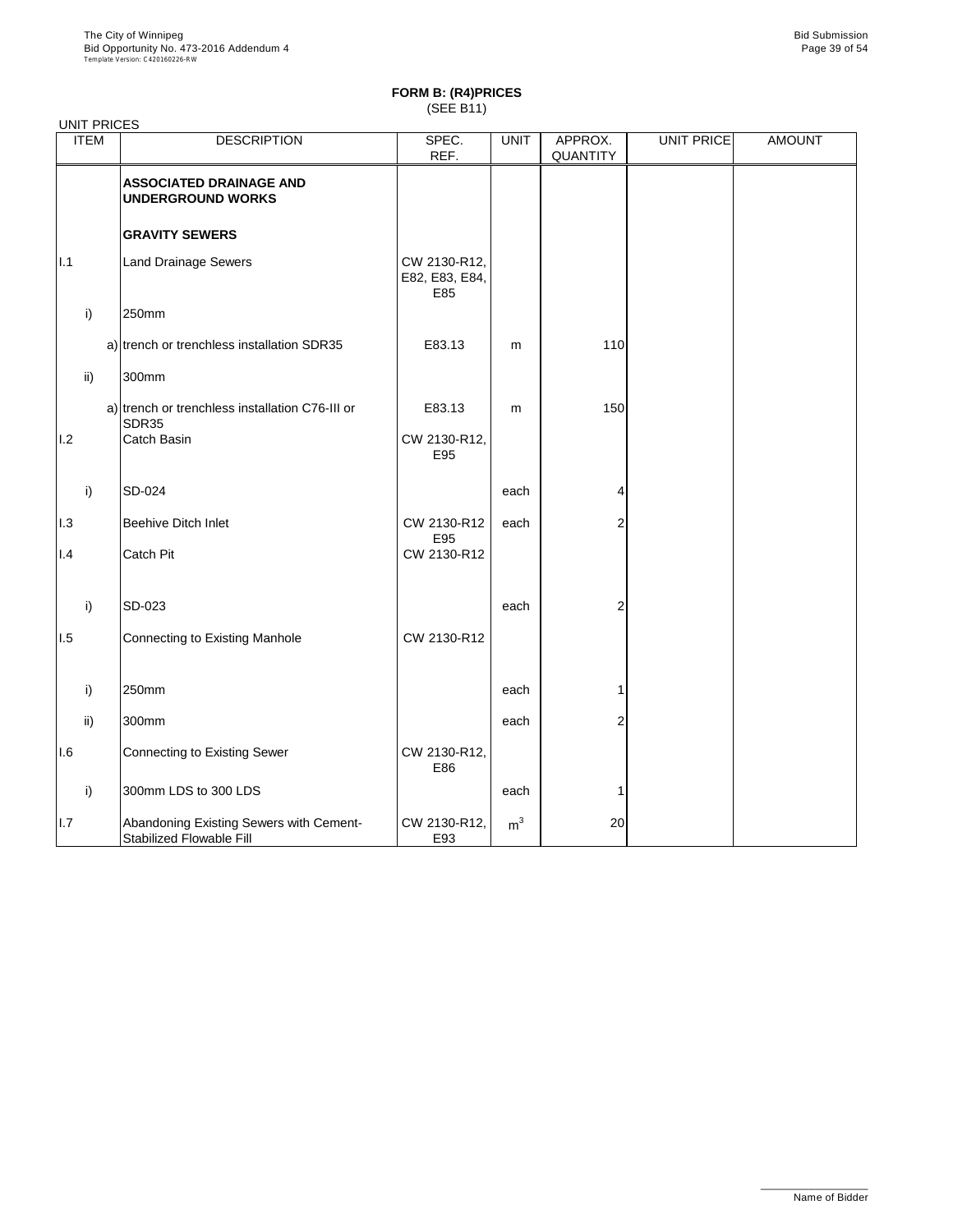|      | <b>ITEM</b> | <b>DESCRIPTION</b>                                                  | SPEC.                                 | <b>UNIT</b>    | APPROX.        | <b>UNIT PRICE</b> | <b>AMOUNT</b> |
|------|-------------|---------------------------------------------------------------------|---------------------------------------|----------------|----------------|-------------------|---------------|
|      |             |                                                                     | REF.                                  |                | QUANTITY       |                   |               |
|      |             | <b>ASSOCIATED DRAINAGE AND</b><br><b>UNDERGROUND WORKS</b>          |                                       |                |                |                   |               |
|      |             | <b>GRAVITY SEWERS</b>                                               |                                       |                |                |                   |               |
| II.1 |             | <b>Land Drainage Sewers</b>                                         | CW 2130-R12,<br>E82, E83, E84,<br>E85 |                |                |                   |               |
|      | i)          | 250mm                                                               |                                       |                |                |                   |               |
|      |             | a) trench or trenchless installation SDR35                          | E83.13                                | m              | 110            |                   |               |
|      | ii)         | 300mm                                                               |                                       |                |                |                   |               |
|      |             | a) trench or trenchless installation C76-III or<br>SDR35            | E83.13                                | m              | 150            |                   |               |
| 1.2  |             | Catch Basin                                                         | CW 2130-R12,<br>E95                   |                |                |                   |               |
|      | i)          | SD-024                                                              |                                       | each           | 4              |                   |               |
| 1.3  |             | Beehive Ditch Inlet                                                 | CW 2130-R12<br>E95                    | each           | 2              |                   |               |
| 1.4  |             | <b>Catch Pit</b>                                                    | CW 2130-R12                           |                |                |                   |               |
|      | i)          | SD-023                                                              |                                       | each           | $\overline{2}$ |                   |               |
| 1.5  |             | Connecting to Existing Manhole                                      | CW 2130-R12                           |                |                |                   |               |
|      |             |                                                                     |                                       |                |                |                   |               |
|      | i)          | 250mm                                                               |                                       | each           | 1              |                   |               |
|      | ii)         | 300mm                                                               |                                       | each           | 2              |                   |               |
| I.6  |             | <b>Connecting to Existing Sewer</b>                                 | CW 2130-R12,<br>E86                   |                |                |                   |               |
|      | i)          | 300mm LDS to 300 LDS                                                |                                       | each           | 1              |                   |               |
| I.7  |             | Abandoning Existing Sewers with Cement-<br>Stabilized Flowable Fill | CW 2130-R12,<br>E93                   | m <sup>3</sup> | 20             |                   |               |

#### UNIT PRICES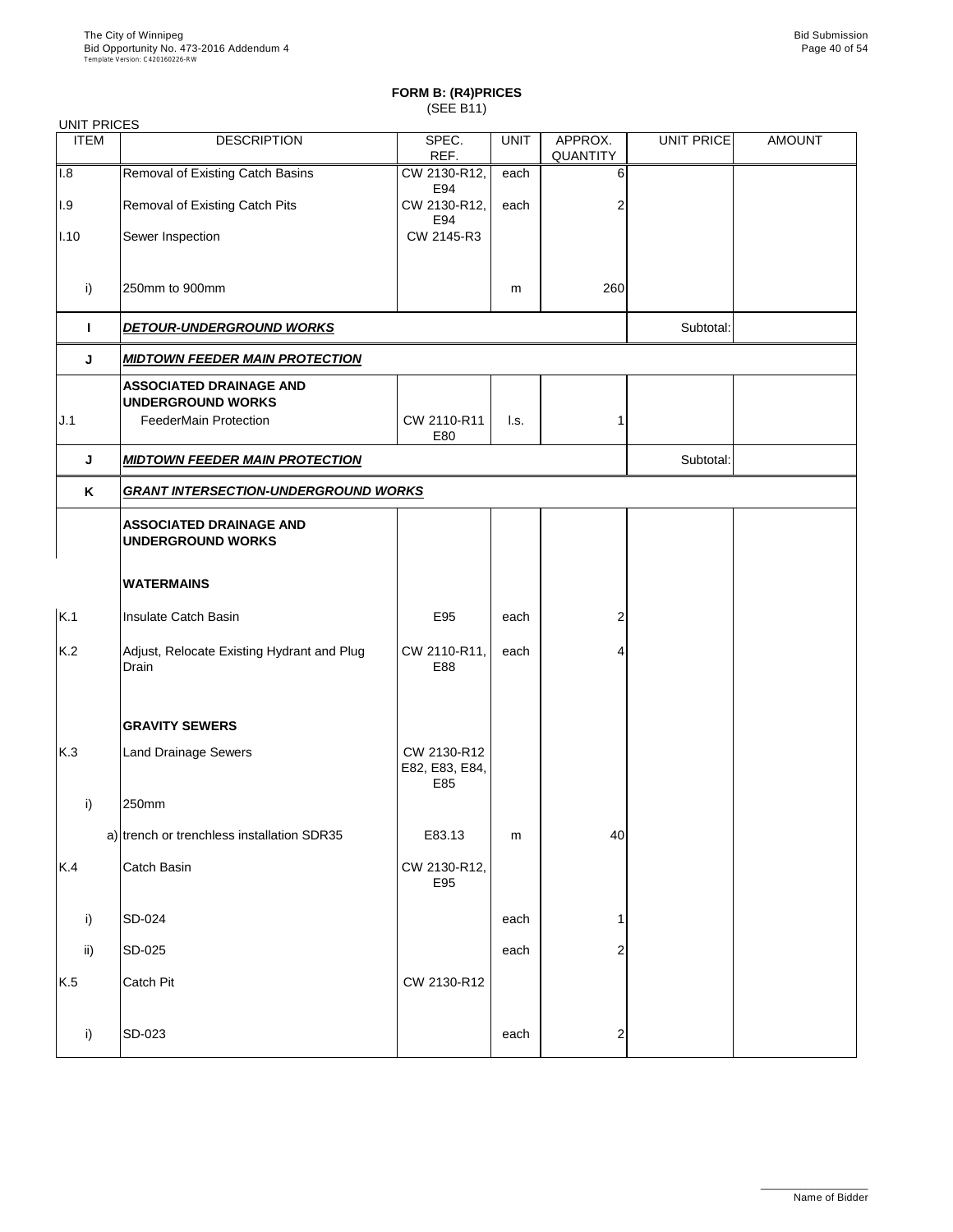| <b>UNIT PRICES</b> |                                                            |                                      |             |                     |                   |               |  |  |
|--------------------|------------------------------------------------------------|--------------------------------------|-------------|---------------------|-------------------|---------------|--|--|
| <b>ITEM</b>        | <b>DESCRIPTION</b>                                         | SPEC.<br>REF.                        | <b>UNIT</b> | APPROX.<br>QUANTITY | <b>UNIT PRICE</b> | <b>AMOUNT</b> |  |  |
| 1.8                | Removal of Existing Catch Basins                           | CW 2130-R12,<br>E94                  | each        | 6                   |                   |               |  |  |
| 1.9                | Removal of Existing Catch Pits                             | CW 2130-R12,<br>E94                  | each        | 2                   |                   |               |  |  |
| $ I.10\rangle$     | Sewer Inspection                                           | CW 2145-R3                           |             |                     |                   |               |  |  |
| i)                 | 250mm to 900mm                                             |                                      | m           | 260                 |                   |               |  |  |
| L                  | <b>DETOUR-UNDERGROUND WORKS</b>                            |                                      |             |                     | Subtotal:         |               |  |  |
| J                  | <b>MIDTOWN FEEDER MAIN PROTECTION</b>                      |                                      |             |                     |                   |               |  |  |
|                    | <b>ASSOCIATED DRAINAGE AND</b><br><b>UNDERGROUND WORKS</b> |                                      |             |                     |                   |               |  |  |
| J.1                | <b>FeederMain Protection</b>                               | CW 2110-R11<br>E80                   | l.s.        | 1                   |                   |               |  |  |
| J                  | <u>MIDTOWN FEEDER MAIN PROTECTION</u>                      |                                      | Subtotal:   |                     |                   |               |  |  |
| Κ                  | <b>GRANT INTERSECTION-UNDERGROUND WORKS</b>                |                                      |             |                     |                   |               |  |  |
|                    | <b>ASSOCIATED DRAINAGE AND</b><br><b>UNDERGROUND WORKS</b> |                                      |             |                     |                   |               |  |  |
|                    | <b>WATERMAINS</b>                                          |                                      |             |                     |                   |               |  |  |
| K.1                | Insulate Catch Basin                                       | E95                                  | each        | 2                   |                   |               |  |  |
| K.2                | Adjust, Relocate Existing Hydrant and Plug<br>Drain        | CW 2110-R11,<br>E88                  | each        |                     |                   |               |  |  |
|                    | <b>GRAVITY SEWERS</b>                                      |                                      |             |                     |                   |               |  |  |
| K.3                | <b>Land Drainage Sewers</b>                                | CW 2130-R12<br>E82, E83, E84,<br>E85 |             |                     |                   |               |  |  |
| i)                 | 250mm                                                      |                                      |             |                     |                   |               |  |  |
|                    | a) trench or trenchless installation SDR35                 | E83.13                               | m           | 40                  |                   |               |  |  |
| K.4                | Catch Basin                                                | CW 2130-R12,<br>E95                  |             |                     |                   |               |  |  |
| i)                 | SD-024                                                     |                                      | each        | 1                   |                   |               |  |  |
| ii)                | SD-025                                                     |                                      | each        | 2                   |                   |               |  |  |
| K.5                | <b>Catch Pit</b>                                           | CW 2130-R12                          |             |                     |                   |               |  |  |
| i)                 | SD-023                                                     |                                      | each        | $\overline{c}$      |                   |               |  |  |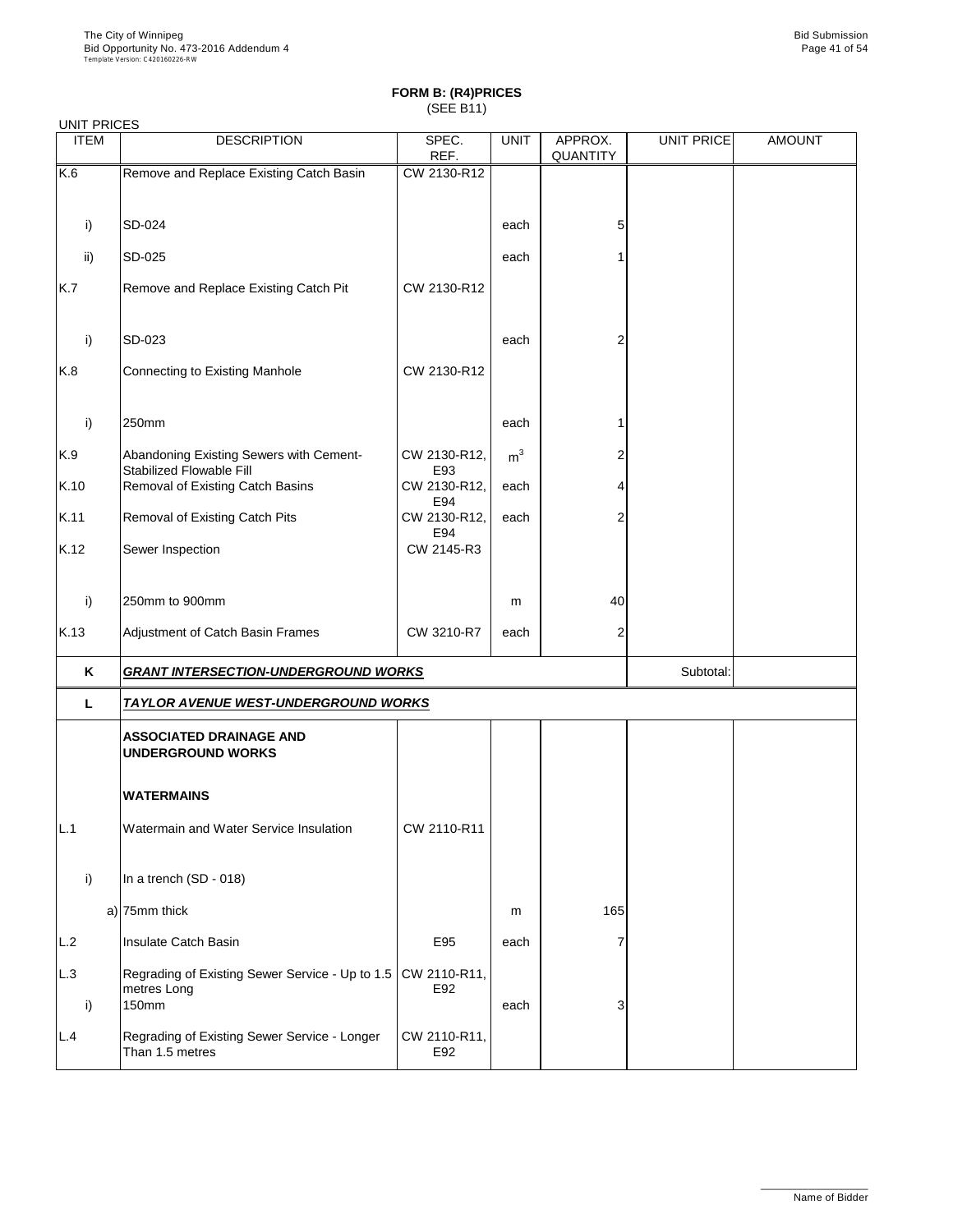| <b>UNIT PRICES</b> |                                                                         |                     |                |                     |                   |               |
|--------------------|-------------------------------------------------------------------------|---------------------|----------------|---------------------|-------------------|---------------|
| <b>ITEM</b>        | <b>DESCRIPTION</b>                                                      | SPEC.<br>REF.       | <b>UNIT</b>    | APPROX.<br>QUANTITY | <b>UNIT PRICE</b> | <b>AMOUNT</b> |
| K.6                | Remove and Replace Existing Catch Basin                                 | CW 2130-R12         |                |                     |                   |               |
|                    |                                                                         |                     |                |                     |                   |               |
| i)                 | SD-024                                                                  |                     | each           | 5                   |                   |               |
| ii)                | SD-025                                                                  |                     | each           |                     |                   |               |
| K.7                | Remove and Replace Existing Catch Pit                                   | CW 2130-R12         |                |                     |                   |               |
| i)                 | SD-023                                                                  |                     | each           | 2                   |                   |               |
| K.8                | Connecting to Existing Manhole                                          | CW 2130-R12         |                |                     |                   |               |
| i)                 | 250mm                                                                   |                     | each           |                     |                   |               |
| K.9                | Abandoning Existing Sewers with Cement-<br>Stabilized Flowable Fill     | CW 2130-R12,<br>E93 | m <sup>3</sup> | 2                   |                   |               |
| K.10               | Removal of Existing Catch Basins                                        | CW 2130-R12,<br>E94 | each           | 4                   |                   |               |
| K.11               | Removal of Existing Catch Pits                                          | CW 2130-R12,<br>E94 | each           | 2                   |                   |               |
| K.12               | Sewer Inspection                                                        | CW 2145-R3          |                |                     |                   |               |
| i)                 | 250mm to 900mm                                                          |                     | m              | 40                  |                   |               |
| K.13               | Adjustment of Catch Basin Frames                                        | CW 3210-R7          | each           | 2                   |                   |               |
| Κ                  | <b>GRANT INTERSECTION-UNDERGROUND WORKS</b>                             |                     |                |                     | Subtotal:         |               |
| L                  | <u>TAYLOR AVENUE WEST-UNDERGROUND WORKS</u>                             |                     |                |                     |                   |               |
|                    | <b>ASSOCIATED DRAINAGE AND</b><br><b>UNDERGROUND WORKS</b>              |                     |                |                     |                   |               |
|                    | <b>WATERMAINS</b>                                                       |                     |                |                     |                   |               |
| L.1                | Watermain and Water Service Insulation                                  | CW 2110-R11         |                |                     |                   |               |
| i)                 | In a trench (SD - 018)                                                  |                     |                |                     |                   |               |
|                    | a) 75mm thick                                                           |                     | m              | 165                 |                   |               |
| L.2                | Insulate Catch Basin                                                    | E95                 | each           | 7                   |                   |               |
| L.3<br>i)          | Regrading of Existing Sewer Service - Up to 1.5<br>metres Long<br>150mm | CW 2110-R11,<br>E92 | each           | 3                   |                   |               |
| L.4                | Regrading of Existing Sewer Service - Longer<br>Than 1.5 metres         | CW 2110-R11,<br>E92 |                |                     |                   |               |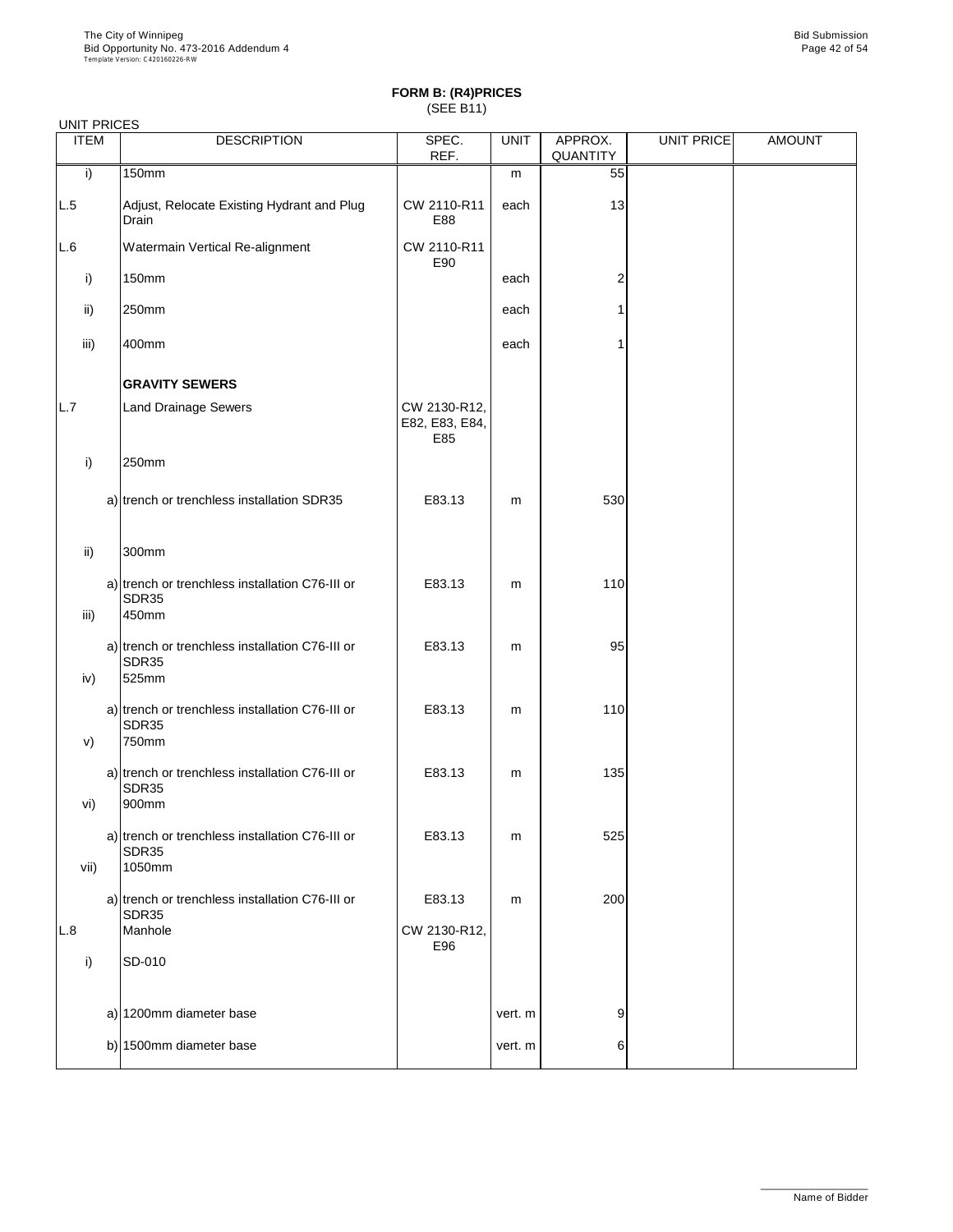|               | <b>UNIT PRICES</b>                                                 |                                       |             |                     |                   |               |  |  |  |  |
|---------------|--------------------------------------------------------------------|---------------------------------------|-------------|---------------------|-------------------|---------------|--|--|--|--|
| <b>ITEM</b>   | <b>DESCRIPTION</b>                                                 | SPEC.<br>REF.                         | <b>UNIT</b> | APPROX.<br>QUANTITY | <b>UNIT PRICE</b> | <b>AMOUNT</b> |  |  |  |  |
| i)            | 150mm                                                              |                                       | m           | 55                  |                   |               |  |  |  |  |
| L.5           | Adjust, Relocate Existing Hydrant and Plug<br>Drain                | CW 2110-R11<br>E88                    | each        | 13                  |                   |               |  |  |  |  |
| L.6           | Watermain Vertical Re-alignment                                    | CW 2110-R11<br>E90                    |             |                     |                   |               |  |  |  |  |
| i)            | 150mm                                                              |                                       | each        | $\overline{2}$      |                   |               |  |  |  |  |
| ii)           | 250mm                                                              |                                       | each        | 1                   |                   |               |  |  |  |  |
| iii)          | 400mm                                                              |                                       | each        | 1                   |                   |               |  |  |  |  |
|               | <b>GRAVITY SEWERS</b>                                              |                                       |             |                     |                   |               |  |  |  |  |
| L.7           | <b>Land Drainage Sewers</b>                                        | CW 2130-R12,<br>E82, E83, E84,<br>E85 |             |                     |                   |               |  |  |  |  |
| i)            | 250mm                                                              |                                       |             |                     |                   |               |  |  |  |  |
|               | a) trench or trenchless installation SDR35                         | E83.13                                | m           | 530                 |                   |               |  |  |  |  |
| $\mathsf{ii}$ | 300mm                                                              |                                       |             |                     |                   |               |  |  |  |  |
| iii)          | a) trench or trenchless installation C76-III or<br>SDR35<br>450mm  | E83.13                                | m           | 110                 |                   |               |  |  |  |  |
| iv)           | a) trench or trenchless installation C76-III or<br>SDR35<br>525mm  | E83.13                                | m           | 95                  |                   |               |  |  |  |  |
| V)            | a) trench or trenchless installation C76-III or<br>SDR35<br>750mm  | E83.13                                | m           | 110                 |                   |               |  |  |  |  |
| vi)           | a) trench or trenchless installation C76-III or<br>SDR35<br>900mm  | E83.13                                | m           | 135                 |                   |               |  |  |  |  |
| vii)          | a) trench or trenchless installation C76-III or<br>SDR35<br>1050mm | E83.13                                | m           | 525                 |                   |               |  |  |  |  |
|               | a) trench or trenchless installation C76-III or                    | E83.13                                | m           | 200                 |                   |               |  |  |  |  |
| L.8           | SDR35<br>Manhole                                                   | CW 2130-R12,                          |             |                     |                   |               |  |  |  |  |
| i)            | SD-010                                                             | E96                                   |             |                     |                   |               |  |  |  |  |
|               | a) 1200mm diameter base                                            |                                       | vert. m     | 9                   |                   |               |  |  |  |  |
|               | b) 1500mm diameter base                                            |                                       | vert. m     | 6                   |                   |               |  |  |  |  |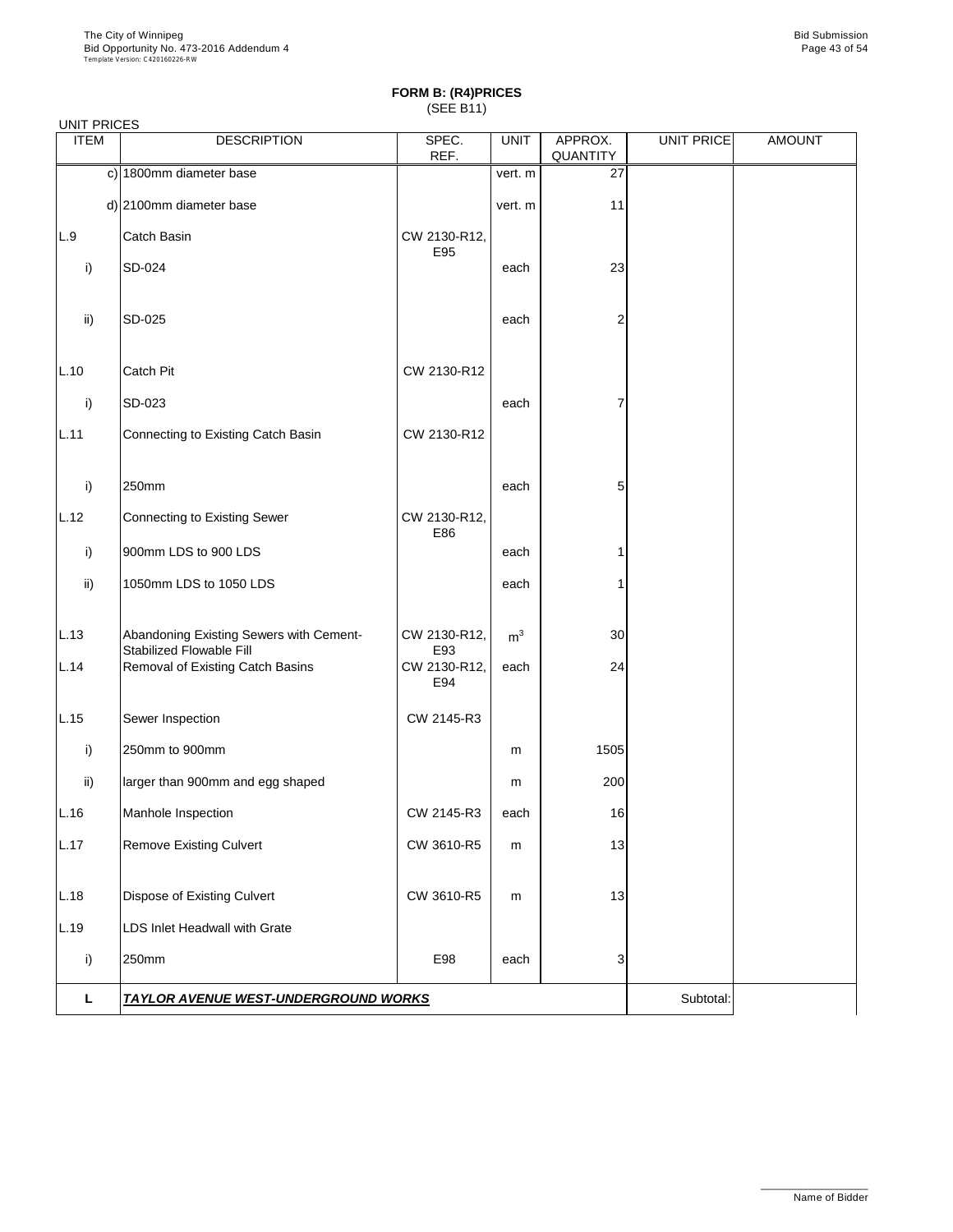|             | <b>UNIT PRICES</b>                                                  |                     |                |                     |                   |               |  |  |  |  |
|-------------|---------------------------------------------------------------------|---------------------|----------------|---------------------|-------------------|---------------|--|--|--|--|
| <b>ITEM</b> | <b>DESCRIPTION</b>                                                  | SPEC.<br>REF.       | <b>UNIT</b>    | APPROX.<br>QUANTITY | <b>UNIT PRICE</b> | <b>AMOUNT</b> |  |  |  |  |
|             | c) 1800mm diameter base                                             |                     | vert. m        | 27                  |                   |               |  |  |  |  |
|             | d) 2100mm diameter base                                             |                     | vert. m        | 11                  |                   |               |  |  |  |  |
| L.9         | Catch Basin                                                         | CW 2130-R12,<br>E95 |                |                     |                   |               |  |  |  |  |
| i)          | SD-024                                                              |                     | each           | 23                  |                   |               |  |  |  |  |
| ii)         | SD-025                                                              |                     | each           | $\overline{2}$      |                   |               |  |  |  |  |
| L.10        | Catch Pit                                                           | CW 2130-R12         |                |                     |                   |               |  |  |  |  |
| i)          | SD-023                                                              |                     | each           | 7                   |                   |               |  |  |  |  |
| L.11        | Connecting to Existing Catch Basin                                  | CW 2130-R12         |                |                     |                   |               |  |  |  |  |
| i)          | 250mm                                                               |                     | each           | 5                   |                   |               |  |  |  |  |
| L.12        | <b>Connecting to Existing Sewer</b>                                 | CW 2130-R12,<br>E86 |                |                     |                   |               |  |  |  |  |
| i)          | 900mm LDS to 900 LDS                                                |                     | each           | 1                   |                   |               |  |  |  |  |
| ii)         | 1050mm LDS to 1050 LDS                                              |                     | each           | $\mathbf{1}$        |                   |               |  |  |  |  |
| L.13        | Abandoning Existing Sewers with Cement-<br>Stabilized Flowable Fill | CW 2130-R12,<br>E93 | m <sup>3</sup> | 30                  |                   |               |  |  |  |  |
| L.14        | Removal of Existing Catch Basins                                    | CW 2130-R12,<br>E94 | each           | 24                  |                   |               |  |  |  |  |
| L.15        | Sewer Inspection                                                    | CW 2145-R3          |                |                     |                   |               |  |  |  |  |
| i)          | 250mm to 900mm                                                      |                     | m              | 1505                |                   |               |  |  |  |  |
| ii)         | larger than 900mm and egg shaped                                    |                     | m              | 200                 |                   |               |  |  |  |  |
| L.16        | Manhole Inspection                                                  | CW 2145-R3          | each           | 16                  |                   |               |  |  |  |  |
| L.17        | <b>Remove Existing Culvert</b>                                      | CW 3610-R5          | m              | 13                  |                   |               |  |  |  |  |
| L.18        | Dispose of Existing Culvert                                         | CW 3610-R5          | m              | 13                  |                   |               |  |  |  |  |
| L.19        | LDS Inlet Headwall with Grate                                       |                     |                |                     |                   |               |  |  |  |  |
| i)          | 250mm                                                               | E98                 | each           | 3                   |                   |               |  |  |  |  |
| L           | <b>TAYLOR AVENUE WEST-UNDERGROUND WORKS</b>                         |                     | Subtotal:      |                     |                   |               |  |  |  |  |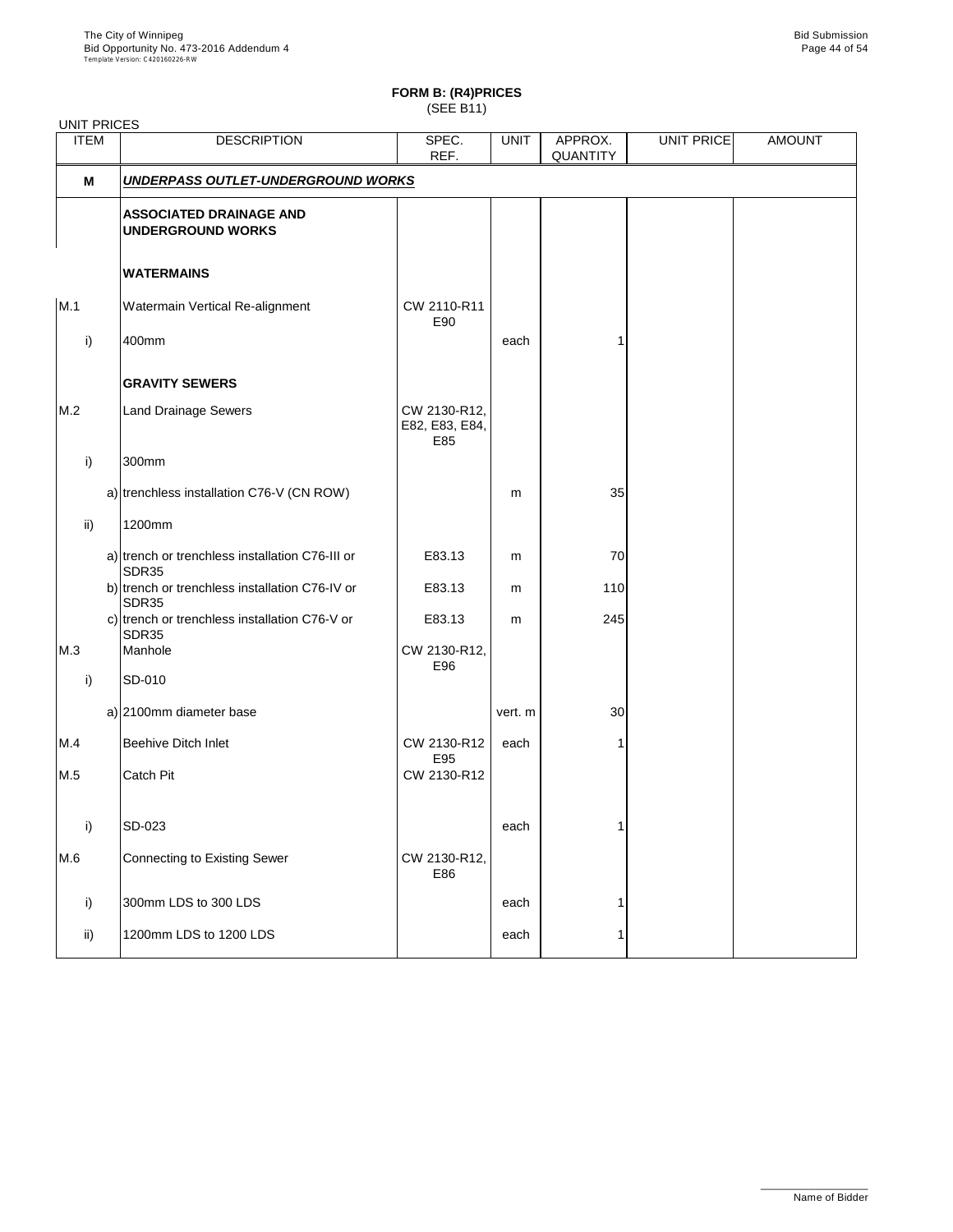UNIT PRICES

# **FORM B: (R4)PRICES**

(SEE B11)

| <b>DESCRIPTION</b>                                         | SPEC.<br>REF.                                                                                                                                                                                                                                                   | <b>UNIT</b>                                             | APPROX.<br>QUANTITY | UNIT PRICE | <b>AMOUNT</b> |
|------------------------------------------------------------|-----------------------------------------------------------------------------------------------------------------------------------------------------------------------------------------------------------------------------------------------------------------|---------------------------------------------------------|---------------------|------------|---------------|
|                                                            |                                                                                                                                                                                                                                                                 |                                                         |                     |            |               |
| <b>ASSOCIATED DRAINAGE AND</b><br><b>UNDERGROUND WORKS</b> |                                                                                                                                                                                                                                                                 |                                                         |                     |            |               |
| <b>WATERMAINS</b>                                          |                                                                                                                                                                                                                                                                 |                                                         |                     |            |               |
| Watermain Vertical Re-alignment                            | CW 2110-R11<br>E90                                                                                                                                                                                                                                              |                                                         |                     |            |               |
| 400mm                                                      |                                                                                                                                                                                                                                                                 | each                                                    |                     |            |               |
| <b>GRAVITY SEWERS</b>                                      |                                                                                                                                                                                                                                                                 |                                                         |                     |            |               |
| <b>Land Drainage Sewers</b>                                | CW 2130-R12,<br>E82, E83, E84,<br>E85                                                                                                                                                                                                                           |                                                         |                     |            |               |
| 300mm                                                      |                                                                                                                                                                                                                                                                 |                                                         |                     |            |               |
|                                                            |                                                                                                                                                                                                                                                                 | m                                                       | 35                  |            |               |
| 1200mm                                                     |                                                                                                                                                                                                                                                                 |                                                         |                     |            |               |
|                                                            | E83.13                                                                                                                                                                                                                                                          | m                                                       | 70                  |            |               |
|                                                            | E83.13                                                                                                                                                                                                                                                          | m                                                       | 110                 |            |               |
|                                                            | E83.13                                                                                                                                                                                                                                                          | m                                                       | 245                 |            |               |
| Manhole                                                    | CW 2130-R12,                                                                                                                                                                                                                                                    |                                                         |                     |            |               |
| SD-010                                                     |                                                                                                                                                                                                                                                                 |                                                         |                     |            |               |
|                                                            |                                                                                                                                                                                                                                                                 | vert. m                                                 | 30                  |            |               |
| <b>Beehive Ditch Inlet</b>                                 | CW 2130-R12                                                                                                                                                                                                                                                     | each                                                    |                     |            |               |
| <b>Catch Pit</b>                                           | CW 2130-R12                                                                                                                                                                                                                                                     |                                                         |                     |            |               |
|                                                            |                                                                                                                                                                                                                                                                 |                                                         | 1                   |            |               |
| <b>Connecting to Existing Sewer</b>                        | CW 2130-R12,<br>E86                                                                                                                                                                                                                                             |                                                         |                     |            |               |
| 300mm LDS to 300 LDS                                       |                                                                                                                                                                                                                                                                 | each                                                    | 1                   |            |               |
| 1200mm LDS to 1200 LDS                                     |                                                                                                                                                                                                                                                                 | each                                                    | 1                   |            |               |
|                                                            | a) trenchless installation C76-V (CN ROW)<br>a) trench or trenchless installation C76-III or<br>SDR35<br>b) trench or trenchless installation C76-IV or<br>SDR35<br>c) trench or trenchless installation C76-V or<br>SDR35<br>a) 2100mm diameter base<br>SD-023 | <b>UNDERPASS OUTLET-UNDERGROUND WORKS</b><br>E96<br>E95 | each                |            |               |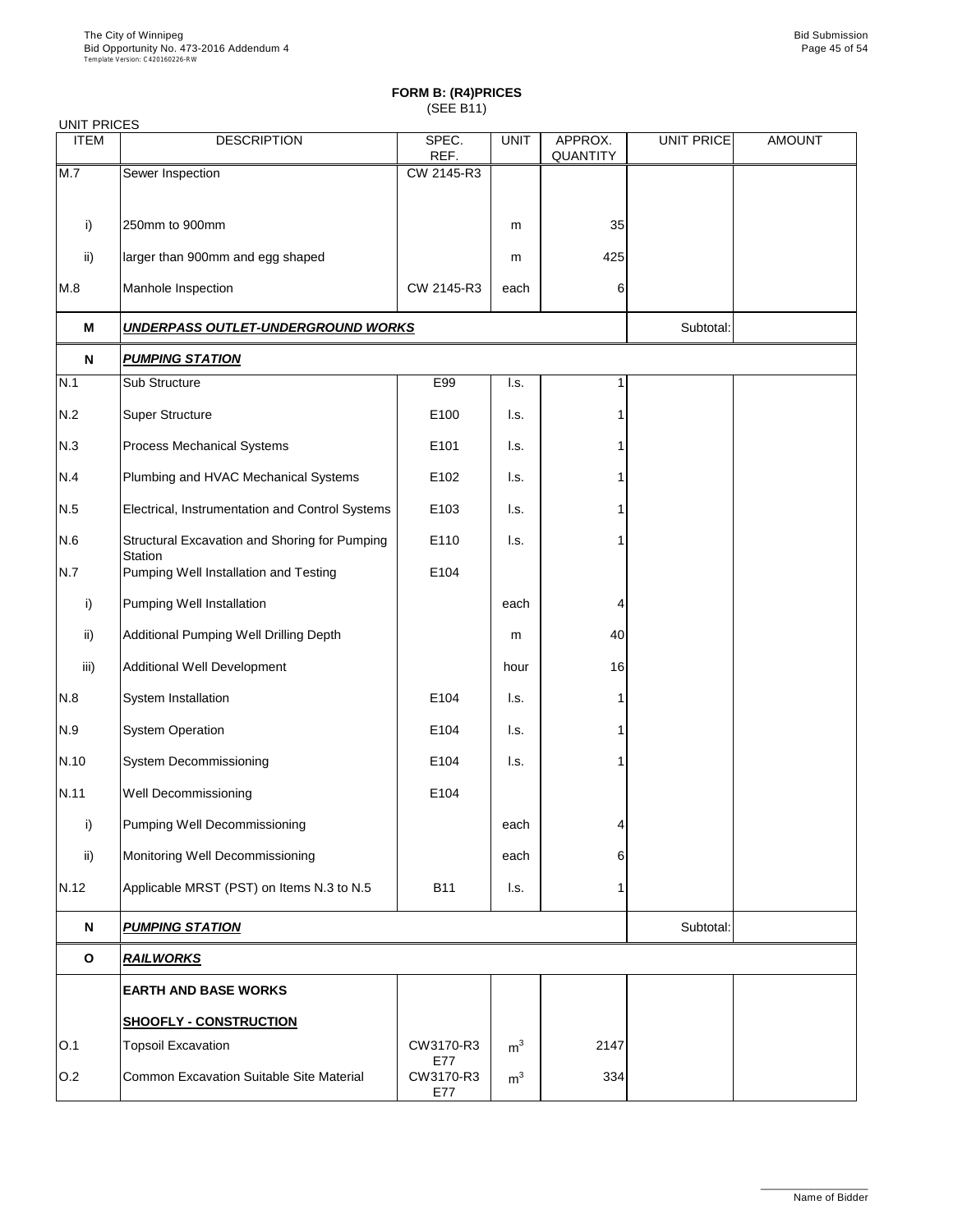| <b>UNIT PRICES</b> |                                                                 |                  |                |                     |                   |               |  |  |
|--------------------|-----------------------------------------------------------------|------------------|----------------|---------------------|-------------------|---------------|--|--|
| <b>ITEM</b>        | <b>DESCRIPTION</b>                                              | SPEC.<br>REF.    | <b>UNIT</b>    | APPROX.<br>QUANTITY | <b>UNIT PRICE</b> | <b>AMOUNT</b> |  |  |
| M.7                | Sewer Inspection                                                | CW 2145-R3       |                |                     |                   |               |  |  |
|                    |                                                                 |                  |                |                     |                   |               |  |  |
| i)                 | 250mm to 900mm                                                  |                  | m              | 35                  |                   |               |  |  |
| ii)                | larger than 900mm and egg shaped                                |                  | m              | 425                 |                   |               |  |  |
| M.8                | Manhole Inspection                                              | CW 2145-R3       | each           | 6                   |                   |               |  |  |
| M                  | <u>UNDERPASS OUTLET-UNDERGROUND WORKS</u>                       |                  |                |                     | Subtotal:         |               |  |  |
| N                  | <b>PUMPING STATION</b>                                          |                  |                |                     |                   |               |  |  |
| N.1                | Sub Structure                                                   | E99              | I.s.           | 1                   |                   |               |  |  |
| N.2                | <b>Super Structure</b>                                          | E100             | I.s.           |                     |                   |               |  |  |
| N.3                | Process Mechanical Systems                                      | E101             | I.s.           |                     |                   |               |  |  |
| N.4                | Plumbing and HVAC Mechanical Systems                            | E102             | l.s.           |                     |                   |               |  |  |
| N.5                | Electrical, Instrumentation and Control Systems                 | E103             | I.s.           |                     |                   |               |  |  |
| N.6                | Structural Excavation and Shoring for Pumping<br><b>Station</b> | E110             | I.s.           |                     |                   |               |  |  |
| N.7                | Pumping Well Installation and Testing                           | E104             |                |                     |                   |               |  |  |
| i)                 | Pumping Well Installation                                       |                  | each           | 4                   |                   |               |  |  |
| ii)                | Additional Pumping Well Drilling Depth                          |                  | m              | 40                  |                   |               |  |  |
| iii)               | <b>Additional Well Development</b>                              |                  | hour           | 16                  |                   |               |  |  |
| N.8                | System Installation                                             | E104             | I.s.           |                     |                   |               |  |  |
| N.9                | <b>System Operation</b>                                         | E104             | l.s.           |                     |                   |               |  |  |
| N.10               | System Decommissioning                                          | E104             | I.s.           |                     |                   |               |  |  |
| N.11               | Well Decommissioning                                            | E104             |                |                     |                   |               |  |  |
| i)                 | Pumping Well Decommissioning                                    |                  | each           | 4                   |                   |               |  |  |
| ii)                | Monitoring Well Decommissioning                                 |                  | each           | 6                   |                   |               |  |  |
| N.12               | Applicable MRST (PST) on Items N.3 to N.5                       | <b>B11</b>       | l.s.           | 1                   |                   |               |  |  |
| N                  | <b>PUMPING STATION</b>                                          |                  |                |                     | Subtotal:         |               |  |  |
| $\mathbf{o}$       | <b>RAILWORKS</b>                                                |                  |                |                     |                   |               |  |  |
|                    | <b>EARTH AND BASE WORKS</b>                                     |                  |                |                     |                   |               |  |  |
|                    | <b>SHOOFLY - CONSTRUCTION</b>                                   |                  |                |                     |                   |               |  |  |
| O.1                | <b>Topsoil Excavation</b>                                       | CW3170-R3<br>E77 | m <sup>3</sup> | 2147                |                   |               |  |  |
| O.2                | Common Excavation Suitable Site Material                        | CW3170-R3<br>E77 | m <sup>3</sup> | 334                 |                   |               |  |  |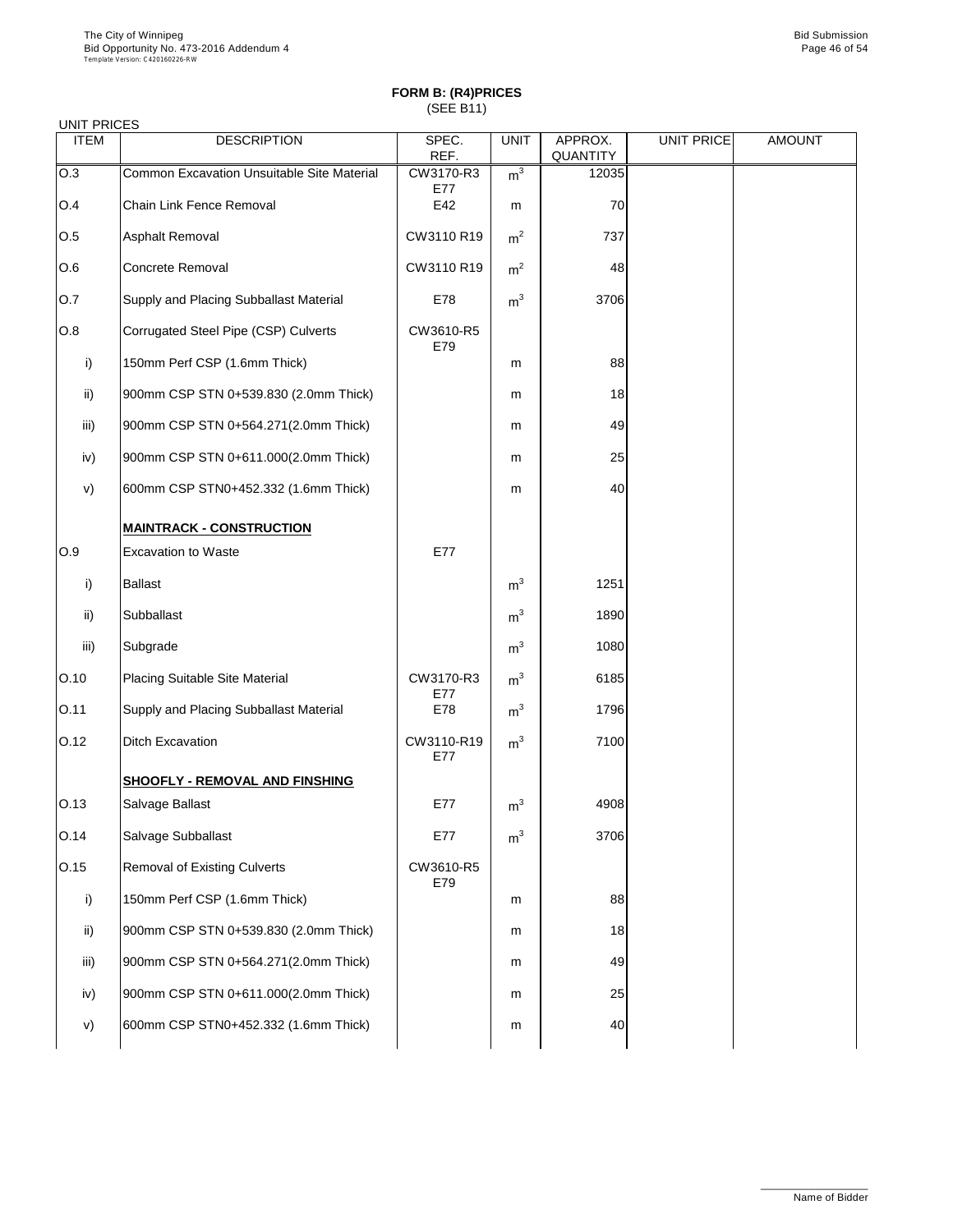| <b>ITEM</b> | <b>DESCRIPTION</b>                         | SPEC.<br>REF.     | <b>UNIT</b>    | APPROX.<br>QUANTITY | <b>UNIT PRICE</b> | <b>AMOUNT</b> |
|-------------|--------------------------------------------|-------------------|----------------|---------------------|-------------------|---------------|
| O.3         | Common Excavation Unsuitable Site Material | CW3170-R3<br>E77  | m <sup>3</sup> | 12035               |                   |               |
| O.4         | Chain Link Fence Removal                   | E42               | m              | 70                  |                   |               |
| O.5         | Asphalt Removal                            | CW3110 R19        | m <sup>2</sup> | 737                 |                   |               |
| O.6         | Concrete Removal                           | CW3110 R19        | m <sup>2</sup> | 48                  |                   |               |
| O.7         | Supply and Placing Subballast Material     | E78               | m <sup>3</sup> | 3706                |                   |               |
| O.8         | Corrugated Steel Pipe (CSP) Culverts       | CW3610-R5<br>E79  |                |                     |                   |               |
| i)          | 150mm Perf CSP (1.6mm Thick)               |                   | m              | 88                  |                   |               |
| ii)         | 900mm CSP STN 0+539.830 (2.0mm Thick)      |                   | m              | 18                  |                   |               |
| iii)        | 900mm CSP STN 0+564.271(2.0mm Thick)       |                   | m              | 49                  |                   |               |
| iv)         | 900mm CSP STN 0+611.000(2.0mm Thick)       |                   | m              | 25                  |                   |               |
| v)          | 600mm CSP STN0+452.332 (1.6mm Thick)       |                   | m              | 40                  |                   |               |
|             | <b>MAINTRACK - CONSTRUCTION</b>            |                   |                |                     |                   |               |
| O.9         | <b>Excavation to Waste</b>                 | E77               |                |                     |                   |               |
| i)          | <b>Ballast</b>                             |                   | $\rm m^3$      | 1251                |                   |               |
| ii)         | Subballast                                 |                   | m <sup>3</sup> | 1890                |                   |               |
| iii)        | Subgrade                                   |                   | m <sup>3</sup> | 1080                |                   |               |
| O.10        | Placing Suitable Site Material             | CW3170-R3<br>E77  | m <sup>3</sup> | 6185                |                   |               |
| 0.11        | Supply and Placing Subballast Material     | E78               | m <sup>3</sup> | 1796                |                   |               |
| O.12        | <b>Ditch Excavation</b>                    | CW3110-R19<br>E77 | m <sup>3</sup> | 7100                |                   |               |
|             | <b>SHOOFLY - REMOVAL AND FINSHING</b>      |                   |                |                     |                   |               |
| O.13        | Salvage Ballast                            | E77               | m <sup>3</sup> | 4908                |                   |               |
| O.14        | Salvage Subballast                         | E77               | m <sup>3</sup> | 3706                |                   |               |
| 0.15        | Removal of Existing Culverts               | CW3610-R5<br>E79  |                |                     |                   |               |
| i)          | 150mm Perf CSP (1.6mm Thick)               |                   | m              | 88                  |                   |               |
| ii)         | 900mm CSP STN 0+539.830 (2.0mm Thick)      |                   | m              | 18                  |                   |               |
| iii)        | 900mm CSP STN 0+564.271(2.0mm Thick)       |                   | m              | 49                  |                   |               |
| iv)         | 900mm CSP STN 0+611.000(2.0mm Thick)       |                   | m              | 25                  |                   |               |
| v)          | 600mm CSP STN0+452.332 (1.6mm Thick)       |                   | m              | 40                  |                   |               |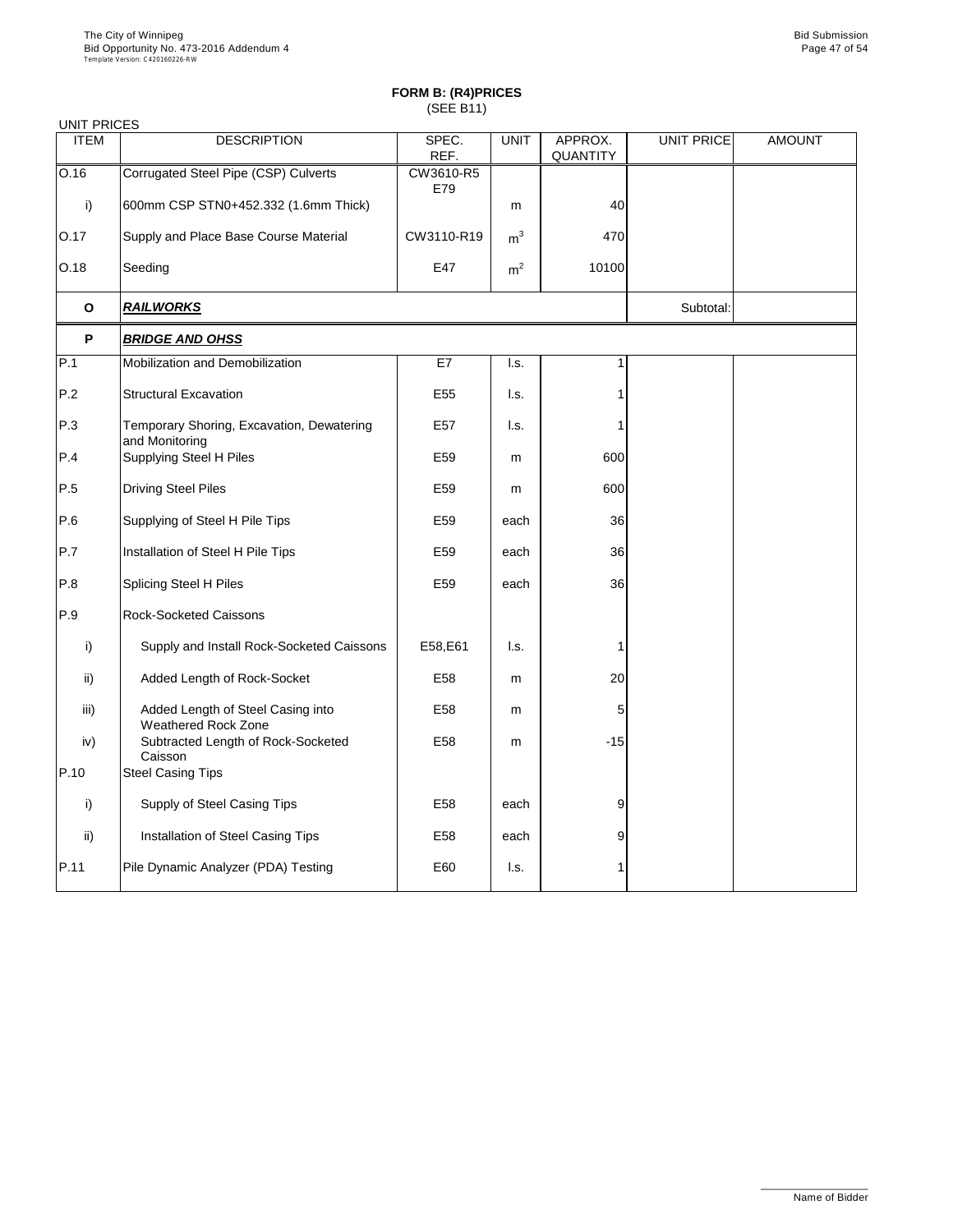| <b>UNIT PRICES</b> |                                                             |                  |                |                     |                   |               |
|--------------------|-------------------------------------------------------------|------------------|----------------|---------------------|-------------------|---------------|
| <b>ITEM</b>        | <b>DESCRIPTION</b>                                          | SPEC.<br>REF.    | <b>UNIT</b>    | APPROX.<br>QUANTITY | <b>UNIT PRICE</b> | <b>AMOUNT</b> |
| 0.16               | Corrugated Steel Pipe (CSP) Culverts                        | CW3610-R5<br>E79 |                |                     |                   |               |
| i)                 | 600mm CSP STN0+452.332 (1.6mm Thick)                        |                  | m              | 40                  |                   |               |
| O.17               | Supply and Place Base Course Material                       | CW3110-R19       | m <sup>3</sup> | 470                 |                   |               |
| O.18               | Seeding                                                     | E47              | m <sup>2</sup> | 10100               |                   |               |
| $\mathbf{o}$       | <b>RAILWORKS</b>                                            |                  |                |                     | Subtotal:         |               |
| P                  | <b>BRIDGE AND OHSS</b>                                      |                  |                |                     |                   |               |
| P.1                | Mobilization and Demobilization                             | E7               | I.s.           | 1                   |                   |               |
| P.2                | <b>Structural Excavation</b>                                | E <sub>55</sub>  | I.s.           | 1                   |                   |               |
| P.3                | Temporary Shoring, Excavation, Dewatering<br>and Monitoring | E57              | I.s.           |                     |                   |               |
| P.4                | Supplying Steel H Piles                                     | E59              | m              | 600                 |                   |               |
| P.5                | <b>Driving Steel Piles</b>                                  | E59              | m              | 600                 |                   |               |
| P.6                | Supplying of Steel H Pile Tips                              | E59              | each           | 36                  |                   |               |
| P.7                | Installation of Steel H Pile Tips                           | E59              | each           | 36                  |                   |               |
| P.8                | Splicing Steel H Piles                                      | E59              | each           | 36                  |                   |               |
| P.9                | <b>Rock-Socketed Caissons</b>                               |                  |                |                     |                   |               |
| i)                 | Supply and Install Rock-Socketed Caissons                   | E58,E61          | I.s.           | 1                   |                   |               |
| ii)                | Added Length of Rock-Socket                                 | E58              | m              | 20                  |                   |               |
| iii)               | Added Length of Steel Casing into<br>Weathered Rock Zone    | E58              | m              | 5                   |                   |               |
| iv)                | Subtracted Length of Rock-Socketed<br>Caisson               | E58              | m              | $-15$               |                   |               |
| P.10               | <b>Steel Casing Tips</b>                                    |                  |                |                     |                   |               |
| i)                 | Supply of Steel Casing Tips                                 | E58              | each           | 9                   |                   |               |
| ii)                | Installation of Steel Casing Tips                           | E58              | each           | 9                   |                   |               |
| P.11               | Pile Dynamic Analyzer (PDA) Testing                         | E60              | I.s.           |                     |                   |               |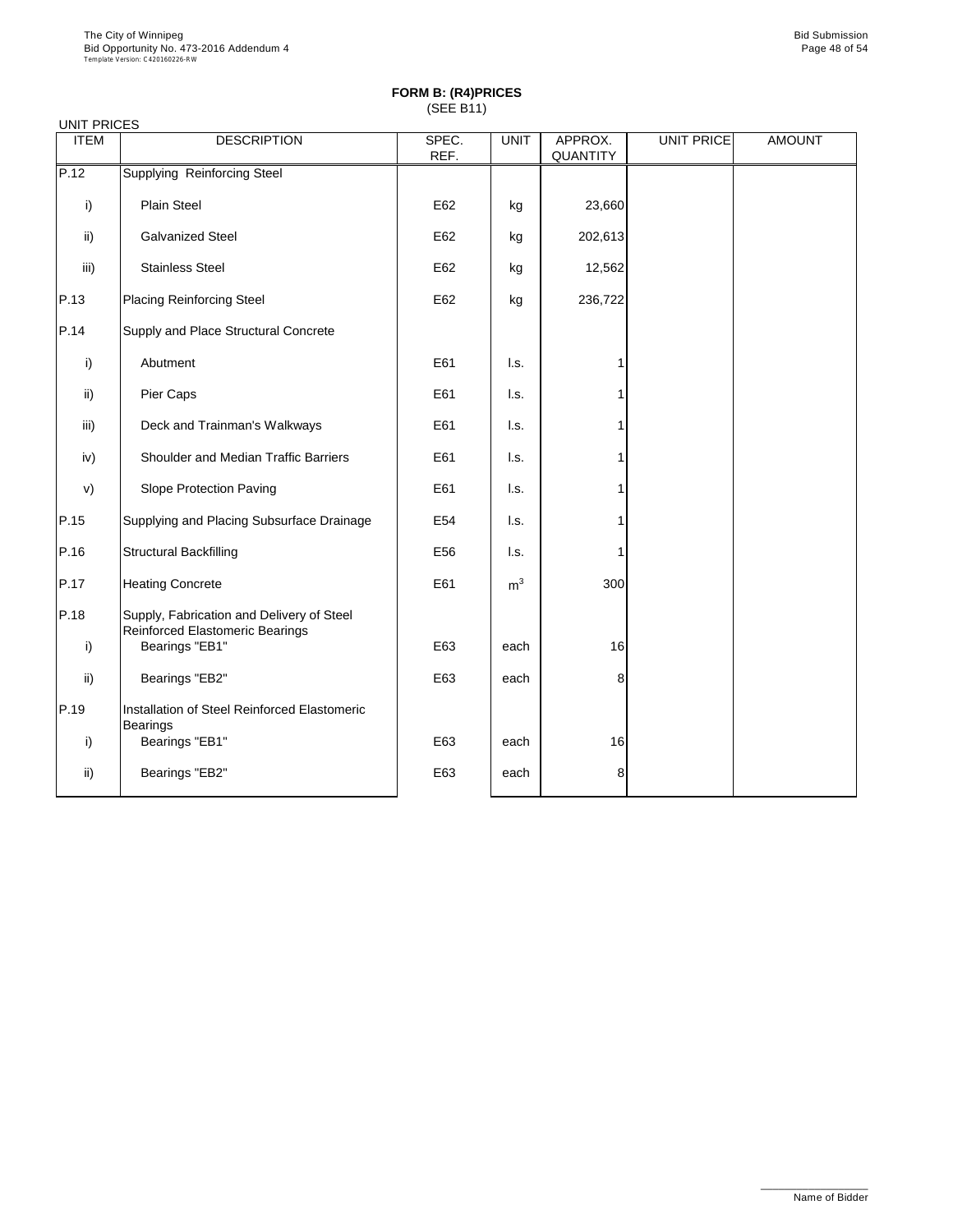|             | <b>UNIT PRICES</b>                                                           |               |                |                            |                   |               |  |  |  |  |
|-------------|------------------------------------------------------------------------------|---------------|----------------|----------------------------|-------------------|---------------|--|--|--|--|
| <b>ITEM</b> | <b>DESCRIPTION</b>                                                           | SPEC.<br>REF. | <b>UNIT</b>    | APPROX.<br><b>QUANTITY</b> | <b>UNIT PRICE</b> | <b>AMOUNT</b> |  |  |  |  |
| P.12        | Supplying Reinforcing Steel                                                  |               |                |                            |                   |               |  |  |  |  |
| i)          | <b>Plain Steel</b>                                                           | E62           | kg             | 23,660                     |                   |               |  |  |  |  |
| ii)         | Galvanized Steel                                                             | E62           | kg             | 202,613                    |                   |               |  |  |  |  |
| iii)        | <b>Stainless Steel</b>                                                       | E62           | kg             | 12,562                     |                   |               |  |  |  |  |
| P.13        | <b>Placing Reinforcing Steel</b>                                             | E62           | kg             | 236,722                    |                   |               |  |  |  |  |
| P.14        | Supply and Place Structural Concrete                                         |               |                |                            |                   |               |  |  |  |  |
| i)          | Abutment                                                                     | E61           | I.s.           |                            |                   |               |  |  |  |  |
| ii)         | Pier Caps                                                                    | E61           | I.s.           |                            |                   |               |  |  |  |  |
| iii)        | Deck and Trainman's Walkways                                                 | E61           | I.s.           |                            |                   |               |  |  |  |  |
| iv)         | Shoulder and Median Traffic Barriers                                         | E61           | I.s.           |                            |                   |               |  |  |  |  |
| V)          | Slope Protection Paving                                                      | E61           | I.s.           |                            |                   |               |  |  |  |  |
| P.15        | Supplying and Placing Subsurface Drainage                                    | E54           | I.s.           |                            |                   |               |  |  |  |  |
| P.16        | <b>Structural Backfilling</b>                                                | E56           | I.s.           | 1                          |                   |               |  |  |  |  |
| P.17        | <b>Heating Concrete</b>                                                      | E61           | m <sup>3</sup> | 300                        |                   |               |  |  |  |  |
| P.18        | Supply, Fabrication and Delivery of Steel<br>Reinforced Elastomeric Bearings |               |                |                            |                   |               |  |  |  |  |
| i)          | Bearings "EB1"                                                               | E63           | each           | 16                         |                   |               |  |  |  |  |
| ii)         | Bearings "EB2"                                                               | E63           | each           | 8                          |                   |               |  |  |  |  |
| P.19        | Installation of Steel Reinforced Elastomeric<br><b>Bearings</b>              |               |                |                            |                   |               |  |  |  |  |
| i)          | Bearings "EB1"                                                               | E63           | each           | 16                         |                   |               |  |  |  |  |
| ii)         | Bearings "EB2"                                                               | E63           | each           | 8                          |                   |               |  |  |  |  |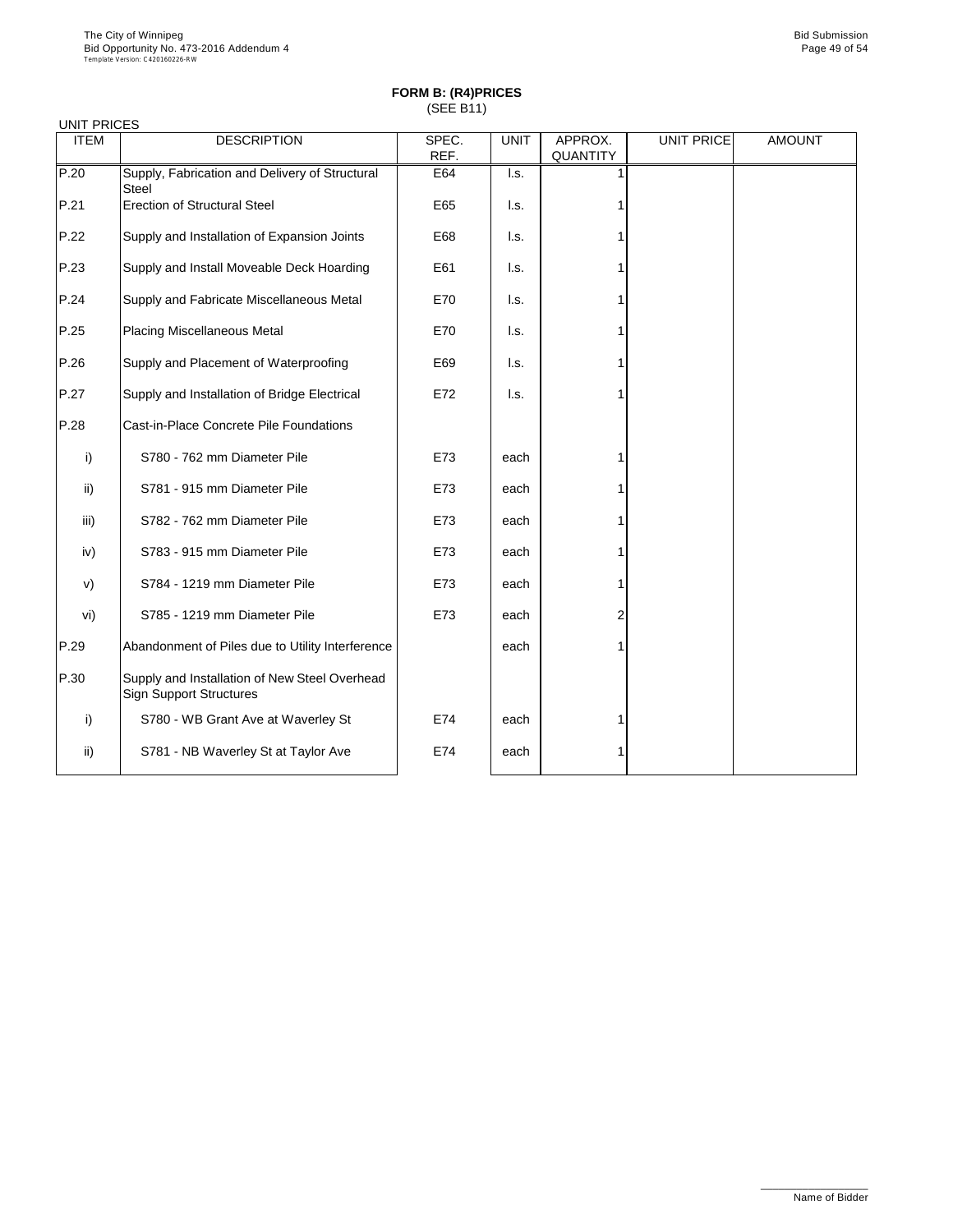|             | <b>UNIT PRICES</b>                                                              |               |                 |                     |                   |               |  |  |  |  |
|-------------|---------------------------------------------------------------------------------|---------------|-----------------|---------------------|-------------------|---------------|--|--|--|--|
| <b>ITEM</b> | <b>DESCRIPTION</b>                                                              | SPEC.<br>REF. | <b>UNIT</b>     | APPROX.<br>QUANTITY | <b>UNIT PRICE</b> | <b>AMOUNT</b> |  |  |  |  |
| P.20        | Supply, Fabrication and Delivery of Structural<br>Steel                         | E64           | I.s.            |                     |                   |               |  |  |  |  |
| P.21        | <b>Erection of Structural Steel</b>                                             | E65           | I.s.            |                     |                   |               |  |  |  |  |
| P.22        | Supply and Installation of Expansion Joints                                     | E68           | I.s.            |                     |                   |               |  |  |  |  |
| P.23        | Supply and Install Moveable Deck Hoarding                                       | E61           | I.s.            |                     |                   |               |  |  |  |  |
| P.24        | Supply and Fabricate Miscellaneous Metal                                        | E70           | $\mathsf{L}$ s. |                     |                   |               |  |  |  |  |
| P.25        | <b>Placing Miscellaneous Metal</b>                                              | E70           | I.s.            |                     |                   |               |  |  |  |  |
| P.26        | Supply and Placement of Waterproofing                                           | E69           | I.s.            |                     |                   |               |  |  |  |  |
| P.27        | Supply and Installation of Bridge Electrical                                    | E72           | I.s.            |                     |                   |               |  |  |  |  |
| P.28        | Cast-in-Place Concrete Pile Foundations                                         |               |                 |                     |                   |               |  |  |  |  |
| i)          | S780 - 762 mm Diameter Pile                                                     | E73           | each            |                     |                   |               |  |  |  |  |
| ii)         | S781 - 915 mm Diameter Pile                                                     | E73           | each            |                     |                   |               |  |  |  |  |
| iii)        | S782 - 762 mm Diameter Pile                                                     | E73           | each            |                     |                   |               |  |  |  |  |
| iv)         | S783 - 915 mm Diameter Pile                                                     | E73           | each            |                     |                   |               |  |  |  |  |
| v)          | S784 - 1219 mm Diameter Pile                                                    | E73           | each            |                     |                   |               |  |  |  |  |
| vi)         | S785 - 1219 mm Diameter Pile                                                    | E73           | each            | 2                   |                   |               |  |  |  |  |
| P.29        | Abandonment of Piles due to Utility Interference                                |               | each            |                     |                   |               |  |  |  |  |
| P.30        | Supply and Installation of New Steel Overhead<br><b>Sign Support Structures</b> |               |                 |                     |                   |               |  |  |  |  |
| i)          | S780 - WB Grant Ave at Waverley St                                              | E74           | each            |                     |                   |               |  |  |  |  |
| ii)         | S781 - NB Waverley St at Taylor Ave                                             | E74           | each            |                     |                   |               |  |  |  |  |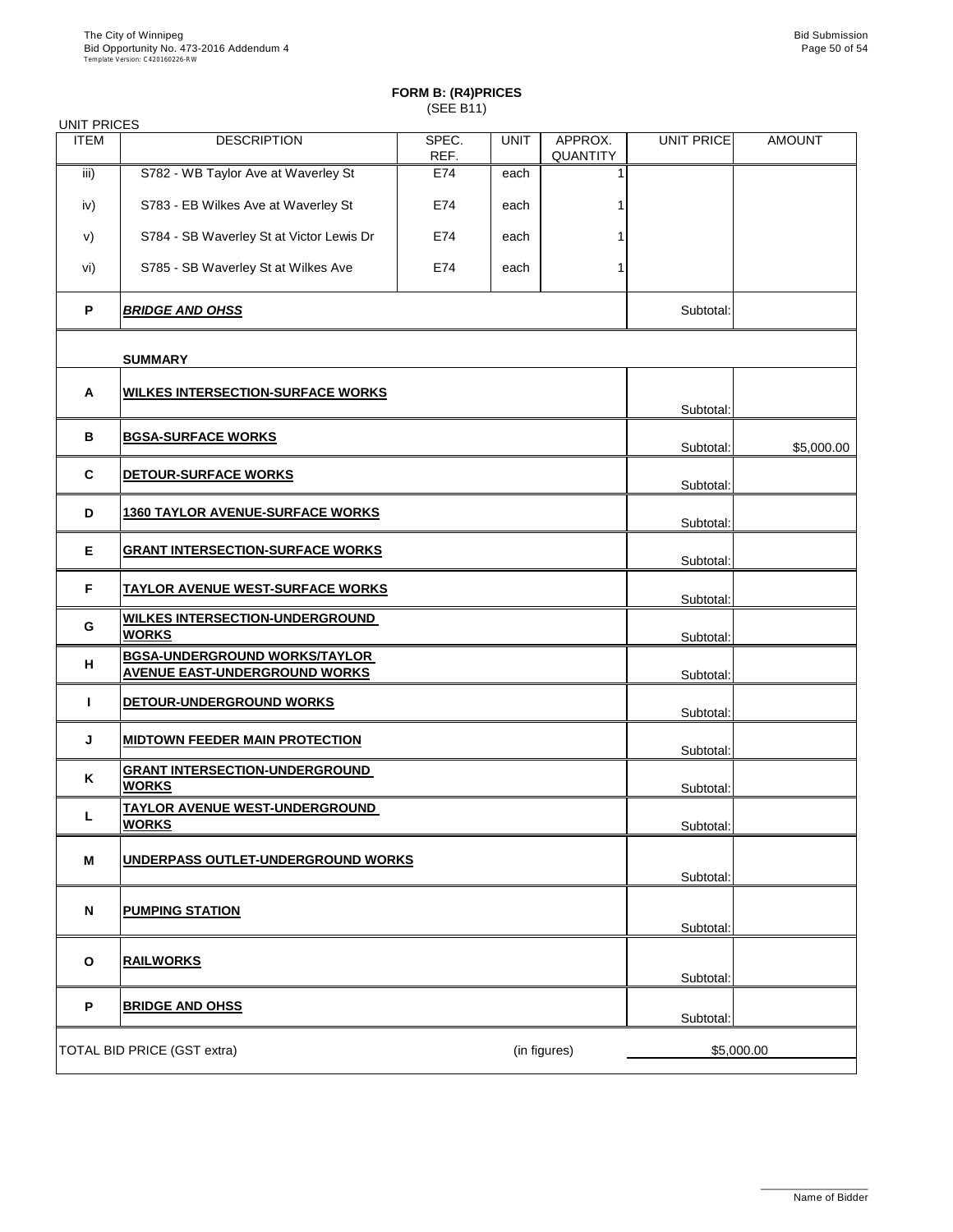| <b>UNIT PRICES</b> |                                                                              |               |             |                     |            |               |
|--------------------|------------------------------------------------------------------------------|---------------|-------------|---------------------|------------|---------------|
| <b>ITEM</b>        | <b>DESCRIPTION</b>                                                           | SPEC.<br>REF. | <b>UNIT</b> | APPROX.<br>QUANTITY | UNIT PRICE | <b>AMOUNT</b> |
| iii)               | S782 - WB Taylor Ave at Waverley St                                          | E74           | each        | 1                   |            |               |
| iv)                | S783 - EB Wilkes Ave at Waverley St                                          | E74           | each        |                     |            |               |
| V)                 | S784 - SB Waverley St at Victor Lewis Dr                                     | E74           | each        |                     |            |               |
| vi)                | S785 - SB Waverley St at Wilkes Ave                                          | E74           | each        | 1                   |            |               |
| P                  | <b>BRIDGE AND OHSS</b>                                                       | Subtotal:     |             |                     |            |               |
|                    | <b>SUMMARY</b>                                                               |               |             |                     |            |               |
| A                  | <b>WILKES INTERSECTION-SURFACE WORKS</b>                                     |               |             |                     |            |               |
|                    |                                                                              |               |             |                     | Subtotal:  |               |
| в                  | <b>BGSA-SURFACE WORKS</b>                                                    |               |             |                     | Subtotal:  | \$5,000.00    |
| C                  | <b>DETOUR-SURFACE WORKS</b>                                                  |               |             |                     | Subtotal:  |               |
| D                  | <b>1360 TAYLOR AVENUE-SURFACE WORKS</b>                                      |               |             |                     | Subtotal:  |               |
| Е                  | <b>GRANT INTERSECTION-SURFACE WORKS</b>                                      |               |             | Subtotal:           |            |               |
| F                  | <b>TAYLOR AVENUE WEST-SURFACE WORKS</b>                                      |               |             |                     | Subtotal:  |               |
| G                  | <b>WILKES INTERSECTION-UNDERGROUND</b><br><b>WORKS</b>                       |               |             |                     | Subtotal:  |               |
| н                  | <b>BGSA-UNDERGROUND WORKS/TAYLOR</b><br><b>AVENUE EAST-UNDERGROUND WORKS</b> |               |             |                     | Subtotal:  |               |
| T                  | DETOUR-UNDERGROUND WORKS                                                     |               |             |                     | Subtotal:  |               |
| J                  | <b>MIDTOWN FEEDER MAIN PROTECTION</b>                                        |               |             |                     | Subtotal:  |               |
| ĸ                  | <b>GRANT INTERSECTION-UNDERGROUND</b><br><b>WORKS</b>                        |               |             |                     |            |               |
|                    | <b>TAYLOR AVENUE WEST-UNDERGROUND</b>                                        |               |             |                     | Subtotal:  |               |
| L                  | <b>WORKS</b>                                                                 |               |             |                     | Subtotal:  |               |
| M                  | UNDERPASS OUTLET-UNDERGROUND WORKS                                           |               |             |                     | Subtotal:  |               |
| N                  | <b>PUMPING STATION</b>                                                       |               |             |                     |            |               |
|                    |                                                                              |               |             |                     | Subtotal:  |               |
| $\mathbf{o}$       | <b>RAILWORKS</b>                                                             |               |             |                     | Subtotal:  |               |
| P                  | <b>BRIDGE AND OHSS</b>                                                       |               |             |                     | Subtotal:  |               |
|                    | TOTAL BID PRICE (GST extra)                                                  |               |             | (in figures)        |            | \$5,000.00    |
|                    |                                                                              |               |             |                     |            |               |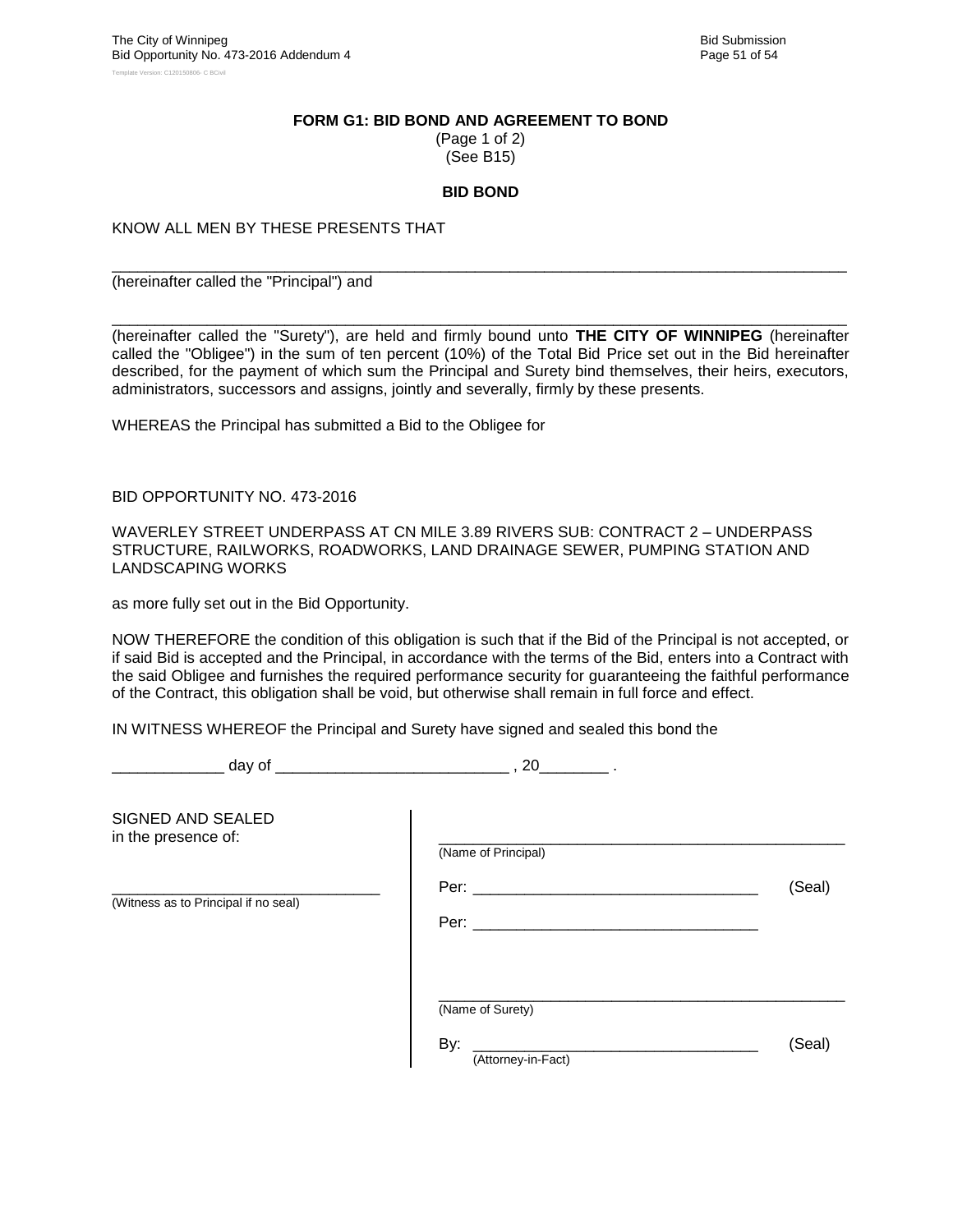#### **FORM G1: BID BOND AND AGREEMENT TO BOND**

(Page 1 of 2) (See B15)

#### **BID BOND**

\_\_\_\_\_\_\_\_\_\_\_\_\_\_\_\_\_\_\_\_\_\_\_\_\_\_\_\_\_\_\_\_\_\_\_\_\_\_\_\_\_\_\_\_\_\_\_\_\_\_\_\_\_\_\_\_\_\_\_\_\_\_\_\_\_\_\_\_\_\_\_\_\_\_\_\_\_\_\_\_\_\_\_\_\_

KNOW ALL MEN BY THESE PRESENTS THAT

(hereinafter called the "Principal") and

\_\_\_\_\_\_\_\_\_\_\_\_\_\_\_\_\_\_\_\_\_\_\_\_\_\_\_\_\_\_\_\_\_\_\_\_\_\_\_\_\_\_\_\_\_\_\_\_\_\_\_\_\_\_\_\_\_\_\_\_\_\_\_\_\_\_\_\_\_\_\_\_\_\_\_\_\_\_\_\_\_\_\_\_\_ (hereinafter called the "Surety"), are held and firmly bound unto **THE CITY OF WINNIPEG** (hereinafter called the "Obligee") in the sum of ten percent (10%) of the Total Bid Price set out in the Bid hereinafter described, for the payment of which sum the Principal and Surety bind themselves, their heirs, executors, administrators, successors and assigns, jointly and severally, firmly by these presents.

WHEREAS the Principal has submitted a Bid to the Obligee for

BID OPPORTUNITY NO. 473-2016

WAVERLEY STREET UNDERPASS AT CN MILE 3.89 RIVERS SUB: CONTRACT 2 – UNDERPASS STRUCTURE, RAILWORKS, ROADWORKS, LAND DRAINAGE SEWER, PUMPING STATION AND LANDSCAPING WORKS

as more fully set out in the Bid Opportunity.

NOW THEREFORE the condition of this obligation is such that if the Bid of the Principal is not accepted, or if said Bid is accepted and the Principal, in accordance with the terms of the Bid, enters into a Contract with the said Obligee and furnishes the required performance security for guaranteeing the faithful performance of the Contract, this obligation shall be void, but otherwise shall remain in full force and effect.

IN WITNESS WHEREOF the Principal and Surety have signed and sealed this bond the

\_\_\_\_\_\_\_\_\_\_\_\_\_ day of \_\_\_\_\_\_\_\_\_\_\_\_\_\_\_\_\_\_\_\_\_\_\_\_\_\_\_ , 20\_\_\_\_\_\_\_\_ .

| SIGNED AND SEALED<br>in the presence of: | (Name of Principal)                           |        |
|------------------------------------------|-----------------------------------------------|--------|
| (Witness as to Principal if no seal)     | Per: $\_\_$<br>Per: $\_\_$                    | (Seal) |
|                                          | (Name of Surety)<br>By:<br>(Attorney-in-Fact) | (Seal) |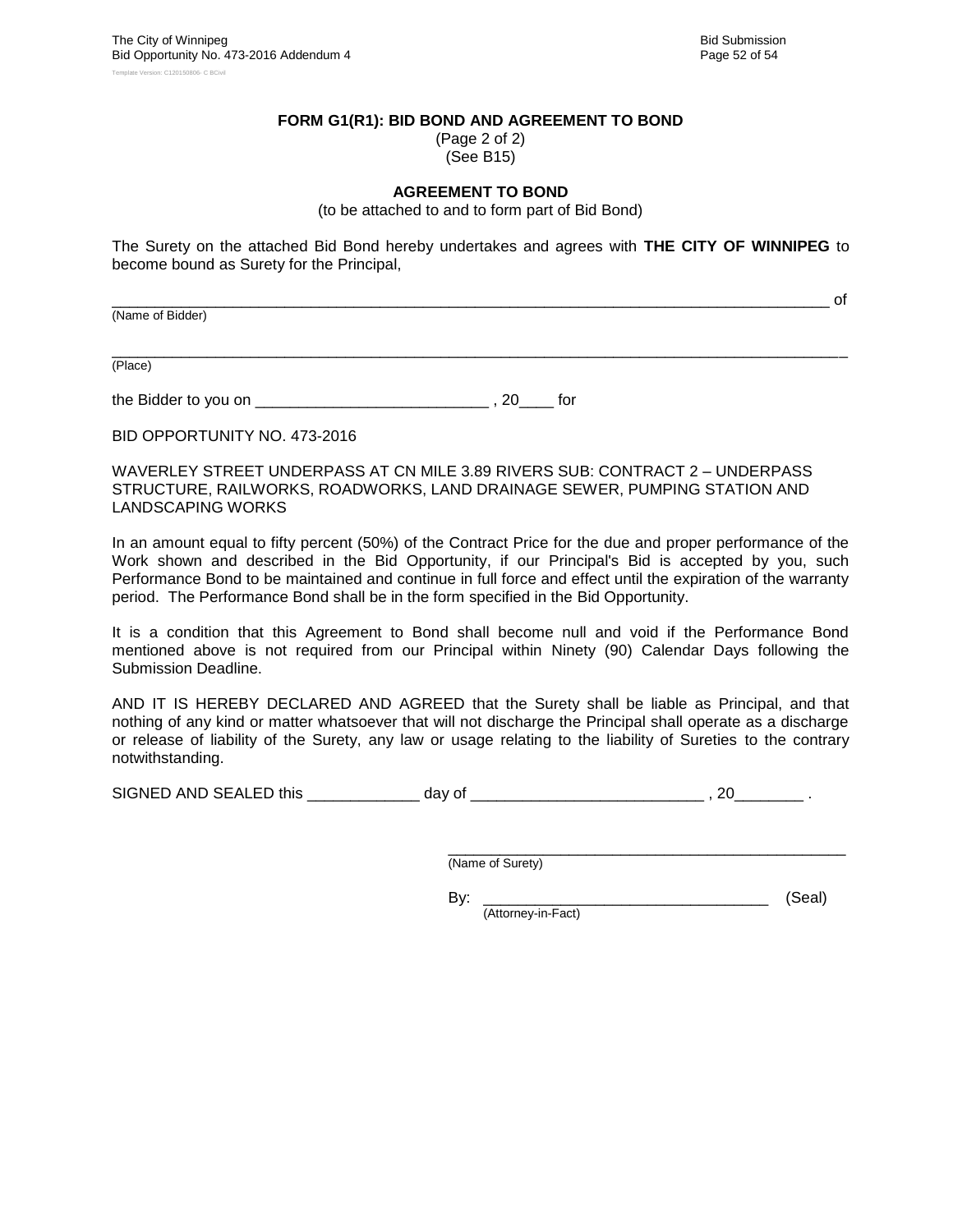\_\_\_\_\_\_\_\_\_\_\_\_\_\_\_\_\_\_\_\_\_\_\_\_\_\_\_\_\_\_\_\_\_\_\_\_\_\_\_\_\_\_\_\_\_\_\_\_\_\_\_\_\_\_\_\_\_\_\_\_\_\_\_\_\_\_\_\_\_\_\_\_\_\_\_\_\_\_\_\_\_\_\_ of

#### **FORM G1(R1): BID BOND AND AGREEMENT TO BOND**

(Page 2 of 2) (See B15)

#### **AGREEMENT TO BOND**

(to be attached to and to form part of Bid Bond)

The Surety on the attached Bid Bond hereby undertakes and agrees with **THE CITY OF WINNIPEG** to become bound as Surety for the Principal,

(Name of Bidder)

\_\_\_\_\_\_\_\_\_\_\_\_\_\_\_\_\_\_\_\_\_\_\_\_\_\_\_\_\_\_\_\_\_\_\_\_\_\_\_\_\_\_\_\_\_\_\_\_\_\_\_\_\_\_\_\_\_\_\_\_\_\_\_\_\_\_\_\_\_\_\_\_\_\_\_\_\_\_\_\_\_\_\_\_\_ (Place)

the Bidder to you on \_\_\_\_\_\_\_\_\_\_\_\_\_\_\_\_\_\_\_\_\_\_\_\_\_\_\_ , 20\_\_\_\_ for

BID OPPORTUNITY NO. 473-2016

WAVERLEY STREET UNDERPASS AT CN MILE 3.89 RIVERS SUB: CONTRACT 2 – UNDERPASS STRUCTURE, RAILWORKS, ROADWORKS, LAND DRAINAGE SEWER, PUMPING STATION AND LANDSCAPING WORKS

In an amount equal to fifty percent (50%) of the Contract Price for the due and proper performance of the Work shown and described in the Bid Opportunity, if our Principal's Bid is accepted by you, such Performance Bond to be maintained and continue in full force and effect until the expiration of the warranty period. The Performance Bond shall be in the form specified in the Bid Opportunity.

It is a condition that this Agreement to Bond shall become null and void if the Performance Bond mentioned above is not required from our Principal within Ninety (90) Calendar Days following the Submission Deadline.

AND IT IS HEREBY DECLARED AND AGREED that the Surety shall be liable as Principal, and that nothing of any kind or matter whatsoever that will not discharge the Principal shall operate as a discharge or release of liability of the Surety, any law or usage relating to the liability of Sureties to the contrary notwithstanding.

SIGNED AND SEALED this \_\_\_\_\_\_\_\_\_\_\_\_\_ day of \_\_\_\_\_\_\_\_\_\_\_\_\_\_\_\_\_\_\_\_\_\_\_\_\_\_\_ , 20\_\_\_\_\_\_\_\_ .

\_\_\_\_\_\_\_\_\_\_\_\_\_\_\_\_\_\_\_\_\_\_\_\_\_\_\_\_\_\_\_\_\_\_\_\_\_\_\_\_\_\_\_\_\_\_ (Name of Surety)

By: \_\_\_\_\_\_\_\_\_\_\_\_\_\_\_\_\_\_\_\_\_\_\_\_\_\_\_\_\_\_\_\_\_ (Seal) (Attorney-in-Fact)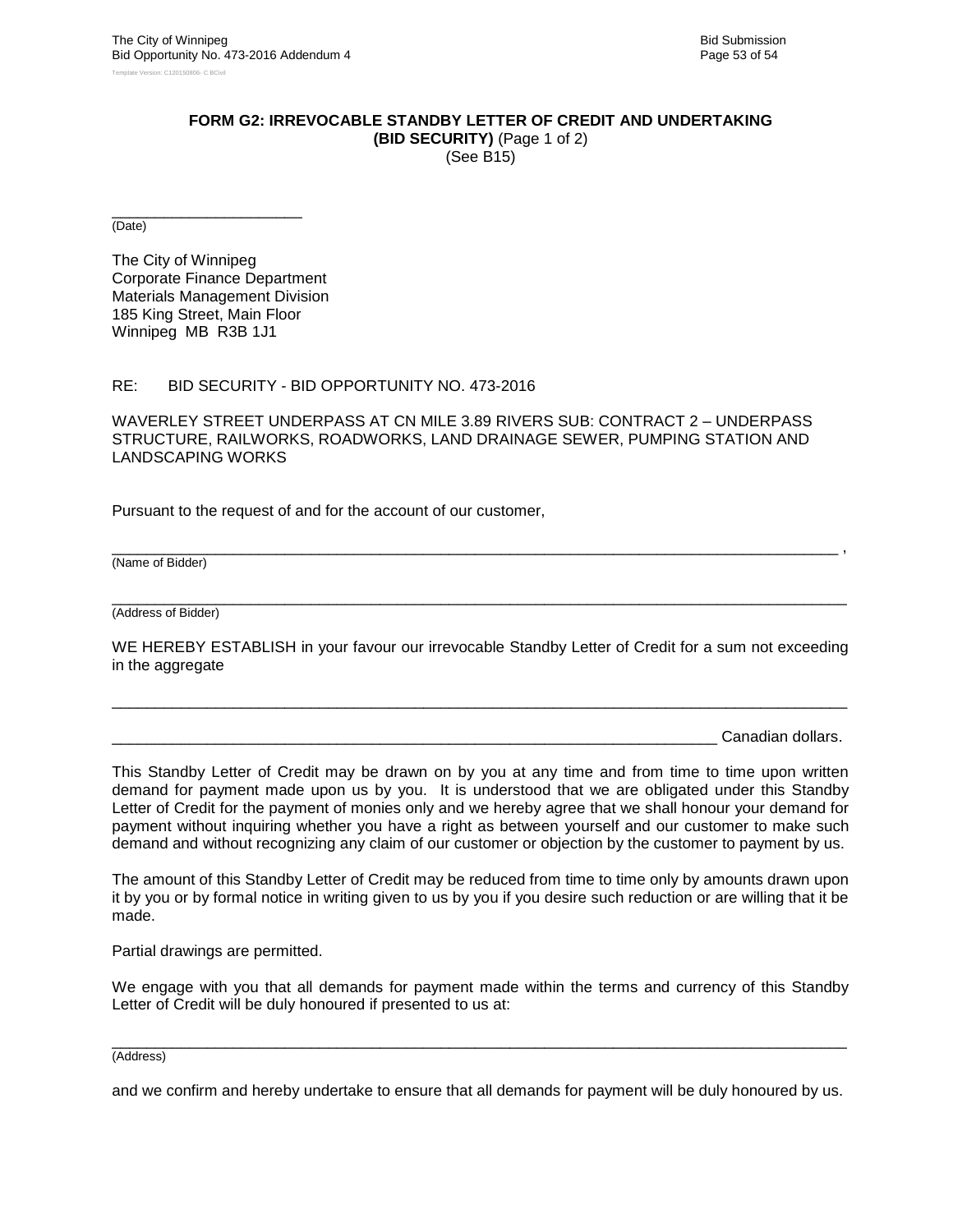### **FORM G2: IRREVOCABLE STANDBY LETTER OF CREDIT AND UNDERTAKING**

**(BID SECURITY)** (Page 1 of 2) (See B15)

\_\_\_\_\_\_\_\_\_\_\_\_\_\_\_\_\_\_\_\_\_\_ (Date)

The City of Winnipeg Corporate Finance Department Materials Management Division 185 King Street, Main Floor Winnipeg MB R3B 1J1

#### RE: BID SECURITY - BID OPPORTUNITY NO. 473-2016

WAVERLEY STREET UNDERPASS AT CN MILE 3.89 RIVERS SUB: CONTRACT 2 – UNDERPASS STRUCTURE, RAILWORKS, ROADWORKS, LAND DRAINAGE SEWER, PUMPING STATION AND LANDSCAPING WORKS

Pursuant to the request of and for the account of our customer,

(Name of Bidder)

\_\_\_\_\_\_\_\_\_\_\_\_\_\_\_\_\_\_\_\_\_\_\_\_\_\_\_\_\_\_\_\_\_\_\_\_\_\_\_\_\_\_\_\_\_\_\_\_\_\_\_\_\_\_\_\_\_\_\_\_\_\_\_\_\_\_\_\_\_\_\_\_\_\_\_\_\_\_\_\_\_\_\_\_\_ (Address of Bidder)

WE HEREBY ESTABLISH in your favour our irrevocable Standby Letter of Credit for a sum not exceeding in the aggregate

\_\_\_\_\_\_\_\_\_\_\_\_\_\_\_\_\_\_\_\_\_\_\_\_\_\_\_\_\_\_\_\_\_\_\_\_\_\_\_\_\_\_\_\_\_\_\_\_\_\_\_\_\_\_\_\_\_\_\_\_\_\_\_\_\_\_\_\_\_\_\_\_\_\_\_\_\_\_\_\_\_\_\_\_\_

\_\_\_\_\_\_\_\_\_\_\_\_\_\_\_\_\_\_\_\_\_\_\_\_\_\_\_\_\_\_\_\_\_\_\_\_\_\_\_\_\_\_\_\_\_\_\_\_\_\_\_\_\_\_\_\_\_\_\_\_\_\_\_\_\_\_\_\_\_\_\_\_\_\_\_\_\_\_\_\_\_\_\_\_ ,

Canadian dollars.

This Standby Letter of Credit may be drawn on by you at any time and from time to time upon written demand for payment made upon us by you. It is understood that we are obligated under this Standby Letter of Credit for the payment of monies only and we hereby agree that we shall honour your demand for payment without inquiring whether you have a right as between yourself and our customer to make such demand and without recognizing any claim of our customer or objection by the customer to payment by us.

The amount of this Standby Letter of Credit may be reduced from time to time only by amounts drawn upon it by you or by formal notice in writing given to us by you if you desire such reduction or are willing that it be made.

Partial drawings are permitted.

We engage with you that all demands for payment made within the terms and currency of this Standby Letter of Credit will be duly honoured if presented to us at:

#### \_\_\_\_\_\_\_\_\_\_\_\_\_\_\_\_\_\_\_\_\_\_\_\_\_\_\_\_\_\_\_\_\_\_\_\_\_\_\_\_\_\_\_\_\_\_\_\_\_\_\_\_\_\_\_\_\_\_\_\_\_\_\_\_\_\_\_\_\_\_\_\_\_\_\_\_\_\_\_\_\_\_\_\_\_ (Address)

and we confirm and hereby undertake to ensure that all demands for payment will be duly honoured by us.